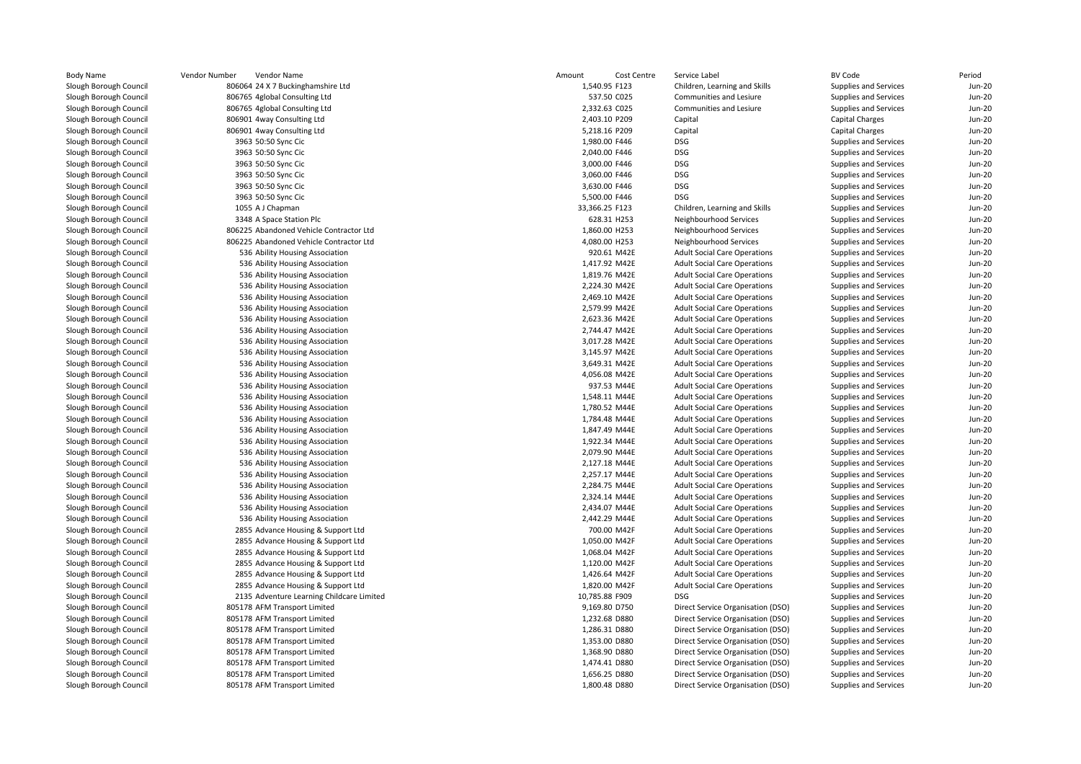|                                           | Vendor Number<br>Vendor Name                                 | Amount<br>Cost Centre          | Service Label                                                          | <b>BV Code</b>                                        | Period                         |
|-------------------------------------------|--------------------------------------------------------------|--------------------------------|------------------------------------------------------------------------|-------------------------------------------------------|--------------------------------|
| ough Council <sup>.</sup>                 | 806064 24 X 7 Buckinghamshire Ltd                            | 1,540.95 F123                  | Children, Learning and Skills                                          | Supplies and Services                                 | <b>Jun-20</b>                  |
| ough Council <sup>-</sup>                 | 806765 4global Consulting Ltd                                | 537.50 C025                    | Communities and Lesiure                                                | Supplies and Services                                 | <b>Jun-20</b>                  |
| ough Council                              | 806765 4global Consulting Ltd                                | 2,332.63 C025                  | <b>Communities and Lesiure</b>                                         | Supplies and Services                                 | <b>Jun-20</b>                  |
| ough Council <sup>-</sup>                 | 806901 4way Consulting Ltd                                   | 2,403.10 P209                  | Capital                                                                | <b>Capital Charges</b>                                | <b>Jun-20</b>                  |
| ough Council <sup>-</sup>                 | 806901 4way Consulting Ltd                                   | 5,218.16 P209                  | Capital                                                                | <b>Capital Charges</b>                                | <b>Jun-20</b>                  |
| ough Council                              | 3963 50:50 Sync Cic                                          | 1,980.00 F446                  | DSG                                                                    | Supplies and Services                                 | <b>Jun-20</b>                  |
| ough Council <sup>-</sup>                 | 3963 50:50 Sync Cic                                          | 2,040.00 F446                  | <b>DSG</b>                                                             | Supplies and Services                                 | <b>Jun-20</b>                  |
| ough Council <sup>-</sup>                 | 3963 50:50 Sync Cic                                          | 3,000.00 F446                  | <b>DSG</b>                                                             | Supplies and Services                                 | <b>Jun-20</b>                  |
| ough Council <sup>.</sup>                 | 3963 50:50 Sync Cic                                          | 3,060.00 F446                  | <b>DSG</b>                                                             | Supplies and Services                                 | <b>Jun-20</b>                  |
| ough Council <sup>-</sup>                 | 3963 50:50 Sync Cic                                          | 3,630.00 F446                  | <b>DSG</b>                                                             | Supplies and Services                                 | <b>Jun-20</b>                  |
| ough Council <sup>-</sup>                 | 3963 50:50 Sync Cic                                          | 5,500.00 F446                  | <b>DSG</b>                                                             | Supplies and Services                                 | <b>Jun-20</b>                  |
| ough Council <sup>.</sup>                 | 1055 A J Chapman                                             | 33,366.25 F123                 | Children, Learning and Skills                                          | Supplies and Services                                 | <b>Jun-20</b>                  |
| ough Council <sup>-</sup>                 | 3348 A Space Station Plc                                     | 628.31 H253                    | Neighbourhood Services                                                 | Supplies and Services                                 | <b>Jun-20</b>                  |
| ough Council                              | 806225 Abandoned Vehicle Contractor Ltd                      | 1,860.00 H253                  | Neighbourhood Services                                                 | Supplies and Services                                 | <b>Jun-20</b>                  |
| ough Council                              | 806225 Abandoned Vehicle Contractor Ltd                      | 4,080.00 H253                  | Neighbourhood Services                                                 | Supplies and Services                                 | <b>Jun-20</b>                  |
| ough Council <sup>-</sup>                 | 536 Ability Housing Association                              | 920.61 M42E                    | <b>Adult Social Care Operations</b>                                    | Supplies and Services                                 | <b>Jun-20</b>                  |
| ough Council                              | 536 Ability Housing Association                              | 1,417.92 M42E                  | <b>Adult Social Care Operations</b>                                    | Supplies and Services                                 | <b>Jun-20</b>                  |
| ough Council                              | 536 Ability Housing Association                              | 1,819.76 M42E                  | <b>Adult Social Care Operations</b>                                    | Supplies and Services                                 | <b>Jun-20</b>                  |
| ough Council <sup>-</sup>                 | 536 Ability Housing Association                              | 2,224.30 M42E                  | <b>Adult Social Care Operations</b>                                    | Supplies and Services                                 | <b>Jun-20</b>                  |
| ough Council <sup>-</sup>                 | 536 Ability Housing Association                              | 2,469.10 M42E                  | <b>Adult Social Care Operations</b>                                    | Supplies and Services                                 | <b>Jun-20</b>                  |
| ough Council                              | 536 Ability Housing Association                              | 2,579.99 M42E                  | <b>Adult Social Care Operations</b>                                    | Supplies and Services                                 | <b>Jun-20</b>                  |
| ough Council <sup>-</sup>                 | 536 Ability Housing Association                              | 2,623.36 M42E                  | <b>Adult Social Care Operations</b>                                    | Supplies and Services                                 | <b>Jun-20</b>                  |
| ough Council <sup>-</sup>                 | 536 Ability Housing Association                              | 2,744.47 M42E                  | <b>Adult Social Care Operations</b>                                    | Supplies and Services                                 | <b>Jun-20</b>                  |
| ough Council                              | 536 Ability Housing Association                              | 3,017.28 M42E                  | <b>Adult Social Care Operations</b>                                    | Supplies and Services                                 | <b>Jun-20</b>                  |
| ough Council <sup>-</sup>                 | 536 Ability Housing Association                              | 3,145.97 M42E                  | <b>Adult Social Care Operations</b>                                    | Supplies and Services                                 | <b>Jun-20</b>                  |
| ough Council <sup>-</sup>                 | 536 Ability Housing Association                              | 3,649.31 M42E                  | <b>Adult Social Care Operations</b>                                    | Supplies and Services                                 | Jun-20                         |
| ough Council <sup>.</sup>                 | 536 Ability Housing Association                              | 4,056.08 M42E                  | <b>Adult Social Care Operations</b>                                    | Supplies and Services                                 | <b>Jun-20</b>                  |
| ough Council <sup>-</sup>                 | 536 Ability Housing Association                              | 937.53 M44E                    | <b>Adult Social Care Operations</b>                                    | Supplies and Services                                 | <b>Jun-20</b>                  |
| ough Council <sup>-</sup>                 | 536 Ability Housing Association                              | 1,548.11 M44E                  | <b>Adult Social Care Operations</b>                                    | Supplies and Services                                 | <b>Jun-20</b>                  |
| ough Council <sup>-</sup>                 | 536 Ability Housing Association                              | 1,780.52 M44E                  | <b>Adult Social Care Operations</b>                                    | Supplies and Services                                 | <b>Jun-20</b>                  |
| ough Council                              | 536 Ability Housing Association                              | 1,784.48 M44E                  | <b>Adult Social Care Operations</b>                                    | Supplies and Services                                 | <b>Jun-20</b>                  |
| ough Council <sup>-</sup>                 | 536 Ability Housing Association                              | 1,847.49 M44E                  | <b>Adult Social Care Operations</b>                                    | Supplies and Services                                 | <b>Jun-20</b>                  |
| ough Council <sup>-</sup>                 | 536 Ability Housing Association                              | 1,922.34 M44E                  | <b>Adult Social Care Operations</b>                                    | Supplies and Services                                 | <b>Jun-20</b>                  |
| ough Council <sup>.</sup>                 | 536 Ability Housing Association                              | 2,079.90 M44E                  | <b>Adult Social Care Operations</b>                                    | Supplies and Services                                 | <b>Jun-20</b>                  |
| ough Council                              | 536 Ability Housing Association                              | 2,127.18 M44E                  | <b>Adult Social Care Operations</b>                                    | Supplies and Services                                 | <b>Jun-20</b>                  |
| ough Council                              | 536 Ability Housing Association                              | 2,257.17 M44E                  | <b>Adult Social Care Operations</b>                                    | Supplies and Services                                 | <b>Jun-20</b>                  |
| ough Council <sup>-</sup>                 | 536 Ability Housing Association                              | 2,284.75 M44E                  | <b>Adult Social Care Operations</b>                                    | Supplies and Services                                 | <b>Jun-20</b>                  |
| ough Council <sup>-</sup>                 | 536 Ability Housing Association                              | 2,324.14 M44E                  | <b>Adult Social Care Operations</b>                                    | Supplies and Services                                 | <b>Jun-20</b>                  |
| ough Council                              | 536 Ability Housing Association                              | 2,434.07 M44E                  | <b>Adult Social Care Operations</b>                                    | Supplies and Services                                 | <b>Jun-20</b>                  |
| ough Council <sup>-</sup>                 | 536 Ability Housing Association                              | 2,442.29 M44E                  | <b>Adult Social Care Operations</b>                                    | Supplies and Services                                 | <b>Jun-20</b>                  |
| ough Council <sup>-</sup>                 | 2855 Advance Housing & Support Ltd                           | 700.00 M42F                    | <b>Adult Social Care Operations</b>                                    | Supplies and Services                                 | <b>Jun-20</b>                  |
| ough Council                              | 2855 Advance Housing & Support Ltd                           | 1,050.00 M42F                  | <b>Adult Social Care Operations</b>                                    | Supplies and Services                                 | <b>Jun-20</b>                  |
| ough Council <sup>-</sup>                 | 2855 Advance Housing & Support Ltd                           | 1,068.04 M42F                  | <b>Adult Social Care Operations</b>                                    | Supplies and Services                                 | <b>Jun-20</b>                  |
| ough Council <sup>-</sup>                 | 2855 Advance Housing & Support Ltd                           | 1,120.00 M42F                  | <b>Adult Social Care Operations</b>                                    | Supplies and Services                                 | <b>Jun-20</b>                  |
| ough Council <sup>.</sup>                 | 2855 Advance Housing & Support Ltd                           | 1,426.64 M42F                  | <b>Adult Social Care Operations</b>                                    | Supplies and Services                                 | <b>Jun-20</b>                  |
| ough Council <sup>-</sup>                 | 2855 Advance Housing & Support Ltd                           | 1,820.00 M42F                  | <b>Adult Social Care Operations</b>                                    | Supplies and Services                                 | <b>Jun-20</b>                  |
| ough Council <sup>-</sup>                 | 2135 Adventure Learning Childcare Limited                    | 10,785.88 F909                 | <b>DSG</b>                                                             | Supplies and Services                                 | <b>Jun-20</b>                  |
| ough Council <sup>.</sup>                 | 805178 AFM Transport Limited                                 | 9,169.80 D750                  | Direct Service Organisation (DSO)                                      | Supplies and Services                                 | <b>Jun-20</b>                  |
|                                           |                                                              |                                |                                                                        |                                                       |                                |
| ough Council <sup>.</sup><br>ough Council | 805178 AFM Transport Limited<br>805178 AFM Transport Limited | 1,232.68 D880<br>1,286.31 D880 | Direct Service Organisation (DSO)<br>Direct Service Organisation (DSO) | Supplies and Services<br>Supplies and Services        | <b>Jun-20</b><br><b>Jun-20</b> |
| ough Council                              |                                                              | 1,353.00 D880                  | Direct Service Organisation (DSO)                                      |                                                       | <b>Jun-20</b>                  |
|                                           | 805178 AFM Transport Limited                                 | 1,368.90 D880                  |                                                                        | Supplies and Services                                 |                                |
| ough Council <sup>.</sup><br>ough Council | 805178 AFM Transport Limited<br>805178 AFM Transport Limited | 1,474.41 D880                  | Direct Service Organisation (DSO)<br>Direct Service Organisation (DSO) | Supplies and Services<br><b>Supplies and Services</b> | <b>Jun-20</b><br><b>Jun-20</b> |
|                                           |                                                              |                                |                                                                        |                                                       |                                |
| ough Council                              | 805178 AFM Transport Limited                                 | 1,656.25 D880                  | Direct Service Organisation (DSO)                                      | Supplies and Services                                 | <b>Jun-20</b>                  |
| ough Council                              | 805178 AFM Transport Limited                                 | 1,800.48 D880                  | Direct Service Organisation (DSO)                                      | Supplies and Services                                 | <b>Jun-20</b>                  |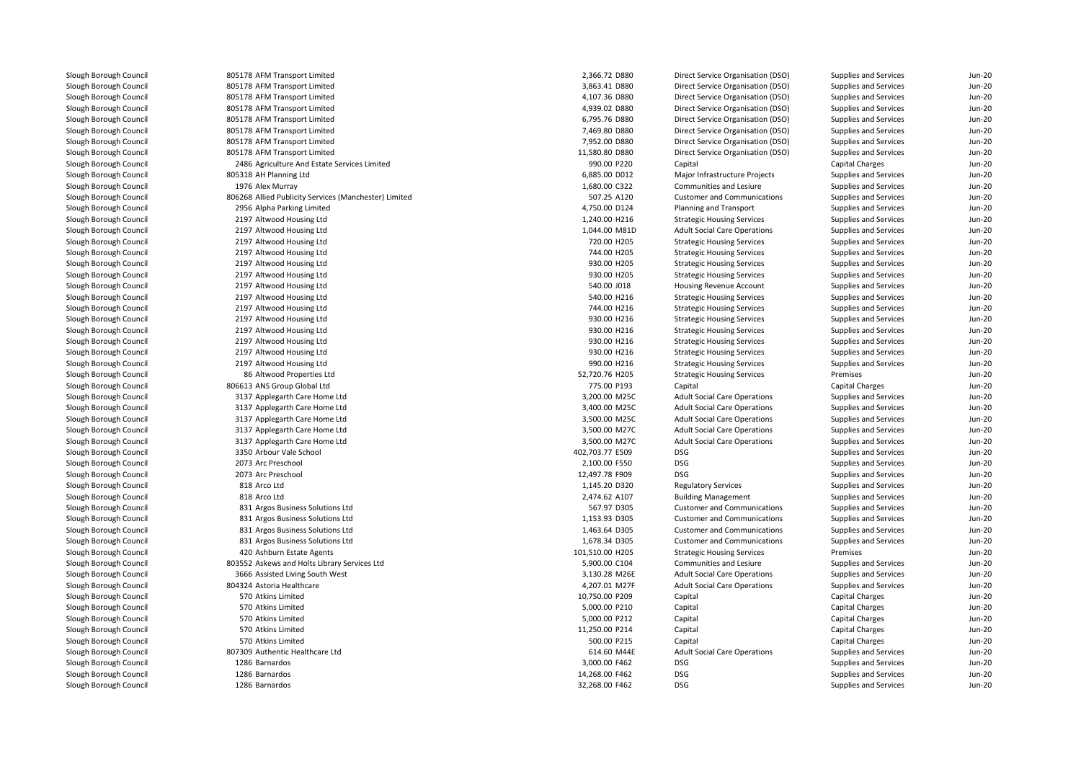805178 AFM Transport Limited 805178 AFM Transport Limited 805178 AFM Transport Limited 805178 AFM Transport Limited 805178 AFM Transport Limited 805178 AFM Transport Limited 805178 AFM Transport Limited 805178 AFM Transport Limited 2486 Agriculture And Estate Services Limited 805318 AH Planning Ltd1976 Alex Murray 806268 Allied Publicity Services (Manchester) Limited 2956 Alpha Parking Limited 2197 Altwood Housing Ltd 2197 Altwood Housing Ltdd 1,044.00 M81D 2197 Altwood Housing Ltd 2197 Altwood Housing Ltd 2197 Altwood Housing Ltd 2197 Altwood Housing Ltd 2197 Altwood Housing Ltd 2197 Altwood Housing Ltd 2197 Altwood Housing Ltd 2197 Altwood Housing Ltd 2197 Altwood Housing Ltd 2197 Altwood Housing Ltd 2197 Altwood Housing Ltd 2197 Altwood Housing Ltd 8686 Altwood Properties Ltd 806613 ANS Group Global Ltd 3137 Applegarth Care Home Ltd 3,200.00 M25C 3137 Applegarth Care Home Ltdd  $3,400.00 \text{ M}250$  3137 Applegarth Care Home Ltdd  $3,500.00 \text{ M}250$  3137 Applegarth Care Home Ltdd  $3,500.00 \text{ M}$  3137 Applegarth Care Home Ltdd  $3,500.00 \text{ M}$ 3350 Arbour Vale School 0 Arbour Vale School **DSG** DSG **DSG 202,703.77 E509** DSG 202,703.77 E509 2073 Arc Preschool Arc Preschool DSG and the set of the set of the set of the set of the set of the set of the set of the set of the set of the set of the set of the set of the set of the set of the set of the set of the set of the set of th 2073 Arc Preschool Arc Preschool DSG و12,497.78 F909 DSG والمستخدم المستخدم المستخدم المستخدم المستخدم المستخدم المستخدم المستخدم المستخدم المستخدم المستخدم المستخدم المستخدم المستخدم المستخدم المستخدم المستخدم المستخدم المستخدم المستخدم الم 818 Arco Ltd 818 Arco Ltd 831 Argos Business Solutions Ltd 831 Argos Business Solutions Ltd 831 Argos Business Solutions Ltd 831 Argos Business Solutions Ltd420 Ashburn Estate Agents 803552 Askews and Holts Library Services Ltd3666 Assisted Living South West 804324 Astoria Healthcare 570 Atkins Limited 570570 Atkins Limited 570 Atkins Limited 570 Atkins Limited 570 Atkins Limited 807309 Authentic Healthcare Ltd1286 Barnardos Barnardos 3,000.00 F462 DSG1286 Barnardos Barnardos 14,268.00 F462 DSG1286 Barnardos

| 8 AFM Transport Limited                          | 2,366.72 D880   | Direct Service Organisation (DSO)   | Supplies and Services  | Jun-20   |
|--------------------------------------------------|-----------------|-------------------------------------|------------------------|----------|
| 8 AFM Transport Limited                          | 3,863.41 D880   | Direct Service Organisation (DSO)   | Supplies and Services  | $Jun-20$ |
| 8 AFM Transport Limited                          | 4,107.36 D880   | Direct Service Organisation (DSO)   | Supplies and Services  | $Jun-20$ |
| 8 AFM Transport Limited                          | 4,939.02 D880   | Direct Service Organisation (DSO)   | Supplies and Services  | $Jun-2C$ |
| 8 AFM Transport Limited                          | 6,795.76 D880   | Direct Service Organisation (DSO)   | Supplies and Services  | $Jun-2C$ |
| 8 AFM Transport Limited                          | 7,469.80 D880   | Direct Service Organisation (DSO)   | Supplies and Services  | $Jun-20$ |
| 8 AFM Transport Limited                          | 7,952.00 D880   | Direct Service Organisation (DSO)   | Supplies and Services  | $Jun-2C$ |
| 8 AFM Transport Limited                          | 11,580.80 D880  | Direct Service Organisation (DSO)   | Supplies and Services  | $Jun-20$ |
| 6 Agriculture And Estate Services Limited        | 990.00 P220     | Capital                             | <b>Capital Charges</b> | $Jun-2C$ |
| 8 AH Planning Ltd                                | 6,885.00 D012   | Major Infrastructure Projects       | Supplies and Services  | $Jun-2C$ |
| 6 Alex Murray                                    | 1,680.00 C322   | Communities and Lesiure             | Supplies and Services  | $Jun-20$ |
| 8 Allied Publicity Services (Manchester) Limited | 507.25 A120     | <b>Customer and Communications</b>  | Supplies and Services  | $Jun-2C$ |
| 6 Alpha Parking Limited                          | 4,750.00 D124   | Planning and Transport              | Supplies and Services  | $Jun-20$ |
| 7 Altwood Housing Ltd                            | 1,240.00 H216   | <b>Strategic Housing Services</b>   | Supplies and Services  | $Jun-20$ |
| 7 Altwood Housing Ltd                            | 1,044.00 M81D   | <b>Adult Social Care Operations</b> | Supplies and Services  | $Jun-2C$ |
| 7 Altwood Housing Ltd                            | 720.00 H205     | <b>Strategic Housing Services</b>   | Supplies and Services  | Jun-20   |
| 7 Altwood Housing Ltd                            | 744.00 H205     | <b>Strategic Housing Services</b>   | Supplies and Services  | Jun-20   |
| 7 Altwood Housing Ltd                            | 930.00 H205     | <b>Strategic Housing Services</b>   | Supplies and Services  | $Jun-2C$ |
| 7 Altwood Housing Ltd                            | 930.00 H205     | <b>Strategic Housing Services</b>   | Supplies and Services  | $Jun-20$ |
| 7 Altwood Housing Ltd                            | 540.00 J018     | Housing Revenue Account             | Supplies and Services  | $Jun-2C$ |
| 7 Altwood Housing Ltd                            | 540.00 H216     | <b>Strategic Housing Services</b>   | Supplies and Services  | $Jun-20$ |
| 7 Altwood Housing Ltd                            | 744.00 H216     | <b>Strategic Housing Services</b>   | Supplies and Services  | Jun-20   |
| 7 Altwood Housing Ltd                            | 930.00 H216     | <b>Strategic Housing Services</b>   | Supplies and Services  | $Jun-2C$ |
| 7 Altwood Housing Ltd                            | 930.00 H216     | <b>Strategic Housing Services</b>   | Supplies and Services  | $Jun-20$ |
| 7 Altwood Housing Ltd                            | 930.00 H216     | <b>Strategic Housing Services</b>   | Supplies and Services  | $Jun-2C$ |
| 7 Altwood Housing Ltd                            | 930.00 H216     | <b>Strategic Housing Services</b>   | Supplies and Services  | $Jun-20$ |
| 7 Altwood Housing Ltd                            | 990.00 H216     | <b>Strategic Housing Services</b>   | Supplies and Services  | $Jun-20$ |
| 6 Altwood Properties Ltd                         | 52,720.76 H205  | <b>Strategic Housing Services</b>   | Premises               | $Jun-2C$ |
| 3 ANS Group Global Ltd                           | 775.00 P193     | Capital                             | <b>Capital Charges</b> | $Jun-20$ |
| 7 Applegarth Care Home Ltd                       | 3,200.00 M25C   | <b>Adult Social Care Operations</b> | Supplies and Services  | $Jun-20$ |
| 7 Applegarth Care Home Ltd                       | 3,400.00 M25C   | <b>Adult Social Care Operations</b> | Supplies and Services  | Jun-20   |
| 7 Applegarth Care Home Ltd                       | 3,500.00 M25C   | <b>Adult Social Care Operations</b> | Supplies and Services  | $Jun-20$ |
| 7 Applegarth Care Home Ltd                       | 3,500.00 M27C   | <b>Adult Social Care Operations</b> | Supplies and Services  | $Jun-2C$ |
| 7 Applegarth Care Home Ltd                       | 3,500.00 M27C   | <b>Adult Social Care Operations</b> | Supplies and Services  | $Jun-2C$ |
| 0 Arbour Vale School                             | 402,703.77 E509 | <b>DSG</b>                          | Supplies and Services  | $Jun-20$ |
| 3 Arc Preschool                                  | 2,100.00 F550   | <b>DSG</b>                          | Supplies and Services  | $Jun-2C$ |
| 3 Arc Preschool                                  | 12,497.78 F909  | <b>DSG</b>                          | Supplies and Services  | $Jun-20$ |
| 8 Arco Ltd                                       | 1,145.20 D320   | <b>Regulatory Services</b>          | Supplies and Services  | $Jun-20$ |
| 8 Arco Ltd                                       | 2,474.62 A107   | <b>Building Management</b>          | Supplies and Services  | $Jun-2C$ |
| 1 Argos Business Solutions Ltd                   | 567.97 D305     | <b>Customer and Communications</b>  | Supplies and Services  | $Jun-20$ |
| 1 Argos Business Solutions Ltd                   | 1,153.93 D305   | <b>Customer and Communications</b>  | Supplies and Services  | $Jun-2C$ |
| 1 Argos Business Solutions Ltd                   | 1,463.64 D305   | <b>Customer and Communications</b>  | Supplies and Services  | $Jun-2C$ |
| 1 Argos Business Solutions Ltd                   | 1,678.34 D305   | <b>Customer and Communications</b>  | Supplies and Services  | $Jun-20$ |
| 0 Ashburn Estate Agents                          | 101,510.00 H205 | <b>Strategic Housing Services</b>   | Premises               | $Jun-2C$ |
| 2 Askews and Holts Library Services Ltd          | 5,900.00 C104   | Communities and Lesiure             | Supplies and Services  | $Jun-2C$ |
| 6 Assisted Living South West                     | 3,130.28 M26E   | <b>Adult Social Care Operations</b> | Supplies and Services  | $Jun-20$ |
| 4 Astoria Healthcare                             | 4,207.01 M27F   | <b>Adult Social Care Operations</b> | Supplies and Services  | $Jun-2C$ |
| 0 Atkins Limited                                 | 10,750.00 P209  | Capital                             | <b>Capital Charges</b> | $Jun-2C$ |
| 0 Atkins Limited                                 | 5,000.00 P210   | Capital                             | Capital Charges        | $Jun-2C$ |
| 0 Atkins Limited                                 | 5,000.00 P212   | Capital                             | <b>Capital Charges</b> | $Jun-2C$ |
| 0 Atkins Limited                                 | 11,250.00 P214  | Capital                             | <b>Capital Charges</b> | $Jun-20$ |
| 0 Atkins Limited                                 | 500.00 P215     | Capital                             | <b>Capital Charges</b> | $Jun-2C$ |
| 9 Authentic Healthcare Ltd                       | 614.60 M44E     | <b>Adult Social Care Operations</b> | Supplies and Services  | $Jun-20$ |
| 6 Barnardos                                      | 3,000.00 F462   | <b>DSG</b>                          | Supplies and Services  | $Jun-20$ |
| 6 Barnardos                                      | 14,268.00 F462  | <b>DSG</b>                          | Supplies and Services  | $Jun-20$ |
| 6 Barnardos                                      | 32,268.00 F462  | <b>DSG</b>                          | Supplies and Services  | $Jun-20$ |
|                                                  |                 |                                     |                        |          |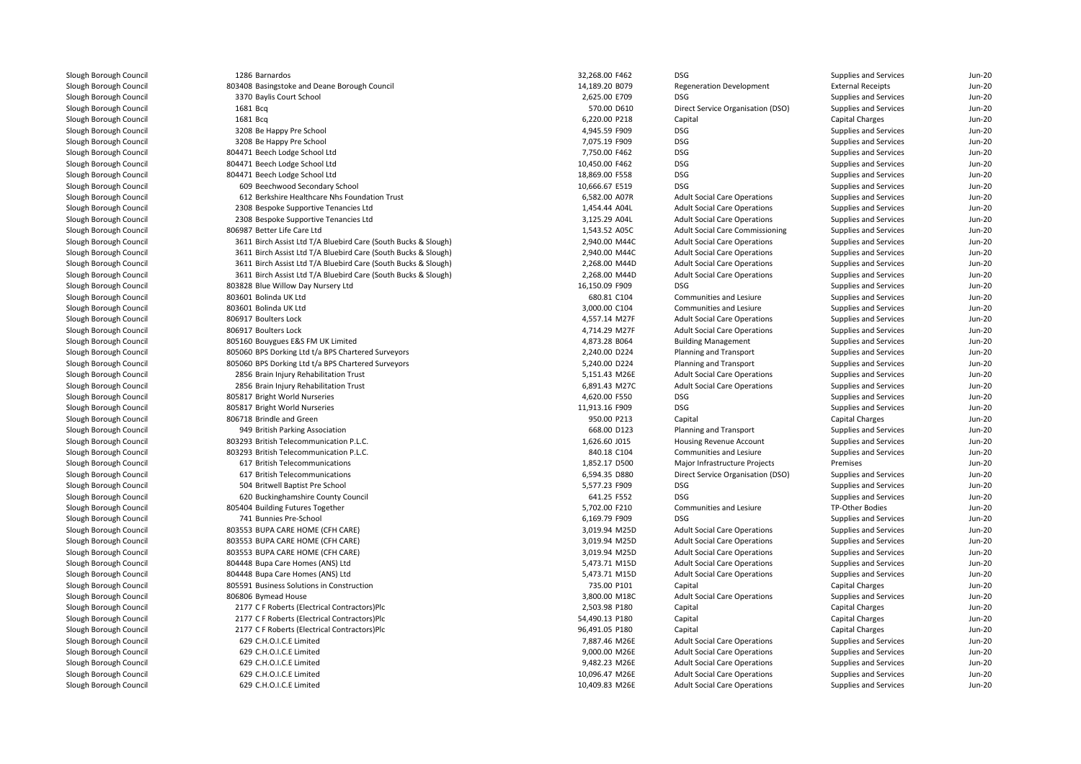| 1286 Barnardos                                                 | 32,268.00 F462 | <b>DSG</b>                             | Supplies and Services        | Jun-20   |
|----------------------------------------------------------------|----------------|----------------------------------------|------------------------------|----------|
| 803408 Basingstoke and Deane Borough Council                   | 14,189.20 B079 | <b>Regeneration Development</b>        | <b>External Receipts</b>     | $Jun-2C$ |
| 3370 Baylis Court School                                       | 2,625.00 E709  | <b>DSG</b>                             | Supplies and Services        | Jun-20   |
| 1681 Bcg                                                       | 570.00 D610    | Direct Service Organisation (DSO)      | Supplies and Services        | Jun-20   |
| 1681 Bcg                                                       | 6,220.00 P218  | Capital                                | Capital Charges              | $Jun-2C$ |
| 3208 Be Happy Pre School                                       | 4,945.59 F909  | DSG                                    | Supplies and Services        | Jun-20   |
| 3208 Be Happy Pre School                                       | 7,075.19 F909  | <b>DSG</b>                             | Supplies and Services        | $Jun-20$ |
| 804471 Beech Lodge School Ltd                                  | 7,750.00 F462  | <b>DSG</b>                             | Supplies and Services        | $Jun-2C$ |
| 804471 Beech Lodge School Ltd                                  | 10,450.00 F462 | <b>DSG</b>                             | Supplies and Services        | Jun-20   |
| 804471 Beech Lodge School Ltd                                  | 18,869.00 F558 | <b>DSG</b>                             | Supplies and Services        | $Jun-2C$ |
| 609 Beechwood Secondary School                                 | 10,666.67 E519 | <b>DSG</b>                             | Supplies and Services        | $Jun-2C$ |
| 612 Berkshire Healthcare Nhs Foundation Trust                  | 6,582.00 A07R  | <b>Adult Social Care Operations</b>    | Supplies and Services        | Jun-20   |
| 2308 Bespoke Supportive Tenancies Ltd                          | 1,454.44 A04L  | <b>Adult Social Care Operations</b>    | Supplies and Services        | $Jun-2C$ |
| 2308 Bespoke Supportive Tenancies Ltd                          | 3,125.29 A04L  | <b>Adult Social Care Operations</b>    | Supplies and Services        | $Jun-2C$ |
| 806987 Better Life Care Ltd                                    | 1,543.52 A05C  | <b>Adult Social Care Commissioning</b> | Supplies and Services        | Jun-20   |
| 3611 Birch Assist Ltd T/A Bluebird Care (South Bucks & Slough) | 2,940.00 M44C  | <b>Adult Social Care Operations</b>    | Supplies and Services        | $Jun-2C$ |
| 3611 Birch Assist Ltd T/A Bluebird Care (South Bucks & Slough) | 2,940.00 M44C  | <b>Adult Social Care Operations</b>    | Supplies and Services        | Jun-20   |
| 3611 Birch Assist Ltd T/A Bluebird Care (South Bucks & Slough) | 2,268.00 M44D  | <b>Adult Social Care Operations</b>    | Supplies and Services        | Jun-20   |
| 3611 Birch Assist Ltd T/A Bluebird Care (South Bucks & Slough) | 2,268.00 M44D  | <b>Adult Social Care Operations</b>    | Supplies and Services        | Jun-20   |
| 803828 Blue Willow Day Nursery Ltd                             | 16,150.09 F909 | DSG                                    | Supplies and Services        | Jun-20   |
| 803601 Bolinda UK Ltd                                          | 680.81 C104    | Communities and Lesiure                | Supplies and Services        | $Jun-20$ |
| 803601 Bolinda UK Ltd                                          | 3,000.00 C104  | Communities and Lesiure                | Supplies and Services        | Jun-20   |
| 806917 Boulters Lock                                           | 4,557.14 M27F  | <b>Adult Social Care Operations</b>    | Supplies and Services        | Jun-20   |
| 806917 Boulters Lock                                           | 4,714.29 M27F  | <b>Adult Social Care Operations</b>    | Supplies and Services        | $Jun-2C$ |
| 805160 Bouygues E&S FM UK Limited                              | 4,873.28 B064  | <b>Building Management</b>             | Supplies and Services        | Jun-20   |
| 805060 BPS Dorking Ltd t/a BPS Chartered Surveyors             | 2,240.00 D224  | Planning and Transport                 | Supplies and Services        | Jun-20   |
| 805060 BPS Dorking Ltd t/a BPS Chartered Surveyors             | 5,240.00 D224  | Planning and Transport                 | Supplies and Services        | Jun-20   |
| 2856 Brain Injury Rehabilitation Trust                         | 5,151.43 M26E  | <b>Adult Social Care Operations</b>    | Supplies and Services        | Jun-20   |
| 2856 Brain Injury Rehabilitation Trust                         | 6,891.43 M27C  | <b>Adult Social Care Operations</b>    | Supplies and Services        | Jun-20   |
| 805817 Bright World Nurseries                                  | 4,620.00 F550  | <b>DSG</b>                             | Supplies and Services        | Jun-20   |
| 805817 Bright World Nurseries                                  | 11,913.16 F909 | <b>DSG</b>                             | Supplies and Services        | Jun-20   |
| 806718 Brindle and Green                                       | 950.00 P213    | Capital                                | Capital Charges              | $Jun-20$ |
| 949 British Parking Association                                | 668.00 D123    | Planning and Transport                 | Supplies and Services        | Jun-20   |
| 803293 British Telecommunication P.L.C.                        | 1,626.60 J015  | Housing Revenue Account                | Supplies and Services        | $Jun-20$ |
| 803293 British Telecommunication P.L.C.                        | 840.18 C104    | <b>Communities and Lesiure</b>         | <b>Supplies and Services</b> | $Jun-2C$ |
| 617 British Telecommunications                                 | 1,852.17 D500  | Major Infrastructure Projects          | Premises                     | $Jun-2C$ |
| 617 British Telecommunications                                 | 6,594.35 D880  | Direct Service Organisation (DSO)      | Supplies and Services        | Jun-20   |
| 504 Britwell Baptist Pre School                                | 5,577.23 F909  | <b>DSG</b>                             | Supplies and Services        | $Jun-2C$ |
| 620 Buckinghamshire County Council                             | 641.25 F552    | <b>DSG</b>                             | Supplies and Services        | $Jun-2C$ |
| 805404 Building Futures Together                               | 5,702.00 F210  | Communities and Lesiure                | TP-Other Bodies              | Jun-20   |
| 741 Bunnies Pre-School                                         | 6,169.79 F909  | <b>DSG</b>                             | Supplies and Services        | $Jun-2C$ |
| 803553 BUPA CARE HOME (CFH CARE)                               | 3,019.94 M25D  | <b>Adult Social Care Operations</b>    | Supplies and Services        | Jun-20   |
| 803553 BUPA CARE HOME (CFH CARE)                               | 3,019.94 M25D  | <b>Adult Social Care Operations</b>    | Supplies and Services        | Jun-20   |
| 803553 BUPA CARE HOME (CFH CARE)                               | 3,019.94 M25D  | <b>Adult Social Care Operations</b>    | Supplies and Services        | Jun-20   |
| 804448 Bupa Care Homes (ANS) Ltd                               | 5,473.71 M15D  | <b>Adult Social Care Operations</b>    | Supplies and Services        | Jun-20   |
| 804448 Bupa Care Homes (ANS) Ltd                               | 5,473.71 M15D  | <b>Adult Social Care Operations</b>    | Supplies and Services        | $Jun-20$ |
| 805591 Business Solutions in Construction                      | 735.00 P101    | Capital                                | Capital Charges              | Jun-20   |
| 806806 Bymead House                                            | 3,800.00 M18C  | <b>Adult Social Care Operations</b>    | Supplies and Services        | Jun-20   |
| 2177 C F Roberts (Electrical Contractors)Plc                   | 2,503.98 P180  | Capital                                | Capital Charges              | Jun-20   |
| 2177 C F Roberts (Electrical Contractors)Plc                   | 54,490.13 P180 | Capital                                | Capital Charges              | Jun-20   |
| 2177 C F Roberts (Electrical Contractors)Plc                   | 96,491.05 P180 | Capital                                | Capital Charges              | Jun-20   |
| 629 C.H.O.I.C.E Limited                                        | 7,887.46 M26E  | <b>Adult Social Care Operations</b>    | Supplies and Services        | Jun-20   |
| 629 C.H.O.I.C.E Limited                                        | 9,000.00 M26E  | <b>Adult Social Care Operations</b>    | Supplies and Services        | $Jun-20$ |
| 629 C.H.O.I.C.E Limited                                        | 9,482.23 M26E  | <b>Adult Social Care Operations</b>    | Supplies and Services        | $Jun-20$ |
| 629 C.H.O.I.C.E Limited                                        | 10,096.47 M26E | <b>Adult Social Care Operations</b>    | Supplies and Services        | Jun-20   |
| 629 C.H.O.I.C.E Limited                                        | 10,409.83 M26E | <b>Adult Social Care Operations</b>    | Supplies and Services        | Jun-20   |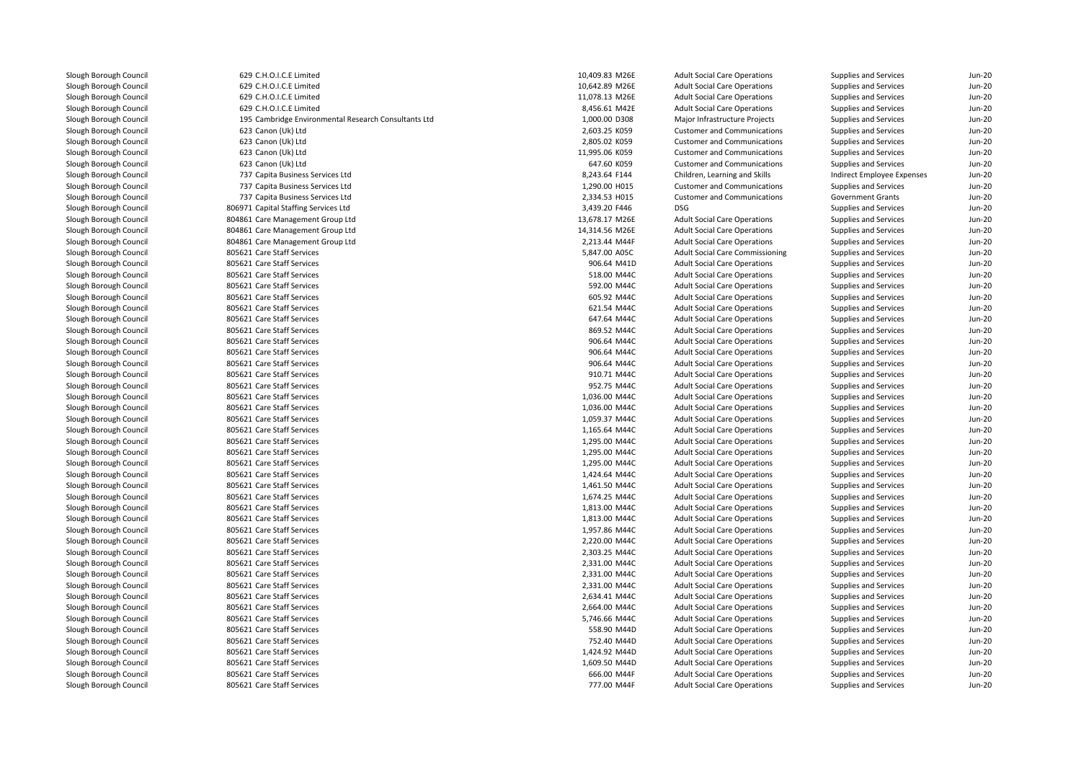629 C.H.O.I.C.E Limited 629 C.H.O.I.C.E Limited 629 C.H.O.I.C.E Limited 629 C.H.O.I.C.E Limited 195 Cambridge Environmental Research Consultants Ltd 623 Canon (Uk) Ltd 623 Canon (Uk) Ltd 623 Canon (Uk) Ltd 623 Canon (Uk) Ltd 737 Capita Business Services Ltd 737 Capita Business Services Ltd 737 Capita Business Services Ltd 806971 Capital Staffing Services Ltd 804861 Care Management Group Ltd 804861 Care Management Group Ltd 804861 Care Management Group Ltd 805621 Care Staff Services 5,847.00 A05C**805621 Care Staff Services** 60 August 2006.64 M41D 906.64 M41D 906.64 M41D 805621 Care Staff Services 618.00 M44C State 318.00 M44C State 318.00 M44C 805621 Care Staff Services 692.00 M44C Services 592.00 M44C **805621 Care Staff Services** 605.92 M44C 805621 Care Staff Services 621.54 M44C 805621 Care Staff Services Care Staff Services 647.64 M44C**805621 Care Staff Services** 869.52 M44C **805621 Care Staff Services** 906.64 M44C 805621 Care Staff Services 906.64 M44Cend and the South Solid State Staff Services and the Solid State State State State State State State State State State State State State State State State State State State State State State State State State State State S **805621 Care Staff Services** 910.71 M44C **805621 Care Staff Services** 952.75 M44C **1** 805621 Care Staff Services 1,036.00 M44C **1** 805621 Care Staff Services 1,036.00 M44C 805621 Care Staff Services Care Staff Services 1,059.37 M44C805621 Care Staff Services 1,165.64 M44C 805621 Care Staff Services Care Staff Services 1,295.00 M44C**1** 805621 Care Staff Services 1,295.00 M44C **1** 805621 Care Staff Services **1,295.00 M44C** 1,295.00 M44C 805621 Care Staff Services 1,424.64 M44C **805621 Care Staff Services** 1,461.50 M44C **805621 Care Staff Services** 1,674.25 M44C **1** 805621 Care Staff Services **1,813.00 M44C 1** 805621 Care Staff Services **1,813.00 M44C 1** 805621 Care Staff Services **1,957.86** M44C 805621 Care Staff Services 2,220.00 M44C 805621 Care Staff Services 2,303.25 M44C 805621 Care Staff Services 2,331.00 M44C 805621 Care Staff Services 2,331.00 M44C 805621 Care Staff Services 2,331.00 M44C 805621 Care Staff Services 2,634.41 M44C805621 Care Staff Services Care Staff Services 2,664.00 M44C 805621 Care Staff Services 5,746.66 M44C**1** 805621 Care Staff Services 658.90 M44D State 30 State 31 Apr 358.90 M44D State 30 State 31 Apr 358.90 M44D State 31 Apr 36 **1** 805621 Care Staff Services **752.40** M44D **1** 805621 Care Staff Services 1,424.92 M44D **1** 805621 Care Staff Services 1,609.50 M44D and the staff Services 1,609.50 M44D and the staff Services 1,609.50 M44D 805621 Care Staff Services 805621 Care Staff Services

| 9 C.H.O.I.C.E Limited                              | 10,409.83 M26E | <b>Adult Social Care Operations</b>    | Supplies and Services      | $Jun-20$ |
|----------------------------------------------------|----------------|----------------------------------------|----------------------------|----------|
| 9 C.H.O.I.C.E Limited                              | 10,642.89 M26E | <b>Adult Social Care Operations</b>    | Supplies and Services      | $Jun-2C$ |
| 9 C.H.O.I.C.E Limited                              | 11,078.13 M26E | <b>Adult Social Care Operations</b>    | Supplies and Services      | $Jun-2C$ |
| 9 C.H.O.I.C.E Limited                              | 8,456.61 M42E  | <b>Adult Social Care Operations</b>    | Supplies and Services      | $Jun-20$ |
| 5 Cambridge Environmental Research Consultants Ltd | 1,000.00 D308  | Major Infrastructure Projects          | Supplies and Services      | $Jun-2C$ |
| 3 Canon (Uk) Ltd                                   | 2,603.25 K059  | <b>Customer and Communications</b>     | Supplies and Services      | $Jun-2C$ |
| 3 Canon (Uk) Ltd                                   | 2,805.02 K059  | <b>Customer and Communications</b>     | Supplies and Services      | $Jun-20$ |
| 3 Canon (Uk) Ltd                                   | 11,995.06 K059 | <b>Customer and Communications</b>     | Supplies and Services      | $Jun-2C$ |
| 3 Canon (Uk) Ltd                                   | 647.60 K059    | <b>Customer and Communications</b>     | Supplies and Services      | $Jun-2C$ |
| 7 Capita Business Services Ltd                     | 8,243.64 F144  | Children, Learning and Skills          | Indirect Employee Expenses | $Jun-20$ |
| 7 Capita Business Services Ltd                     | 1,290.00 H015  | <b>Customer and Communications</b>     | Supplies and Services      | $Jun-2C$ |
| 7 Capita Business Services Ltd                     | 2,334.53 H015  | <b>Customer and Communications</b>     | <b>Government Grants</b>   | Jun-20   |
| 1 Capital Staffing Services Ltd                    | 3,439.20 F446  | <b>DSG</b>                             | Supplies and Services      | $Jun-20$ |
| 1 Care Management Group Ltd                        | 13,678.17 M26E | <b>Adult Social Care Operations</b>    | Supplies and Services      | $Jun-2C$ |
| 1 Care Management Group Ltd                        | 14,314.56 M26E | <b>Adult Social Care Operations</b>    | Supplies and Services      | $Jun-2C$ |
| 1 Care Management Group Ltd                        | 2,213.44 M44F  | <b>Adult Social Care Operations</b>    | Supplies and Services      | $Jun-20$ |
| 1 Care Staff Services                              | 5,847.00 A05C  | <b>Adult Social Care Commissioning</b> | Supplies and Services      | $Jun-2C$ |
| 1 Care Staff Services                              | 906.64 M41D    | <b>Adult Social Care Operations</b>    | Supplies and Services      | $Jun-2C$ |
| 1 Care Staff Services                              | 518.00 M44C    | <b>Adult Social Care Operations</b>    | Supplies and Services      | $Jun-20$ |
| 1 Care Staff Services                              | 592.00 M44C    | <b>Adult Social Care Operations</b>    | Supplies and Services      | $Jun-2C$ |
| 1 Care Staff Services                              | 605.92 M44C    | <b>Adult Social Care Operations</b>    | Supplies and Services      | $Jun-2C$ |
| 1 Care Staff Services                              | 621.54 M44C    | <b>Adult Social Care Operations</b>    | Supplies and Services      | $Jun-20$ |
| 1 Care Staff Services                              | 647.64 M44C    | <b>Adult Social Care Operations</b>    | Supplies and Services      | $Jun-2C$ |
| 1 Care Staff Services                              | 869.52 M44C    | <b>Adult Social Care Operations</b>    | Supplies and Services      | $Jun-2C$ |
| 1 Care Staff Services                              | 906.64 M44C    | <b>Adult Social Care Operations</b>    | Supplies and Services      | $Jun-20$ |
| 1 Care Staff Services                              | 906.64 M44C    | <b>Adult Social Care Operations</b>    | Supplies and Services      | $Jun-2C$ |
| 1 Care Staff Services                              | 906.64 M44C    | <b>Adult Social Care Operations</b>    | Supplies and Services      | $Jun-2C$ |
| 1 Care Staff Services                              | 910.71 M44C    | <b>Adult Social Care Operations</b>    | Supplies and Services      | $Jun-20$ |
| 1 Care Staff Services                              | 952.75 M44C    | <b>Adult Social Care Operations</b>    | Supplies and Services      | $Jun-2C$ |
| 1 Care Staff Services                              | 1,036.00 M44C  | <b>Adult Social Care Operations</b>    | Supplies and Services      | $Jun-2C$ |
| 1 Care Staff Services                              | 1,036.00 M44C  | <b>Adult Social Care Operations</b>    | Supplies and Services      | $Jun-20$ |
| 1 Care Staff Services                              | 1,059.37 M44C  | <b>Adult Social Care Operations</b>    | Supplies and Services      | $Jun-2C$ |
| 1 Care Staff Services                              | 1,165.64 M44C  | <b>Adult Social Care Operations</b>    | Supplies and Services      | $Jun-20$ |
| 1 Care Staff Services                              | 1,295.00 M44C  | <b>Adult Social Care Operations</b>    | Supplies and Services      | $Jun-20$ |
| 1 Care Staff Services                              | 1,295.00 M44C  | <b>Adult Social Care Operations</b>    | Supplies and Services      | $Jun-20$ |
| 1 Care Staff Services                              | 1,295.00 M44C  | <b>Adult Social Care Operations</b>    | Supplies and Services      | $Jun-2C$ |
| 1 Care Staff Services                              | 1,424.64 M44C  | <b>Adult Social Care Operations</b>    | Supplies and Services      | $Jun-20$ |
| 1 Care Staff Services                              | 1,461.50 M44C  | <b>Adult Social Care Operations</b>    | Supplies and Services      | $Jun-2C$ |
| 1 Care Staff Services                              | 1,674.25 M44C  | <b>Adult Social Care Operations</b>    | Supplies and Services      | $Jun-2C$ |
| 1 Care Staff Services                              | 1,813.00 M44C  | <b>Adult Social Care Operations</b>    | Supplies and Services      | $Jun-20$ |
| 1 Care Staff Services                              | 1,813.00 M44C  | <b>Adult Social Care Operations</b>    | Supplies and Services      | $Jun-2C$ |
| 1 Care Staff Services                              | 1,957.86 M44C  | <b>Adult Social Care Operations</b>    | Supplies and Services      | Jun-20   |
| 1 Care Staff Services                              | 2,220.00 M44C  | <b>Adult Social Care Operations</b>    | Supplies and Services      | Jun-20   |
| 1 Care Staff Services                              | 2,303.25 M44C  | <b>Adult Social Care Operations</b>    | Supplies and Services      | $Jun-2C$ |
| 1 Care Staff Services                              | 2,331.00 M44C  | <b>Adult Social Care Operations</b>    | Supplies and Services      | $Jun-20$ |
| 1 Care Staff Services                              | 2,331.00 M44C  | <b>Adult Social Care Operations</b>    | Supplies and Services      | Jun-20   |
| 1 Care Staff Services                              | 2,331.00 M44C  | <b>Adult Social Care Operations</b>    | Supplies and Services      | $Jun-2C$ |
| 1 Care Staff Services                              | 2,634.41 M44C  | <b>Adult Social Care Operations</b>    | Supplies and Services      | $Jun-20$ |
| 1 Care Staff Services                              | 2,664.00 M44C  | <b>Adult Social Care Operations</b>    | Supplies and Services      | Jun-20   |
| 1 Care Staff Services                              | 5,746.66 M44C  | <b>Adult Social Care Operations</b>    | Supplies and Services      | $Jun-20$ |
| 1 Care Staff Services                              | 558.90 M44D    | <b>Adult Social Care Operations</b>    | Supplies and Services      | $Jun-20$ |
| 1 Care Staff Services                              | 752.40 M44D    | <b>Adult Social Care Operations</b>    | Supplies and Services      | Jun-20   |
| 1 Care Staff Services                              | 1,424.92 M44D  | <b>Adult Social Care Operations</b>    | Supplies and Services      | $Jun-20$ |
| 1 Care Staff Services                              | 1,609.50 M44D  | <b>Adult Social Care Operations</b>    | Supplies and Services      | $Jun-20$ |
| 1 Care Staff Services                              | 666.00 M44F    | <b>Adult Social Care Operations</b>    | Supplies and Services      | $Jun-2C$ |
| 1 Care Staff Services                              | 777.00 M44F    | <b>Adult Social Care Operations</b>    | Supplies and Services      | $Jun-20$ |
|                                                    |                |                                        |                            |          |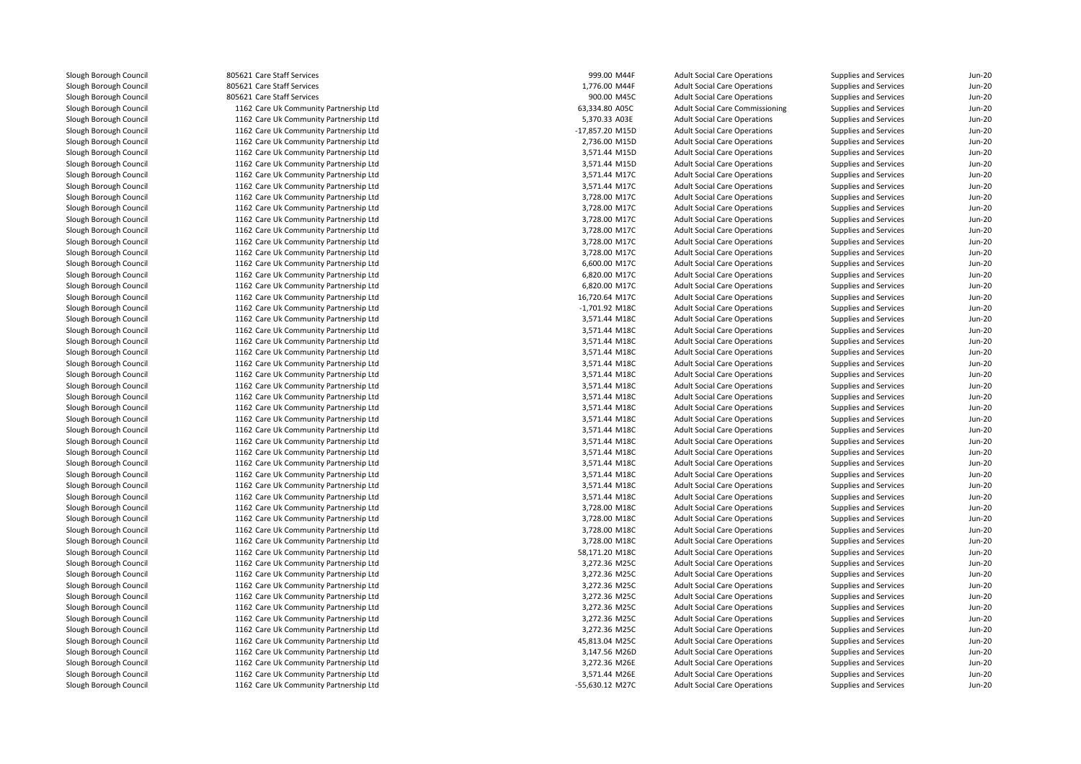805621 Care Staff Services 805621 Care Staff Services l and the state State Services entries and the services of the state of the state of the state  $900.00$  M45C services and the state of the state of the state of the state of the state of the state of the state of the state 1162 Care Uk Community Partnership Ltd 1162 Care Uk Community Partnership Ltd 1162 Care Uk Community Partnership Ltd 1162 Care Uk Community Partnership Ltd 1162 Care Uk Community Partnership Ltd 1162 Care Uk Community Partnership Ltd 1162 Care Uk Community Partnership Ltd 1162 Care Uk Community Partnership Ltd 1162 Care Uk Community Partnership Ltd 1162 Care Uk Community Partnership Ltd 1162 Care Uk Community Partnership Ltd 1162 Care Uk Community Partnership Ltd 1162 Care Uk Community Partnership Ltd 1162 Care Uk Community Partnership Ltd 1162 Care Uk Community Partnership Ltd 1162 Care Uk Community Partnership Ltd 1162 Care Uk Community Partnership Ltd 1162 Care Uk Community Partnership Ltd 1162 Care Uk Community Partnership Ltd 1162 Care Uk Community Partnership Ltd 1162 Care Uk Community Partnership Ltd 1162 Care Uk Community Partnership Ltd 1162 Care Uk Community Partnership Ltd 1162 Care Uk Community Partnership Ltd 1162 Care Uk Community Partnership Ltd 1162 Care Uk Community Partnership Ltd 1162 Care Uk Community Partnership Ltd 1162 Care Uk Community Partnership Ltd 1162 Care Uk Community Partnership Ltd 1162 Care Uk Community Partnership Ltd 1162 Care Uk Community Partnership Ltd 1162 Care Uk Community Partnership Ltd 1162 Care Uk Community Partnership Ltd 1162 Care Uk Community Partnership Ltd 1162 Care Uk Community Partnership Ltd 1162 Care Uk Community Partnership Ltd 1162 Care Uk Community Partnership Ltd 1162 Care Uk Community Partnership Ltd 1162 Care Uk Community Partnership Ltd 1162 Care Uk Community Partnership Ltd 1162 Care Uk Community Partnership Ltd 1162 Care Uk Community Partnership Ltd 1162 Care Uk Community Partnership Ltd 1162 Care Uk Community Partnership Ltd 1162 Care Uk Community Partnership Ltd 1162 Care Uk Community Partnership Ltd 1162 Care Uk Community Partnership Ltd 1162 Care Uk Community Partnership Ltd 1162 Care Uk Community Partnership Ltd 1162 Care Uk Community Partnership Ltd 1162 Care Uk Community Partnership Ltd 1162 Care Uk Community Partnership Ltd1162 Care Uk Community Partnership Ltd

| 1 Care Staff Services               | 999.00 M44F     | <b>Adult Social Care Operations</b>    | Supplies and Services | <b>Jun-20</b> |
|-------------------------------------|-----------------|----------------------------------------|-----------------------|---------------|
| 1 Care Staff Services               | 1,776.00 M44F   | <b>Adult Social Care Operations</b>    | Supplies and Services | <b>Jun-20</b> |
| 1 Care Staff Services               | 900.00 M45C     | <b>Adult Social Care Operations</b>    | Supplies and Services | <b>Jun-20</b> |
| 2 Care Uk Community Partnership Ltd | 63,334.80 A05C  | <b>Adult Social Care Commissioning</b> | Supplies and Services | <b>Jun-20</b> |
| 2 Care Uk Community Partnership Ltd | 5,370.33 A03E   | <b>Adult Social Care Operations</b>    | Supplies and Services | <b>Jun-20</b> |
| 2 Care Uk Community Partnership Ltd | -17,857.20 M15D | <b>Adult Social Care Operations</b>    | Supplies and Services | <b>Jun-20</b> |
| 2 Care Uk Community Partnership Ltd | 2,736.00 M15D   | <b>Adult Social Care Operations</b>    | Supplies and Services | <b>Jun-20</b> |
| 2 Care Uk Community Partnership Ltd | 3,571.44 M15D   | <b>Adult Social Care Operations</b>    | Supplies and Services | Jun-20        |
| 2 Care Uk Community Partnership Ltd | 3,571.44 M15D   | <b>Adult Social Care Operations</b>    | Supplies and Services | <b>Jun-20</b> |
| 2 Care Uk Community Partnership Ltd | 3,571.44 M17C   | <b>Adult Social Care Operations</b>    | Supplies and Services | <b>Jun-20</b> |
| 2 Care Uk Community Partnership Ltd | 3,571.44 M17C   | <b>Adult Social Care Operations</b>    | Supplies and Services | <b>Jun-20</b> |
| 2 Care Uk Community Partnership Ltd | 3,728.00 M17C   | <b>Adult Social Care Operations</b>    | Supplies and Services | <b>Jun-20</b> |
| 2 Care Uk Community Partnership Ltd | 3,728.00 M17C   | <b>Adult Social Care Operations</b>    | Supplies and Services | <b>Jun-20</b> |
| 2 Care Uk Community Partnership Ltd | 3,728.00 M17C   | <b>Adult Social Care Operations</b>    | Supplies and Services | <b>Jun-20</b> |
| 2 Care Uk Community Partnership Ltd | 3,728.00 M17C   | <b>Adult Social Care Operations</b>    | Supplies and Services | <b>Jun-20</b> |
| 2 Care Uk Community Partnership Ltd | 3,728.00 M17C   | <b>Adult Social Care Operations</b>    | Supplies and Services | <b>Jun-20</b> |
| 2 Care Uk Community Partnership Ltd | 3,728.00 M17C   | <b>Adult Social Care Operations</b>    | Supplies and Services | <b>Jun-20</b> |
| 2 Care Uk Community Partnership Ltd | 6,600.00 M17C   | <b>Adult Social Care Operations</b>    | Supplies and Services | Jun-20        |
| 2 Care Uk Community Partnership Ltd | 6,820.00 M17C   | <b>Adult Social Care Operations</b>    | Supplies and Services | <b>Jun-20</b> |
| 2 Care Uk Community Partnership Ltd | 6,820.00 M17C   | <b>Adult Social Care Operations</b>    | Supplies and Services | <b>Jun-20</b> |
| 2 Care Uk Community Partnership Ltd | 16,720.64 M17C  | <b>Adult Social Care Operations</b>    | Supplies and Services | <b>Jun-20</b> |
| 2 Care Uk Community Partnership Ltd | -1,701.92 M18C  | <b>Adult Social Care Operations</b>    | Supplies and Services | <b>Jun-20</b> |
| 2 Care Uk Community Partnership Ltd | 3,571.44 M18C   | <b>Adult Social Care Operations</b>    | Supplies and Services | <b>Jun-20</b> |
| 2 Care Uk Community Partnership Ltd | 3,571.44 M18C   | <b>Adult Social Care Operations</b>    | Supplies and Services | Jun-20        |
| 2 Care Uk Community Partnership Ltd | 3,571.44 M18C   | <b>Adult Social Care Operations</b>    | Supplies and Services | <b>Jun-20</b> |
| 2 Care Uk Community Partnership Ltd | 3,571.44 M18C   | <b>Adult Social Care Operations</b>    | Supplies and Services | <b>Jun-20</b> |
| 2 Care Uk Community Partnership Ltd | 3,571.44 M18C   | <b>Adult Social Care Operations</b>    | Supplies and Services | Jun-20        |
| 2 Care Uk Community Partnership Ltd | 3,571.44 M18C   | <b>Adult Social Care Operations</b>    | Supplies and Services | <b>Jun-20</b> |
| 2 Care Uk Community Partnership Ltd | 3,571.44 M18C   | <b>Adult Social Care Operations</b>    | Supplies and Services | <b>Jun-20</b> |
| 2 Care Uk Community Partnership Ltd | 3,571.44 M18C   | <b>Adult Social Care Operations</b>    | Supplies and Services | <b>Jun-20</b> |
| 2 Care Uk Community Partnership Ltd | 3,571.44 M18C   | <b>Adult Social Care Operations</b>    | Supplies and Services | <b>Jun-20</b> |
| 2 Care Uk Community Partnership Ltd | 3,571.44 M18C   | <b>Adult Social Care Operations</b>    | Supplies and Services | <b>Jun-20</b> |
| 2 Care Uk Community Partnership Ltd | 3,571.44 M18C   | <b>Adult Social Care Operations</b>    | Supplies and Services | <b>Jun-20</b> |
| 2 Care Uk Community Partnership Ltd | 3,571.44 M18C   | <b>Adult Social Care Operations</b>    | Supplies and Services | <b>Jun-20</b> |
| 2 Care Uk Community Partnership Ltd | 3,571.44 M18C   | <b>Adult Social Care Operations</b>    | Supplies and Services | <b>Jun-20</b> |
| 2 Care Uk Community Partnership Ltd |                 |                                        |                       | <b>Jun-20</b> |
| 2 Care Uk Community Partnership Ltd | 3,571.44 M18C   | <b>Adult Social Care Operations</b>    | Supplies and Services | <b>Jun-20</b> |
|                                     | 3,571.44 M18C   | <b>Adult Social Care Operations</b>    | Supplies and Services |               |
| 2 Care Uk Community Partnership Ltd | 3,571.44 M18C   | <b>Adult Social Care Operations</b>    | Supplies and Services | <b>Jun-20</b> |
| 2 Care Uk Community Partnership Ltd | 3,571.44 M18C   | <b>Adult Social Care Operations</b>    | Supplies and Services | <b>Jun-20</b> |
| 2 Care Uk Community Partnership Ltd | 3,728.00 M18C   | <b>Adult Social Care Operations</b>    | Supplies and Services | Jun-20        |
| 2 Care Uk Community Partnership Ltd | 3,728.00 M18C   | <b>Adult Social Care Operations</b>    | Supplies and Services | <b>Jun-20</b> |
| 2 Care Uk Community Partnership Ltd | 3,728.00 M18C   | <b>Adult Social Care Operations</b>    | Supplies and Services | <b>Jun-20</b> |
| 2 Care Uk Community Partnership Ltd | 3,728.00 M18C   | <b>Adult Social Care Operations</b>    | Supplies and Services | <b>Jun-20</b> |
| 2 Care Uk Community Partnership Ltd | 58,171.20 M18C  | <b>Adult Social Care Operations</b>    | Supplies and Services | <b>Jun-20</b> |
| 2 Care Uk Community Partnership Ltd | 3,272.36 M25C   | <b>Adult Social Care Operations</b>    | Supplies and Services | <b>Jun-20</b> |
| 2 Care Uk Community Partnership Ltd | 3,272.36 M25C   | <b>Adult Social Care Operations</b>    | Supplies and Services | <b>Jun-20</b> |
| 2 Care Uk Community Partnership Ltd | 3,272.36 M25C   | <b>Adult Social Care Operations</b>    | Supplies and Services | <b>Jun-20</b> |
| 2 Care Uk Community Partnership Ltd | 3,272.36 M25C   | <b>Adult Social Care Operations</b>    | Supplies and Services | <b>Jun-20</b> |
| 2 Care Uk Community Partnership Ltd | 3,272.36 M25C   | <b>Adult Social Care Operations</b>    | Supplies and Services | <b>Jun-20</b> |
| 2 Care Uk Community Partnership Ltd | 3,272.36 M25C   | <b>Adult Social Care Operations</b>    | Supplies and Services | <b>Jun-20</b> |
| 2 Care Uk Community Partnership Ltd | 3,272.36 M25C   | <b>Adult Social Care Operations</b>    | Supplies and Services | <b>Jun-20</b> |
| 2 Care Uk Community Partnership Ltd | 45,813.04 M25C  | <b>Adult Social Care Operations</b>    | Supplies and Services | <b>Jun-20</b> |
| 2 Care Uk Community Partnership Ltd | 3,147.56 M26D   | <b>Adult Social Care Operations</b>    | Supplies and Services | <b>Jun-20</b> |
| 2 Care Uk Community Partnership Ltd | 3,272.36 M26E   | <b>Adult Social Care Operations</b>    | Supplies and Services | <b>Jun-20</b> |
| 2 Care Uk Community Partnership Ltd | 3,571.44 M26E   | <b>Adult Social Care Operations</b>    | Supplies and Services | <b>Jun-20</b> |
| 2 Care Uk Community Partnershin Itd | -55 630 12 M27C | <b>Adult Social Care Operations</b>    | Supplies and Services | $\ln n - 20$  |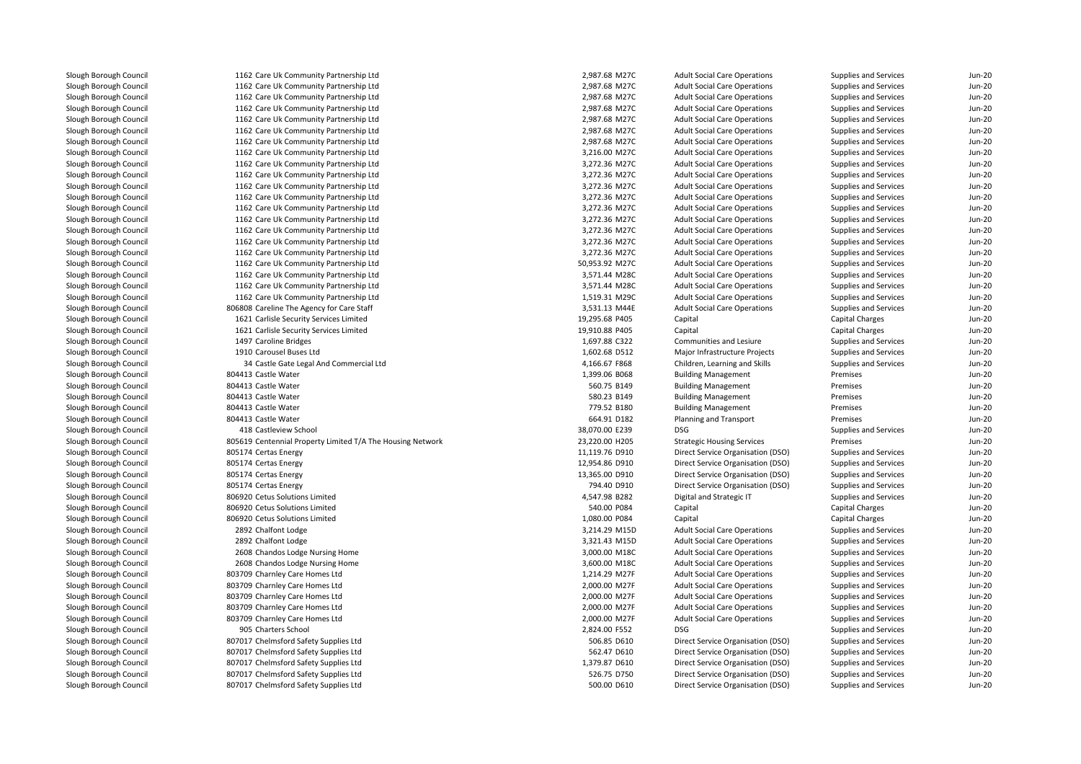| 1162 Care Uk Community Partnership Ltd                           | 2,987.68 M27C  | <b>Adult Social Care Operations</b> | Supplies and Services  | Jun-20        |
|------------------------------------------------------------------|----------------|-------------------------------------|------------------------|---------------|
| 1162 Care Uk Community Partnership Ltd                           | 2,987.68 M27C  | <b>Adult Social Care Operations</b> | Supplies and Services  | <b>Jun-20</b> |
| 1162 Care Uk Community Partnership Ltd                           | 2,987.68 M27C  | <b>Adult Social Care Operations</b> | Supplies and Services  | <b>Jun-20</b> |
| 1162 Care Uk Community Partnership Ltd                           | 2,987.68 M27C  | <b>Adult Social Care Operations</b> | Supplies and Services  | <b>Jun-20</b> |
| 1162 Care Uk Community Partnership Ltd                           | 2,987.68 M27C  | <b>Adult Social Care Operations</b> | Supplies and Services  | <b>Jun-20</b> |
| 1162 Care Uk Community Partnership Ltd                           | 2,987.68 M27C  | <b>Adult Social Care Operations</b> | Supplies and Services  | <b>Jun-20</b> |
| 1162 Care Uk Community Partnership Ltd                           | 2,987.68 M27C  | <b>Adult Social Care Operations</b> | Supplies and Services  | <b>Jun-20</b> |
| 1162 Care Uk Community Partnership Ltd                           | 3,216.00 M27C  | <b>Adult Social Care Operations</b> | Supplies and Services  | <b>Jun-20</b> |
| 1162 Care Uk Community Partnership Ltd                           | 3,272.36 M27C  | <b>Adult Social Care Operations</b> | Supplies and Services  | <b>Jun-20</b> |
| 1162 Care Uk Community Partnership Ltd                           | 3,272.36 M27C  | <b>Adult Social Care Operations</b> | Supplies and Services  | <b>Jun-20</b> |
| 1162 Care Uk Community Partnership Ltd                           | 3,272.36 M27C  | <b>Adult Social Care Operations</b> | Supplies and Services  | <b>Jun-20</b> |
| 1162 Care Uk Community Partnership Ltd                           | 3,272.36 M27C  | <b>Adult Social Care Operations</b> | Supplies and Services  | <b>Jun-20</b> |
| 1162 Care Uk Community Partnership Ltd                           | 3,272.36 M27C  | <b>Adult Social Care Operations</b> | Supplies and Services  | <b>Jun-20</b> |
| 1162 Care Uk Community Partnership Ltd                           | 3,272.36 M27C  | <b>Adult Social Care Operations</b> | Supplies and Services  | <b>Jun-20</b> |
| 1162 Care Uk Community Partnership Ltd                           | 3,272.36 M27C  | <b>Adult Social Care Operations</b> | Supplies and Services  | <b>Jun-20</b> |
| 1162 Care Uk Community Partnership Ltd                           | 3,272.36 M27C  | <b>Adult Social Care Operations</b> | Supplies and Services  | <b>Jun-20</b> |
| 1162 Care Uk Community Partnership Ltd                           | 3,272.36 M27C  | <b>Adult Social Care Operations</b> | Supplies and Services  | <b>Jun-20</b> |
| 1162 Care Uk Community Partnership Ltd                           | 50,953.92 M27C | <b>Adult Social Care Operations</b> | Supplies and Services  | <b>Jun-20</b> |
| 1162 Care Uk Community Partnership Ltd                           | 3,571.44 M28C  | <b>Adult Social Care Operations</b> | Supplies and Services  | <b>Jun-20</b> |
| 1162 Care Uk Community Partnership Ltd                           | 3,571.44 M28C  | <b>Adult Social Care Operations</b> | Supplies and Services  | <b>Jun-20</b> |
| 1162 Care Uk Community Partnership Ltd                           | 1,519.31 M29C  | <b>Adult Social Care Operations</b> | Supplies and Services  | <b>Jun-20</b> |
| 806808 Careline The Agency for Care Staff                        | 3,531.13 M44E  | <b>Adult Social Care Operations</b> | Supplies and Services  | <b>Jun-20</b> |
| 1621 Carlisle Security Services Limited                          | 19,295.68 P405 | Capital                             | <b>Capital Charges</b> | <b>Jun-20</b> |
| 1621 Carlisle Security Services Limited                          | 19,910.88 P405 | Capital                             | <b>Capital Charges</b> | <b>Jun-20</b> |
| 1497 Caroline Bridges                                            | 1,697.88 C322  | Communities and Lesiure             | Supplies and Services  | <b>Jun-20</b> |
| 1910 Carousel Buses Ltd                                          | 1,602.68 D512  | Major Infrastructure Projects       | Supplies and Services  | <b>Jun-20</b> |
| 34 Castle Gate Legal And Commercial Ltd                          | 4,166.67 F868  | Children, Learning and Skills       | Supplies and Services  | <b>Jun-20</b> |
| 804413 Castle Water                                              | 1,399.06 B068  | <b>Building Management</b>          | Premises               | <b>Jun-20</b> |
| 804413 Castle Water                                              | 560.75 B149    | <b>Building Management</b>          | Premises               | <b>Jun-20</b> |
| 804413 Castle Water                                              | 580.23 B149    | <b>Building Management</b>          | Premises               | <b>Jun-20</b> |
| 804413 Castle Water                                              | 779.52 B180    | <b>Building Management</b>          | Premises               | <b>Jun-20</b> |
| 804413 Castle Water                                              | 664.91 D182    | Planning and Transport              | Premises               | <b>Jun-20</b> |
| 418 Castleview School                                            | 38,070.00 E239 | <b>DSG</b>                          | Supplies and Services  | <b>Jun-20</b> |
| 805619 Centennial Property Limited T/A The Housing Network       | 23,220.00 H205 | <b>Strategic Housing Services</b>   | Premises               | <b>Jun-20</b> |
| 805174 Certas Energy                                             | 11,119.76 D910 | Direct Service Organisation (DSO)   | Supplies and Services  | Jun-20        |
| 805174 Certas Energy                                             | 12,954.86 D910 | Direct Service Organisation (DSO)   | Supplies and Services  | <b>Jun-20</b> |
|                                                                  | 13,365.00 D910 | Direct Service Organisation (DSO)   |                        | <b>Jun-20</b> |
| 805174 Certas Energy                                             | 794.40 D910    |                                     | Supplies and Services  | <b>Jun-20</b> |
| 805174 Certas Energy                                             |                | Direct Service Organisation (DSO)   | Supplies and Services  |               |
| 806920 Cetus Solutions Limited<br>806920 Cetus Solutions Limited | 4,547.98 B282  | Digital and Strategic IT            | Supplies and Services  | <b>Jun-20</b> |
|                                                                  | 540.00 P084    | Capital                             | <b>Capital Charges</b> | <b>Jun-20</b> |
| 806920 Cetus Solutions Limited                                   | 1,080.00 P084  | Capital                             | <b>Capital Charges</b> | <b>Jun-20</b> |
| 2892 Chalfont Lodge                                              | 3,214.29 M15D  | <b>Adult Social Care Operations</b> | Supplies and Services  | <b>Jun-20</b> |
| 2892 Chalfont Lodge                                              | 3,321.43 M15D  | <b>Adult Social Care Operations</b> | Supplies and Services  | <b>Jun-20</b> |
| 2608 Chandos Lodge Nursing Home                                  | 3,000.00 M18C  | <b>Adult Social Care Operations</b> | Supplies and Services  | <b>Jun-20</b> |
| 2608 Chandos Lodge Nursing Home                                  | 3,600.00 M18C  | <b>Adult Social Care Operations</b> | Supplies and Services  | <b>Jun-20</b> |
| 803709 Charnley Care Homes Ltd                                   | 1,214.29 M27F  | <b>Adult Social Care Operations</b> | Supplies and Services  | <b>Jun-20</b> |
| 803709 Charnley Care Homes Ltd                                   | 2,000.00 M27F  | <b>Adult Social Care Operations</b> | Supplies and Services  | <b>Jun-20</b> |
| 803709 Charnley Care Homes Ltd                                   | 2,000.00 M27F  | <b>Adult Social Care Operations</b> | Supplies and Services  | <b>Jun-20</b> |
| 803709 Charnley Care Homes Ltd                                   | 2,000.00 M27F  | <b>Adult Social Care Operations</b> | Supplies and Services  | <b>Jun-20</b> |
| 803709 Charnley Care Homes Ltd                                   | 2,000.00 M27F  | <b>Adult Social Care Operations</b> | Supplies and Services  | <b>Jun-20</b> |
| 905 Charters School                                              | 2,824.00 F552  | <b>DSG</b>                          | Supplies and Services  | <b>Jun-20</b> |
| 807017 Chelmsford Safety Supplies Ltd                            | 506.85 D610    | Direct Service Organisation (DSO)   | Supplies and Services  | <b>Jun-20</b> |
| 807017 Chelmsford Safety Supplies Ltd                            | 562.47 D610    | Direct Service Organisation (DSO)   | Supplies and Services  | <b>Jun-20</b> |
| 807017 Chelmsford Safety Supplies Ltd                            | 1,379.87 D610  | Direct Service Organisation (DSO)   | Supplies and Services  | <b>Jun-20</b> |
| 807017 Chelmsford Safety Supplies Ltd                            | 526.75 D750    | Direct Service Organisation (DSO)   | Supplies and Services  | <b>Jun-20</b> |
| 807017 Chelmsford Safety Supplies Ltd                            | 500.00 D610    | Direct Service Organisation (DSO)   | Supplies and Services  | <b>Jun-20</b> |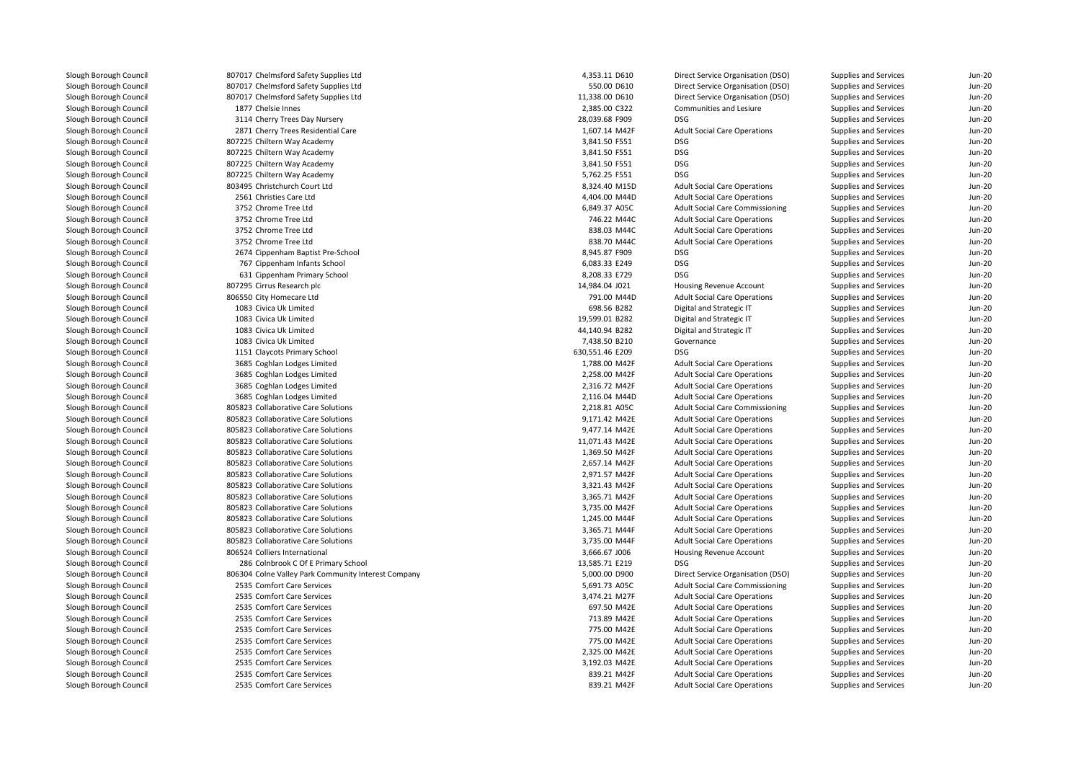| 807017 Chelmsford Safety Supplies Ltd               | 4,353.11 D610   | Direct Service Organisation (DSO)      | Supplies and Services        | Jun-20   |
|-----------------------------------------------------|-----------------|----------------------------------------|------------------------------|----------|
| 807017 Chelmsford Safety Supplies Ltd               | 550.00 D610     | Direct Service Organisation (DSO)      | Supplies and Services        | Jun-20   |
| 807017 Chelmsford Safety Supplies Ltd               | 11,338.00 D610  | Direct Service Organisation (DSO)      | Supplies and Services        | $Jun-20$ |
| 1877 Chelsie Innes                                  | 2,385.00 C322   | Communities and Lesiure                | Supplies and Services        | $Jun-2C$ |
| 3114 Cherry Trees Day Nursery                       | 28,039.68 F909  | DSG                                    | Supplies and Services        | Jun-20   |
| 2871 Cherry Trees Residential Care                  | 1,607.14 M42F   | <b>Adult Social Care Operations</b>    | Supplies and Services        | $Jun-2C$ |
| 807225 Chiltern Way Academy                         | 3,841.50 F551   | DSG                                    | Supplies and Services        | Jun-20   |
| 807225 Chiltern Way Academy                         | 3,841.50 F551   | <b>DSG</b>                             | Supplies and Services        | $Jun-2C$ |
| 807225 Chiltern Way Academy                         | 3,841.50 F551   | <b>DSG</b>                             | Supplies and Services        | Jun-20   |
| 807225 Chiltern Way Academy                         | 5,762.25 F551   | <b>DSG</b>                             | Supplies and Services        | $Jun-20$ |
| 803495 Christchurch Court Ltd                       | 8,324.40 M15D   | <b>Adult Social Care Operations</b>    | Supplies and Services        | Jun-20   |
| 2561 Christies Care Ltd                             | 4,404.00 M44D   | <b>Adult Social Care Operations</b>    | Supplies and Services        | $Jun-20$ |
| 3752 Chrome Tree Ltd                                | 6,849.37 A05C   | <b>Adult Social Care Commissioning</b> | Supplies and Services        | $Jun-2C$ |
| 3752 Chrome Tree Ltd                                | 746.22 M44C     | <b>Adult Social Care Operations</b>    | Supplies and Services        | $Jun-20$ |
| 3752 Chrome Tree Ltd                                | 838.03 M44C     | <b>Adult Social Care Operations</b>    | Supplies and Services        | Jun-20   |
| 3752 Chrome Tree Ltd                                | 838.70 M44C     | <b>Adult Social Care Operations</b>    | Supplies and Services        | Jun-20   |
| 2674 Cippenham Baptist Pre-School                   | 8,945.87 F909   | DSG                                    | Supplies and Services        | $Jun-20$ |
| 767 Cippenham Infants School                        | 6,083.33 E249   | <b>DSG</b>                             | Supplies and Services        | Jun-20   |
| 631 Cippenham Primary School                        | 8,208.33 E729   | <b>DSG</b>                             | Supplies and Services        | Jun-20   |
| 807295 Cirrus Research plc                          | 14,984.04 J021  | Housing Revenue Account                | Supplies and Services        | $Jun-2C$ |
| 806550 City Homecare Ltd                            | 791.00 M44D     | <b>Adult Social Care Operations</b>    | Supplies and Services        | Jun-20   |
| 1083 Civica Uk Limited                              | 698.56 B282     | Digital and Strategic IT               | Supplies and Services        | $Jun-20$ |
| 1083 Civica Uk Limited                              | 19,599.01 B282  | Digital and Strategic IT               | Supplies and Services        | $Jun-2C$ |
| 1083 Civica Uk Limited                              | 44,140.94 B282  | Digital and Strategic IT               | Supplies and Services        | Jun-20   |
| 1083 Civica Uk Limited                              | 7,438.50 B210   | Governance                             | Supplies and Services        | $Jun-2C$ |
| 1151 Claycots Primary School                        | 630,551.46 E209 | DSG                                    | Supplies and Services        | $Jun-20$ |
| 3685 Coghlan Lodges Limited                         | 1,788.00 M42F   | <b>Adult Social Care Operations</b>    | <b>Supplies and Services</b> | Jun-20   |
| 3685 Coghlan Lodges Limited                         | 2,258.00 M42F   | <b>Adult Social Care Operations</b>    | Supplies and Services        | Jun-20   |
| 3685 Coghlan Lodges Limited                         | 2,316.72 M42F   | <b>Adult Social Care Operations</b>    | Supplies and Services        | $Jun-2C$ |
| 3685 Coghlan Lodges Limited                         | 2,116.04 M44D   | <b>Adult Social Care Operations</b>    | Supplies and Services        | Jun-20   |
| 805823 Collaborative Care Solutions                 | 2,218.81 A05C   | <b>Adult Social Care Commissioning</b> | Supplies and Services        | $Jun-20$ |
| 805823 Collaborative Care Solutions                 | 9,171.42 M42E   | <b>Adult Social Care Operations</b>    | Supplies and Services        | $Jun-2C$ |
| 805823 Collaborative Care Solutions                 | 9,477.14 M42E   | <b>Adult Social Care Operations</b>    | Supplies and Services        | Jun-20   |
| 805823 Collaborative Care Solutions                 | 11,071.43 M42E  | <b>Adult Social Care Operations</b>    | Supplies and Services        | $Jun-2C$ |
| 805823 Collaborative Care Solutions                 | 1,369.50 M42F   | <b>Adult Social Care Operations</b>    | Supplies and Services        | Jun-20   |
| 805823 Collaborative Care Solutions                 | 2,657.14 M42F   | <b>Adult Social Care Operations</b>    | Supplies and Services        | $Jun-20$ |
| 805823 Collaborative Care Solutions                 | 2,971.57 M42F   | <b>Adult Social Care Operations</b>    | Supplies and Services        | Jun-20   |
| 805823 Collaborative Care Solutions                 | 3,321.43 M42F   | <b>Adult Social Care Operations</b>    | Supplies and Services        | Jun-20   |
| 805823 Collaborative Care Solutions                 | 3,365.71 M42F   | <b>Adult Social Care Operations</b>    | Supplies and Services        | $Jun-2C$ |
| 805823 Collaborative Care Solutions                 | 3,735.00 M42F   | <b>Adult Social Care Operations</b>    | Supplies and Services        | Jun-20   |
| 805823 Collaborative Care Solutions                 | 1,245.00 M44F   | <b>Adult Social Care Operations</b>    | <b>Supplies and Services</b> | $Jun-2C$ |
| 805823 Collaborative Care Solutions                 | 3,365.71 M44F   | <b>Adult Social Care Operations</b>    | Supplies and Services        | $Jun-2C$ |
| 805823 Collaborative Care Solutions                 | 3,735.00 M44F   | <b>Adult Social Care Operations</b>    | Supplies and Services        | $Jun-20$ |
| 806524 Colliers International                       | 3,666.67 J006   | Housing Revenue Account                | Supplies and Services        | $Jun-2C$ |
| 286 Colnbrook C Of E Primary School                 | 13,585.71 E219  | <b>DSG</b>                             | Supplies and Services        | Jun-20   |
| 806304 Colne Valley Park Community Interest Company | 5,000.00 D900   | Direct Service Organisation (DSO)      | Supplies and Services        | Jun-20   |
| 2535 Comfort Care Services                          | 5,691.73 A05C   | <b>Adult Social Care Commissioning</b> | Supplies and Services        | $Jun-20$ |
| 2535 Comfort Care Services                          | 3,474.21 M27F   | <b>Adult Social Care Operations</b>    | Supplies and Services        | $Jun-2C$ |
| 2535 Comfort Care Services                          | 697.50 M42E     | <b>Adult Social Care Operations</b>    | Supplies and Services        | Jun-20   |
| 2535 Comfort Care Services                          | 713.89 M42E     | <b>Adult Social Care Operations</b>    | Supplies and Services        | $Jun-20$ |
| 2535 Comfort Care Services                          | 775.00 M42E     | <b>Adult Social Care Operations</b>    | Supplies and Services        | $Jun-2C$ |
| 2535 Comfort Care Services                          | 775.00 M42E     | <b>Adult Social Care Operations</b>    | Supplies and Services        | $Jun-20$ |
| 2535 Comfort Care Services                          | 2,325.00 M42E   | <b>Adult Social Care Operations</b>    | Supplies and Services        | $Jun-2C$ |
| 2535 Comfort Care Services                          | 3,192.03 M42E   | <b>Adult Social Care Operations</b>    | Supplies and Services        | Jun-20   |
| 2535 Comfort Care Services                          | 839.21 M42F     | <b>Adult Social Care Operations</b>    | Supplies and Services        | $Jun-2C$ |
| 2535 Comfort Care Services                          | 839.21 M42F     | <b>Adult Social Care Operations</b>    | Supplies and Services        | $Jun-2C$ |
|                                                     |                 |                                        |                              |          |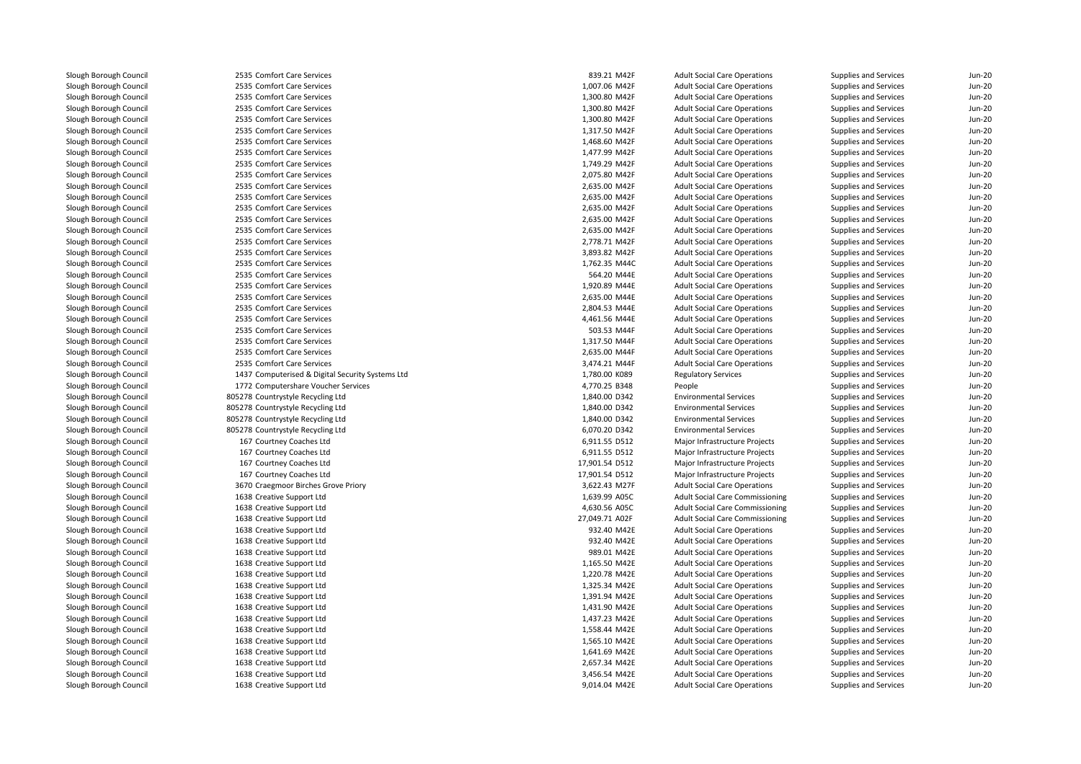| 2535 Comfort Care Services                       | 839.21 M42F    | <b>Adult Social Care Operations</b>    | Supplies and Services        | Jun-20   |
|--------------------------------------------------|----------------|----------------------------------------|------------------------------|----------|
| 2535 Comfort Care Services                       | 1,007.06 M42F  | <b>Adult Social Care Operations</b>    | Supplies and Services        | $Jun-20$ |
| 2535 Comfort Care Services                       | 1,300.80 M42F  | <b>Adult Social Care Operations</b>    | Supplies and Services        | $Jun-20$ |
| 2535 Comfort Care Services                       | 1,300.80 M42F  | <b>Adult Social Care Operations</b>    | Supplies and Services        | $Jun-2C$ |
| 2535 Comfort Care Services                       | 1,300.80 M42F  | <b>Adult Social Care Operations</b>    | Supplies and Services        | $Jun-20$ |
| 2535 Comfort Care Services                       | 1,317.50 M42F  | <b>Adult Social Care Operations</b>    | Supplies and Services        | $Jun-20$ |
| 2535 Comfort Care Services                       | 1,468.60 M42F  | <b>Adult Social Care Operations</b>    | Supplies and Services        | $Jun-2C$ |
| 2535 Comfort Care Services                       | 1,477.99 M42F  | <b>Adult Social Care Operations</b>    | Supplies and Services        | $Jun-20$ |
| 2535 Comfort Care Services                       | 1,749.29 M42F  | <b>Adult Social Care Operations</b>    | Supplies and Services        | Jun-20   |
| 2535 Comfort Care Services                       | 2,075.80 M42F  | <b>Adult Social Care Operations</b>    | Supplies and Services        | $Jun-2C$ |
| 2535 Comfort Care Services                       | 2,635.00 M42F  | <b>Adult Social Care Operations</b>    | Supplies and Services        | $Jun-20$ |
| 2535 Comfort Care Services                       | 2,635.00 M42F  | <b>Adult Social Care Operations</b>    | Supplies and Services        | Jun-20   |
| 2535 Comfort Care Services                       | 2,635.00 M42F  | <b>Adult Social Care Operations</b>    | Supplies and Services        | Jun-20   |
| 2535 Comfort Care Services                       | 2,635.00 M42F  | <b>Adult Social Care Operations</b>    | Supplies and Services        | $Jun-20$ |
| 2535 Comfort Care Services                       | 2,635.00 M42F  | <b>Adult Social Care Operations</b>    | <b>Supplies and Services</b> | Jun-20   |
| 2535 Comfort Care Services                       | 2,778.71 M42F  | <b>Adult Social Care Operations</b>    | Supplies and Services        | $Jun-2C$ |
| 2535 Comfort Care Services                       | 3,893.82 M42F  | <b>Adult Social Care Operations</b>    | Supplies and Services        | $Jun-20$ |
| 2535 Comfort Care Services                       | 1,762.35 M44C  | <b>Adult Social Care Operations</b>    | Supplies and Services        | Jun-20   |
| 2535 Comfort Care Services                       | 564.20 M44E    | <b>Adult Social Care Operations</b>    | Supplies and Services        | $Jun-20$ |
| 2535 Comfort Care Services                       | 1,920.89 M44E  | <b>Adult Social Care Operations</b>    | Supplies and Services        | $Jun-2C$ |
| 2535 Comfort Care Services                       | 2,635.00 M44E  | <b>Adult Social Care Operations</b>    | Supplies and Services        | Jun-20   |
| 2535 Comfort Care Services                       | 2,804.53 M44E  | <b>Adult Social Care Operations</b>    | Supplies and Services        | $Jun-20$ |
| 2535 Comfort Care Services                       | 4,461.56 M44E  | <b>Adult Social Care Operations</b>    | Supplies and Services        | $Jun-2C$ |
| 2535 Comfort Care Services                       | 503.53 M44F    | <b>Adult Social Care Operations</b>    | Supplies and Services        | Jun-20   |
| 2535 Comfort Care Services                       | 1,317.50 M44F  | <b>Adult Social Care Operations</b>    | Supplies and Services        | $Jun-20$ |
| 2535 Comfort Care Services                       | 2,635.00 M44F  | <b>Adult Social Care Operations</b>    | Supplies and Services        | $Jun-2C$ |
| 2535 Comfort Care Services                       | 3,474.21 M44F  | <b>Adult Social Care Operations</b>    | Supplies and Services        | Jun-20   |
| 1437 Computerised & Digital Security Systems Ltd | 1,780.00 K089  | <b>Regulatory Services</b>             | Supplies and Services        | $Jun-2C$ |
| 1772 Computershare Voucher Services              | 4,770.25 B348  | People                                 | Supplies and Services        | $Jun-2C$ |
| 805278 Countrystyle Recycling Ltd                | 1,840.00 D342  | <b>Environmental Services</b>          | Supplies and Services        | Jun-20   |
| 805278 Countrystyle Recycling Ltd                | 1,840.00 D342  | <b>Environmental Services</b>          | Supplies and Services        | $Jun-2C$ |
| 805278 Countrystyle Recycling Ltd                | 1,840.00 D342  | <b>Environmental Services</b>          | Supplies and Services        | $Jun-2C$ |
| 805278 Countrystyle Recycling Ltd                | 6,070.20 D342  | <b>Environmental Services</b>          | Supplies and Services        | Jun-20   |
| 167 Courtney Coaches Ltd                         | 6,911.55 D512  | Major Infrastructure Projects          | Supplies and Services        | $Jun-2C$ |
| 167 Courtney Coaches Ltd                         | 6,911.55 D512  | Major Infrastructure Projects          | Supplies and Services        | $Jun-20$ |
| 167 Courtney Coaches Ltd                         | 17,901.54 D512 | Major Infrastructure Projects          | Supplies and Services        | $Jun-20$ |
| 167 Courtney Coaches Ltd                         | 17,901.54 D512 | Major Infrastructure Projects          | Supplies and Services        | Jun-20   |
| 3670 Craegmoor Birches Grove Priory              | 3,622.43 M27F  | <b>Adult Social Care Operations</b>    | Supplies and Services        | $Jun-20$ |
| 1638 Creative Support Ltd                        | 1,639.99 A05C  | <b>Adult Social Care Commissioning</b> | Supplies and Services        | $Jun-2C$ |
| 1638 Creative Support Ltd                        | 4,630.56 A05C  | <b>Adult Social Care Commissioning</b> | Supplies and Services        | Jun-20   |
| 1638 Creative Support Ltd                        | 27,049.71 A02F | <b>Adult Social Care Commissioning</b> | Supplies and Services        | $Jun-20$ |
| 1638 Creative Support Ltd                        | 932.40 M42E    | <b>Adult Social Care Operations</b>    | Supplies and Services        | $Jun-2C$ |
| 1638 Creative Support Ltd                        | 932.40 M42E    | <b>Adult Social Care Operations</b>    | Supplies and Services        | Jun-20   |
| 1638 Creative Support Ltd                        | 989.01 M42E    | <b>Adult Social Care Operations</b>    | Supplies and Services        | $Jun-2C$ |
| 1638 Creative Support Ltd                        | 1,165.50 M42E  | <b>Adult Social Care Operations</b>    | Supplies and Services        | $Jun-2C$ |
| 1638 Creative Support Ltd                        | 1,220.78 M42E  | <b>Adult Social Care Operations</b>    | Supplies and Services        | Jun-20   |
| 1638 Creative Support Ltd                        | 1,325.34 M42E  | <b>Adult Social Care Operations</b>    | Supplies and Services        | $Jun-2C$ |
| 1638 Creative Support Ltd                        | 1,391.94 M42E  | <b>Adult Social Care Operations</b>    | Supplies and Services        | $Jun-2C$ |
| 1638 Creative Support Ltd                        | 1,431.90 M42E  | <b>Adult Social Care Operations</b>    | Supplies and Services        | $Jun-20$ |
| 1638 Creative Support Ltd                        | 1,437.23 M42E  | <b>Adult Social Care Operations</b>    | Supplies and Services        | $Jun-2C$ |
| 1638 Creative Support Ltd                        | 1,558.44 M42E  | <b>Adult Social Care Operations</b>    | Supplies and Services        | $Jun-20$ |
| 1638 Creative Support Ltd                        | 1,565.10 M42E  | <b>Adult Social Care Operations</b>    | <b>Supplies and Services</b> | $Jun-2C$ |
| 1638 Creative Support Ltd                        | 1,641.69 M42E  | <b>Adult Social Care Operations</b>    | Supplies and Services        | $Jun-20$ |
| 1638 Creative Support Ltd                        | 2,657.34 M42E  | <b>Adult Social Care Operations</b>    | Supplies and Services        | $Jun-20$ |
| 1638 Creative Support Ltd                        | 3,456.54 M42E  | <b>Adult Social Care Operations</b>    | <b>Supplies and Services</b> | Jun-20   |
| 1638 Creative Support Ltd                        | 9,014.04 M42E  | <b>Adult Social Care Operations</b>    | Supplies and Services        | $Jun-20$ |
|                                                  |                |                                        |                              |          |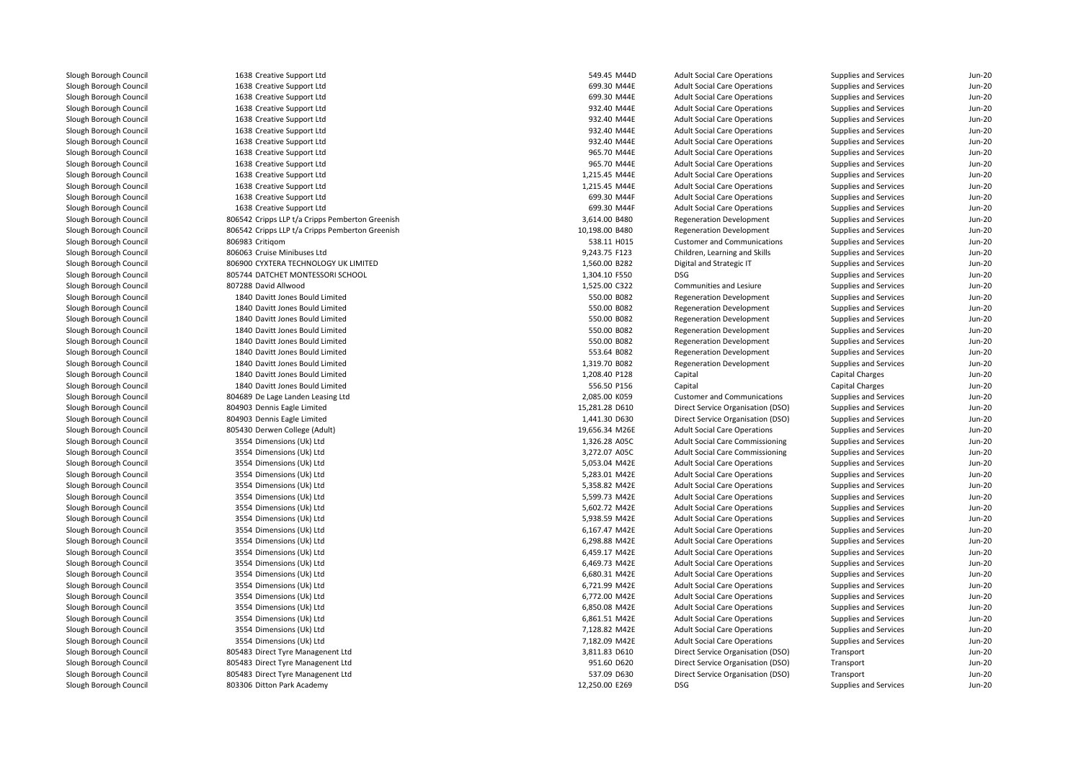1638 Creative Support Ltdd 549.45 M44D 1638 Creative Support Ltd 1638 Creative Support Ltd 1638 Creative Support Ltd 1638 Creative Support Ltd 1638 Creative Support Ltd 1638 Creative Support Ltd 1638 Creative Support Ltd 1638 Creative Support Ltd 1638 Creative Support Ltd 1638 Creative Support Ltd 1638 Creative Support Ltd 1638 Creative Support Ltd 806542 Cripps LLP t/a Cripps Pemberton Greenish 806542 Cripps LLP t/a Cripps Pemberton Greenish 806983 Critiqom 806063 Cruise Minibuses Ltd 806900 CYXTERA TECHNOLOGY UK LIMITEDl 1,304.10 F550 BSG 805744 DATCHET MONTESSORI SCHOOL 1,304.10 F550 BSG 805744 DATCHET MONTESSORI SCHOOL 807288 David Allwood 1840 Davitt Jones Bould Limited 1840 Davitt Jones Bould Limited 1840 Davitt Jones Bould Limited 1840 Davitt Jones Bould Limited 1840 Davitt Jones Bould Limited 1840 Davitt Jones Bould Limited 1840 Davitt Jones Bould Limited 1840 Davitt Jones Bould Limited 1840 Davitt Jones Bould Limited 804689 De Lage Landen Leasing Ltd 804903 Dennis Eagle Limited 804903 Dennis Eagle Limited805430 Derwen College (Adult) 3554 Dimensions (Uk) Ltd 1,326.28 A05C 3554 Dimensions (Uk) Ltd 3,272.07 A05C 3554 Dimensions (Uk) Ltd 3554 Dimensions (Uk) Ltd 3554 Dimensions (Uk) Ltd 3554 Dimensions (Uk) Ltd 3554 Dimensions (Uk) Ltd 3554 Dimensions (Uk) Ltd 3554 Dimensions (Uk) Ltd 3554 Dimensions (Uk) Ltd 3554 Dimensions (Uk) Ltd 3554 Dimensions (Uk) Ltd 3554 Dimensions (Uk) Ltd 3554 Dimensions (Uk) Ltd 3554 Dimensions (Uk) Ltd 3554 Dimensions (Uk) Ltd 3554 Dimensions (Uk) Ltd 3554 Dimensions (Uk) Ltd 3554 Dimensions (Uk) Ltd 805483 Direct Tyre Managenent Ltd 805483 Direct Tyre Managenent Ltd 805483 Direct Tyre Managenent Ltd1 12,250.00 E269 Ditton Park Academy 12,250.00 E269 DSG

| 8 Creative Support Ltd                     | 549.45 M44D    | <b>Adult Social Care Operations</b>    | Supplies and Services  | Jun-20                         |
|--------------------------------------------|----------------|----------------------------------------|------------------------|--------------------------------|
| 8 Creative Support Ltd                     | 699.30 M44E    | <b>Adult Social Care Operations</b>    | Supplies and Services  | <b>Jun-20</b>                  |
| 8 Creative Support Ltd                     | 699.30 M44E    | <b>Adult Social Care Operations</b>    | Supplies and Services  | <b>Jun-20</b>                  |
| 8 Creative Support Ltd                     | 932.40 M44E    | <b>Adult Social Care Operations</b>    | Supplies and Services  | <b>Jun-20</b>                  |
| 8 Creative Support Ltd                     | 932.40 M44E    | <b>Adult Social Care Operations</b>    | Supplies and Services  | <b>Jun-20</b>                  |
| 8 Creative Support Ltd                     | 932.40 M44E    | <b>Adult Social Care Operations</b>    | Supplies and Services  | <b>Jun-20</b>                  |
| 8 Creative Support Ltd                     | 932.40 M44E    | <b>Adult Social Care Operations</b>    | Supplies and Services  | <b>Jun-20</b>                  |
| 8 Creative Support Ltd                     | 965.70 M44E    | <b>Adult Social Care Operations</b>    | Supplies and Services  | <b>Jun-20</b>                  |
| 8 Creative Support Ltd                     | 965.70 M44E    | <b>Adult Social Care Operations</b>    | Supplies and Services  | <b>Jun-20</b>                  |
| 8 Creative Support Ltd                     | 1,215.45 M44E  | <b>Adult Social Care Operations</b>    | Supplies and Services  | <b>Jun-20</b>                  |
| 8 Creative Support Ltd                     | 1,215.45 M44E  | <b>Adult Social Care Operations</b>    | Supplies and Services  | <b>Jun-20</b>                  |
| 8 Creative Support Ltd                     | 699.30 M44F    | <b>Adult Social Care Operations</b>    | Supplies and Services  | <b>Jun-20</b>                  |
| 8 Creative Support Ltd                     | 699.30 M44F    | <b>Adult Social Care Operations</b>    | Supplies and Services  | Jun-20                         |
| 2 Cripps LLP t/a Cripps Pemberton Greenish | 3,614.00 B480  | <b>Regeneration Development</b>        | Supplies and Services  | <b>Jun-20</b>                  |
| 2 Cripps LLP t/a Cripps Pemberton Greenish | 10,198.00 B480 | <b>Regeneration Development</b>        | Supplies and Services  | <b>Jun-20</b>                  |
| 3 Critigom                                 | 538.11 H015    | <b>Customer and Communications</b>     | Supplies and Services  | <b>Jun-20</b>                  |
| 3 Cruise Minibuses Ltd                     | 9,243.75 F123  | Children, Learning and Skills          | Supplies and Services  | <b>Jun-20</b>                  |
| 0 CYXTERA TECHNOLOGY UK LIMITED            | 1,560.00 B282  | Digital and Strategic IT               | Supplies and Services  | <b>Jun-20</b>                  |
| 4 DATCHET MONTESSORI SCHOOL                | 1,304.10 F550  | <b>DSG</b>                             | Supplies and Services  | <b>Jun-20</b>                  |
| 8 David Allwood                            | 1,525.00 C322  | Communities and Lesiure                | Supplies and Services  | Jun-20                         |
| 0 Davitt Jones Bould Limited               | 550.00 B082    | <b>Regeneration Development</b>        | Supplies and Services  | <b>Jun-20</b>                  |
| 0 Davitt Jones Bould Limited               | 550.00 B082    | <b>Regeneration Development</b>        | Supplies and Services  | <b>Jun-20</b>                  |
| 0 Davitt Jones Bould Limited               | 550.00 B082    | <b>Regeneration Development</b>        | Supplies and Services  | <b>Jun-20</b>                  |
| 0 Davitt Jones Bould Limited               | 550.00 B082    | <b>Regeneration Development</b>        | Supplies and Services  | <b>Jun-20</b>                  |
| 0 Davitt Jones Bould Limited               | 550.00 B082    | <b>Regeneration Development</b>        | Supplies and Services  | <b>Jun-20</b>                  |
| 0 Davitt Jones Bould Limited               | 553.64 B082    | <b>Regeneration Development</b>        | Supplies and Services  | <b>Jun-20</b>                  |
| 0 Davitt Jones Bould Limited               | 1,319.70 B082  | <b>Regeneration Development</b>        | Supplies and Services  | <b>Jun-20</b>                  |
| 0 Davitt Jones Bould Limited               | 1,208.40 P128  | Capital                                | <b>Capital Charges</b> | <b>Jun-20</b>                  |
| 0 Davitt Jones Bould Limited               | 556.50 P156    | Capital                                | <b>Capital Charges</b> | <b>Jun-20</b>                  |
| 9 De Lage Landen Leasing Ltd               | 2,085.00 K059  | <b>Customer and Communications</b>     | Supplies and Services  | <b>Jun-20</b>                  |
| 3 Dennis Eagle Limited                     | 15,281.28 D610 | Direct Service Organisation (DSO)      | Supplies and Services  | <b>Jun-20</b>                  |
| 3 Dennis Eagle Limited                     | 1,441.30 D630  | Direct Service Organisation (DSO)      | Supplies and Services  | <b>Jun-20</b>                  |
| 0 Derwen College (Adult)                   | 19,656.34 M26E | <b>Adult Social Care Operations</b>    | Supplies and Services  | <b>Jun-20</b>                  |
| 4 Dimensions (Uk) Ltd                      | 1,326.28 A05C  | <b>Adult Social Care Commissioning</b> | Supplies and Services  | <b>Jun-20</b>                  |
| 4 Dimensions (Uk) Ltd                      | 3,272.07 A05C  | <b>Adult Social Care Commissioning</b> | Supplies and Services  | <b>Jun-20</b>                  |
| 4 Dimensions (Uk) Ltd                      | 5,053.04 M42E  | <b>Adult Social Care Operations</b>    | Supplies and Services  | <b>Jun-20</b>                  |
| 4 Dimensions (Uk) Ltd                      | 5,283.01 M42E  | <b>Adult Social Care Operations</b>    | Supplies and Services  | <b>Jun-20</b>                  |
| 4 Dimensions (Uk) Ltd                      | 5,358.82 M42E  | <b>Adult Social Care Operations</b>    | Supplies and Services  | <b>Jun-20</b>                  |
| 4 Dimensions (Uk) Ltd                      | 5,599.73 M42E  | <b>Adult Social Care Operations</b>    | Supplies and Services  | Jun-20                         |
| 4 Dimensions (Uk) Ltd                      | 5,602.72 M42E  | <b>Adult Social Care Operations</b>    | Supplies and Services  | <b>Jun-20</b>                  |
| 4 Dimensions (Uk) Ltd                      | 5,938.59 M42E  | <b>Adult Social Care Operations</b>    | Supplies and Services  | <b>Jun-20</b>                  |
| 4 Dimensions (Uk) Ltd                      | 6,167.47 M42E  | <b>Adult Social Care Operations</b>    | Supplies and Services  | <b>Jun-20</b>                  |
| 4 Dimensions (Uk) Ltd                      | 6,298.88 M42E  | <b>Adult Social Care Operations</b>    | Supplies and Services  | <b>Jun-20</b>                  |
|                                            |                |                                        |                        |                                |
| 4 Dimensions (Uk) Ltd                      | 6,459.17 M42E  | <b>Adult Social Care Operations</b>    | Supplies and Services  | <b>Jun-20</b><br><b>Jun-20</b> |
| 4 Dimensions (Uk) Ltd                      | 6,469.73 M42E  | <b>Adult Social Care Operations</b>    | Supplies and Services  |                                |
| 4 Dimensions (Uk) Ltd                      | 6,680.31 M42E  | <b>Adult Social Care Operations</b>    | Supplies and Services  | <b>Jun-20</b>                  |
| 4 Dimensions (Uk) Ltd                      | 6,721.99 M42E  | <b>Adult Social Care Operations</b>    | Supplies and Services  | <b>Jun-20</b>                  |
| 4 Dimensions (Uk) Ltd                      | 6,772.00 M42E  | <b>Adult Social Care Operations</b>    | Supplies and Services  | <b>Jun-20</b>                  |
| 4 Dimensions (Uk) Ltd                      | 6,850.08 M42E  | <b>Adult Social Care Operations</b>    | Supplies and Services  | <b>Jun-20</b>                  |
| 4 Dimensions (Uk) Ltd                      | 6,861.51 M42E  | <b>Adult Social Care Operations</b>    | Supplies and Services  | <b>Jun-20</b>                  |
| 4 Dimensions (Uk) Ltd                      | 7,128.82 M42E  | <b>Adult Social Care Operations</b>    | Supplies and Services  | <b>Jun-20</b>                  |
| 4 Dimensions (Uk) Ltd                      | 7,182.09 M42E  | <b>Adult Social Care Operations</b>    | Supplies and Services  | <b>Jun-20</b>                  |
| 3 Direct Tyre Managenent Ltd               | 3,811.83 D610  | Direct Service Organisation (DSO)      | Transport              | <b>Jun-20</b>                  |
| 3 Direct Tyre Managenent Ltd               | 951.60 D620    | Direct Service Organisation (DSO)      | Transport              | <b>Jun-20</b>                  |
| 3 Direct Tyre Managenent Ltd               | 537.09 D630    | Direct Service Organisation (DSO)      | Transport              | <b>Jun-20</b>                  |
| 6 Ditton Park Academy                      | 12 250 00 E269 | DSG                                    | Supplies and Services  | $\ln n - 20$                   |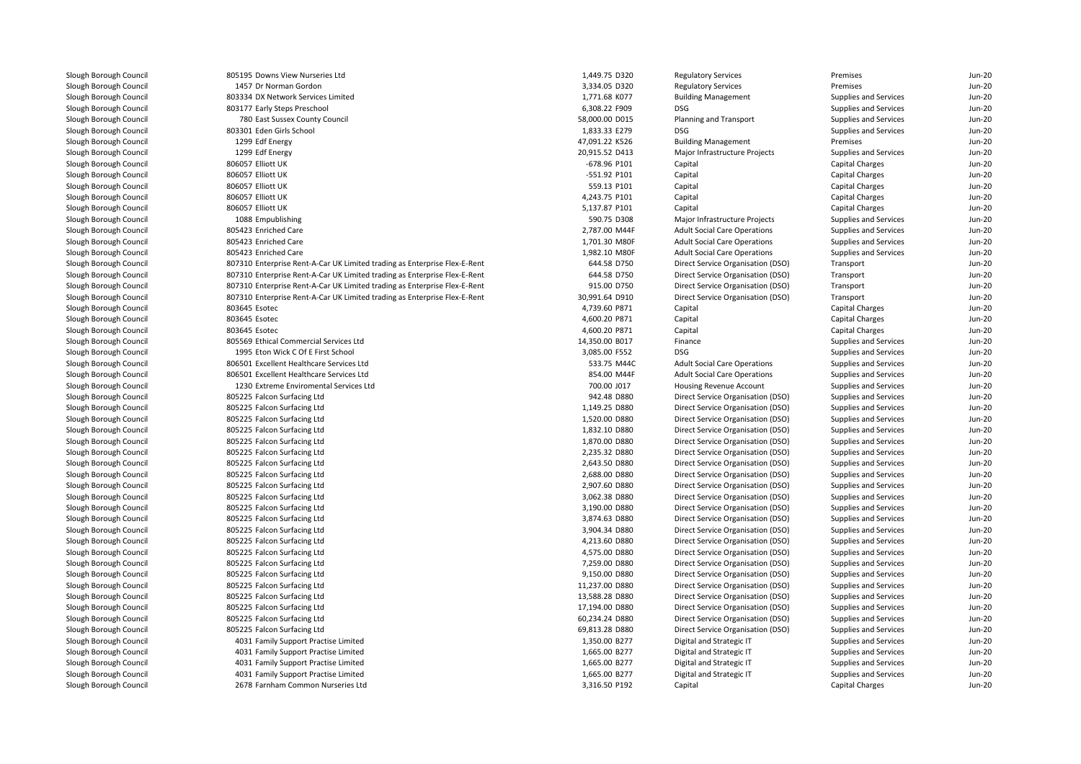| 805195 Downs View Nurseries Ltd                                           | 1,449.75 D320                  | <b>Regulatory Services</b>                                             | Premises                                       | $Jun-20$ |
|---------------------------------------------------------------------------|--------------------------------|------------------------------------------------------------------------|------------------------------------------------|----------|
| 1457 Dr Norman Gordon                                                     | 3,334.05 D320                  | <b>Regulatory Services</b>                                             | Premises                                       | $Jun-20$ |
| 803334 DX Network Services Limited                                        | 1,771.68 K077                  | <b>Building Management</b>                                             | Supplies and Services                          | Jun-20   |
| 803177 Early Steps Preschool                                              | 6,308.22 F909                  | DSG                                                                    | Supplies and Services                          | $Jun-20$ |
| 780 East Sussex County Council                                            | 58,000.00 D015                 | Planning and Transport                                                 | Supplies and Services                          | $Jun-20$ |
| 803301 Eden Girls School                                                  | 1,833.33 E279                  | <b>DSG</b>                                                             | Supplies and Services                          | Jun-20   |
| 1299 Edf Energy                                                           | 47,091.22 K526                 | <b>Building Management</b>                                             | Premises                                       | $Jun-20$ |
| 1299 Edf Energy                                                           | 20,915.52 D413                 | Major Infrastructure Projects                                          | Supplies and Services                          | $Jun-20$ |
| 806057 Elliott UK                                                         | -678.96 P101                   | Capital                                                                | Capital Charges                                | Jun-20   |
| 806057 Elliott UK                                                         | -551.92 P101                   | Capital                                                                | Capital Charges                                | Jun-20   |
| 806057 Elliott UK                                                         | 559.13 P101                    | Capital                                                                | Capital Charges                                | $Jun-2C$ |
| 806057 Elliott UK                                                         | 4,243.75 P101                  | Capital                                                                | Capital Charges                                | Jun-20   |
| 806057 Elliott UK                                                         | 5,137.87 P101                  | Capital                                                                | Capital Charges                                | $Jun-20$ |
| 1088 Empublishing                                                         | 590.75 D308                    | Major Infrastructure Projects                                          | Supplies and Services                          | $Jun-20$ |
| 805423 Enriched Care                                                      | 2,787.00 M44F                  | <b>Adult Social Care Operations</b>                                    | Supplies and Services                          | $Jun-2C$ |
| 805423 Enriched Care                                                      | 1,701.30 M80F                  | <b>Adult Social Care Operations</b>                                    | Supplies and Services                          | Jun-20   |
| 805423 Enriched Care                                                      | 1,982.10 M80F                  | <b>Adult Social Care Operations</b>                                    | Supplies and Services                          | Jun-20   |
| 807310 Enterprise Rent-A-Car UK Limited trading as Enterprise Flex-E-Rent | 644.58 D750                    | Direct Service Organisation (DSO)                                      | Transport                                      | $Jun-2C$ |
| 807310 Enterprise Rent-A-Car UK Limited trading as Enterprise Flex-E-Rent | 644.58 D750                    | Direct Service Organisation (DSO)                                      | Transport                                      | Jun-20   |
| 807310 Enterprise Rent-A-Car UK Limited trading as Enterprise Flex-E-Rent | 915.00 D750                    | Direct Service Organisation (DSO)                                      | Transport                                      | Jun-20   |
| 807310 Enterprise Rent-A-Car UK Limited trading as Enterprise Flex-E-Rent | 30,991.64 D910                 | Direct Service Organisation (DSO)                                      | Transport                                      | $Jun-2C$ |
| 803645 Esotec                                                             | 4,739.60 P871                  | Capital                                                                | Capital Charges                                | Jun-20   |
| 803645 Esotec                                                             | 4,600.20 P871                  | Capital                                                                | Capital Charges                                | Jun-20   |
| 803645 Esotec                                                             | 4,600.20 P871                  | Capital                                                                | Capital Charges                                | $Jun-2C$ |
| 805569 Ethical Commercial Services Ltd                                    | 14,350.00 B017                 | Finance                                                                | Supplies and Services                          | Jun-20   |
| 1995 Eton Wick C Of E First School                                        | 3,085.00 F552                  | DSG                                                                    | Supplies and Services                          | Jun-20   |
| 806501 Excellent Healthcare Services Ltd                                  | 533.75 M44C                    | <b>Adult Social Care Operations</b>                                    | Supplies and Services                          | $Jun-2C$ |
| 806501 Excellent Healthcare Services Ltd                                  | 854.00 M44F                    | <b>Adult Social Care Operations</b>                                    | Supplies and Services                          | Jun-20   |
| 1230 Extreme Enviromental Services Ltd                                    | 700.00 J017                    | Housing Revenue Account                                                | Supplies and Services                          | Jun-20   |
| 805225 Falcon Surfacing Ltd                                               | 942.48 D880                    | Direct Service Organisation (DSO)                                      | Supplies and Services                          | $Jun-2C$ |
| 805225 Falcon Surfacing Ltd                                               | 1,149.25 D880                  | Direct Service Organisation (DSO)                                      | Supplies and Services                          | Jun-20   |
| 805225 Falcon Surfacing Ltd                                               | 1,520.00 D880                  | Direct Service Organisation (DSO)                                      | Supplies and Services                          | $Jun-20$ |
| 805225 Falcon Surfacing Ltd                                               | 1,832.10 D880                  | Direct Service Organisation (DSO)                                      | Supplies and Services                          | $Jun-2C$ |
| 805225 Falcon Surfacing Ltd                                               | 1,870.00 D880                  | Direct Service Organisation (DSO)                                      | Supplies and Services                          | Jun-20   |
| 805225 Falcon Surfacing Ltd                                               | 2,235.32 D880                  | Direct Service Organisation (DSO)                                      | Supplies and Services                          | $Jun-20$ |
| 805225 Falcon Surfacing Ltd                                               | 2,643.50 D880                  | Direct Service Organisation (DSO)                                      | Supplies and Services                          | $Jun-20$ |
| 805225 Falcon Surfacing Ltd                                               | 2,688.00 D880                  | Direct Service Organisation (DSO)                                      | Supplies and Services                          | Jun-20   |
| 805225 Falcon Surfacing Ltd                                               | 2,907.60 D880                  | Direct Service Organisation (DSO)                                      | Supplies and Services                          | $Jun-20$ |
| 805225 Falcon Surfacing Ltd                                               | 3,062.38 D880                  | Direct Service Organisation (DSO)                                      | Supplies and Services                          | $Jun-20$ |
| 805225 Falcon Surfacing Ltd                                               | 3,190.00 D880                  | Direct Service Organisation (DSO)                                      | Supplies and Services                          | Jun-20   |
| 805225 Falcon Surfacing Ltd                                               | 3,874.63 D880                  | Direct Service Organisation (DSO)                                      | Supplies and Services                          | $Jun-20$ |
| 805225 Falcon Surfacing Ltd                                               | 3,904.34 D880                  | Direct Service Organisation (DSO)                                      | Supplies and Services                          | $Jun-20$ |
| 805225 Falcon Surfacing Ltd                                               | 4,213.60 D880                  | Direct Service Organisation (DSO)                                      | Supplies and Services                          | Jun-20   |
| 805225 Falcon Surfacing Ltd                                               | 4,575.00 D880                  | Direct Service Organisation (DSO)                                      | Supplies and Services                          | $Jun-20$ |
|                                                                           |                                |                                                                        |                                                | $Jun-20$ |
| 805225 Falcon Surfacing Ltd<br>805225 Falcon Surfacing Ltd                | 7,259.00 D880<br>9,150.00 D880 | Direct Service Organisation (DSO)<br>Direct Service Organisation (DSO) | Supplies and Services<br>Supplies and Services | Jun-20   |
|                                                                           |                                |                                                                        |                                                |          |
| 805225 Falcon Surfacing Ltd                                               | 11,237.00 D880                 | Direct Service Organisation (DSO)                                      | Supplies and Services                          | $Jun-20$ |
| 805225 Falcon Surfacing Ltd                                               | 13,588.28 D880                 | Direct Service Organisation (DSO)                                      | Supplies and Services                          | $Jun-20$ |
| 805225 Falcon Surfacing Ltd                                               | 17,194.00 D880                 | Direct Service Organisation (DSO)                                      | Supplies and Services                          | Jun-20   |
| 805225 Falcon Surfacing Ltd                                               | 60,234.24 D880                 | Direct Service Organisation (DSO)                                      | Supplies and Services                          | $Jun-20$ |
| 805225 Falcon Surfacing Ltd                                               | 69,813.28 D880                 | Direct Service Organisation (DSO)                                      | Supplies and Services                          | $Jun-20$ |
| 4031 Family Support Practise Limited                                      | 1,350.00 B277                  | Digital and Strategic IT                                               | Supplies and Services                          | Jun-20   |
| 4031 Family Support Practise Limited                                      | 1,665.00 B277                  | Digital and Strategic IT                                               | Supplies and Services                          | $Jun-20$ |
| 4031 Family Support Practise Limited                                      | 1,665.00 B277                  | Digital and Strategic IT                                               | Supplies and Services                          | $Jun-20$ |
| 4031 Family Support Practise Limited                                      | 1,665.00 B277                  | Digital and Strategic IT                                               | Supplies and Services                          | Jun-20   |
| 2678 Farnham Common Nurseries Ltd                                         | 3,316.50 P192                  | Capital                                                                | Capital Charges                                | $Jun-20$ |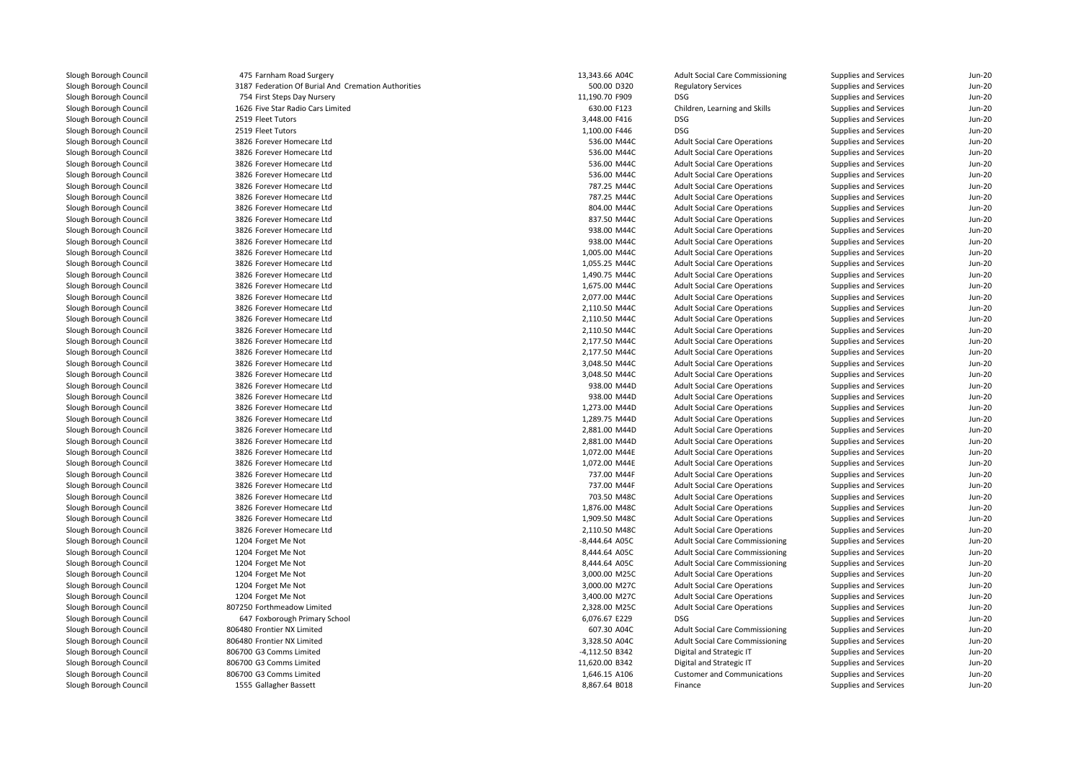| 475 Farnham Road Surgery                            | 13,343.66 A04C | <b>Adult Social Care Commissioning</b> | Supplies and Services | $Jun-20$ |
|-----------------------------------------------------|----------------|----------------------------------------|-----------------------|----------|
| 3187 Federation Of Burial And Cremation Authorities | 500.00 D320    | <b>Regulatory Services</b>             | Supplies and Services | $Jun-20$ |
| 754 First Steps Day Nursery                         | 11,190.70 F909 | <b>DSG</b>                             | Supplies and Services | $Jun-2C$ |
| 1626 Five Star Radio Cars Limited                   | 630.00 F123    | Children, Learning and Skills          | Supplies and Services | Jun-20   |
| 2519 Fleet Tutors                                   | 3,448.00 F416  | DSG                                    | Supplies and Services | Jun-20   |
| 2519 Fleet Tutors                                   | 1,100.00 F446  | <b>DSG</b>                             | Supplies and Services | $Jun-2C$ |
| 3826 Forever Homecare Ltd                           | 536.00 M44C    | <b>Adult Social Care Operations</b>    | Supplies and Services | Jun-20   |
| 3826 Forever Homecare Ltd                           | 536.00 M44C    | <b>Adult Social Care Operations</b>    | Supplies and Services | Jun-20   |
| 3826 Forever Homecare Ltd                           | 536.00 M44C    | <b>Adult Social Care Operations</b>    | Supplies and Services | $Jun-2C$ |
| 3826 Forever Homecare Ltd                           | 536.00 M44C    | <b>Adult Social Care Operations</b>    | Supplies and Services | Jun-20   |
| 3826 Forever Homecare Ltd                           | 787.25 M44C    | <b>Adult Social Care Operations</b>    | Supplies and Services | $Jun-20$ |
| 3826 Forever Homecare Ltd                           | 787.25 M44C    | <b>Adult Social Care Operations</b>    | Supplies and Services | $Jun-2C$ |
| 3826 Forever Homecare Ltd                           | 804.00 M44C    | <b>Adult Social Care Operations</b>    | Supplies and Services | Jun-20   |
| 3826 Forever Homecare Ltd                           | 837.50 M44C    | <b>Adult Social Care Operations</b>    | Supplies and Services | $Jun-20$ |
| 3826 Forever Homecare Ltd                           | 938.00 M44C    | <b>Adult Social Care Operations</b>    | Supplies and Services | $Jun-2C$ |
| 3826 Forever Homecare Ltd                           | 938.00 M44C    | <b>Adult Social Care Operations</b>    | Supplies and Services | Jun-20   |
| 3826 Forever Homecare Ltd                           | 1,005.00 M44C  | <b>Adult Social Care Operations</b>    | Supplies and Services | $Jun-20$ |
| 3826 Forever Homecare Ltd                           | 1,055.25 M44C  | <b>Adult Social Care Operations</b>    | Supplies and Services | $Jun-2C$ |
| 3826 Forever Homecare Ltd                           | 1,490.75 M44C  | <b>Adult Social Care Operations</b>    | Supplies and Services | Jun-20   |
| 3826 Forever Homecare Ltd                           | 1,675.00 M44C  | <b>Adult Social Care Operations</b>    | Supplies and Services | $Jun-20$ |
| 3826 Forever Homecare Ltd                           | 2,077.00 M44C  | <b>Adult Social Care Operations</b>    | Supplies and Services | $Jun-2C$ |
| 3826 Forever Homecare Ltd                           | 2,110.50 M44C  | <b>Adult Social Care Operations</b>    | Supplies and Services | Jun-20   |
| 3826 Forever Homecare Ltd                           | 2,110.50 M44C  | <b>Adult Social Care Operations</b>    | Supplies and Services | $Jun-20$ |
| 3826 Forever Homecare Ltd                           | 2,110.50 M44C  | <b>Adult Social Care Operations</b>    | Supplies and Services | $Jun-2C$ |
| 3826 Forever Homecare Ltd                           | 2,177.50 M44C  | <b>Adult Social Care Operations</b>    | Supplies and Services | Jun-20   |
| 3826 Forever Homecare Ltd                           | 2,177.50 M44C  | <b>Adult Social Care Operations</b>    | Supplies and Services | $Jun-20$ |
| 3826 Forever Homecare Ltd                           | 3,048.50 M44C  | <b>Adult Social Care Operations</b>    | Supplies and Services | $Jun-2C$ |
| 3826 Forever Homecare Ltd                           | 3,048.50 M44C  | <b>Adult Social Care Operations</b>    | Supplies and Services | Jun-20   |
| 3826 Forever Homecare Ltd                           | 938.00 M44D    | <b>Adult Social Care Operations</b>    | Supplies and Services | $Jun-20$ |
| 3826 Forever Homecare Ltd                           | 938.00 M44D    | <b>Adult Social Care Operations</b>    | Supplies and Services | $Jun-2C$ |
| 3826 Forever Homecare Ltd                           | 1,273.00 M44D  | <b>Adult Social Care Operations</b>    | Supplies and Services | Jun-20   |
| 3826 Forever Homecare Ltd                           | 1,289.75 M44D  | <b>Adult Social Care Operations</b>    | Supplies and Services | $Jun-20$ |
| 3826 Forever Homecare Ltd                           | 2,881.00 M44D  | <b>Adult Social Care Operations</b>    | Supplies and Services | $Jun-2C$ |
| 3826 Forever Homecare Ltd                           | 2,881.00 M44D  | <b>Adult Social Care Operations</b>    | Supplies and Services | Jun-20   |
| 3826 Forever Homecare Ltd                           | 1,072.00 M44E  | <b>Adult Social Care Operations</b>    | Supplies and Services | $Jun-20$ |
| 3826 Forever Homecare Ltd                           | 1,072.00 M44E  | <b>Adult Social Care Operations</b>    | Supplies and Services | $Jun-2C$ |
| 3826 Forever Homecare Ltd                           | 737.00 M44F    | <b>Adult Social Care Operations</b>    | Supplies and Services | $Jun-2C$ |
| 3826 Forever Homecare Ltd                           | 737.00 M44F    | <b>Adult Social Care Operations</b>    | Supplies and Services | Jun-20   |
| 3826 Forever Homecare Ltd                           | 703.50 M48C    | <b>Adult Social Care Operations</b>    | Supplies and Services | $Jun-2C$ |
| 3826 Forever Homecare Ltd                           | 1,876.00 M48C  | <b>Adult Social Care Operations</b>    | Supplies and Services | $Jun-2C$ |
| 3826 Forever Homecare Ltd                           | 1,909.50 M48C  | <b>Adult Social Care Operations</b>    | Supplies and Services | Jun-20   |
| 3826 Forever Homecare Ltd                           | 2,110.50 M48C  | <b>Adult Social Care Operations</b>    | Supplies and Services | Jun-20   |
| 1204 Forget Me Not                                  | -8,444.64 A05C | <b>Adult Social Care Commissioning</b> | Supplies and Services | $Jun-2C$ |
| 1204 Forget Me Not                                  | 8,444.64 A05C  | <b>Adult Social Care Commissioning</b> | Supplies and Services | Jun-20   |
| 1204 Forget Me Not                                  | 8,444.64 A05C  | <b>Adult Social Care Commissioning</b> | Supplies and Services | Jun-20   |
| 1204 Forget Me Not                                  | 3,000.00 M25C  | <b>Adult Social Care Operations</b>    | Supplies and Services | $Jun-2C$ |
| 1204 Forget Me Not                                  | 3,000.00 M27C  | <b>Adult Social Care Operations</b>    | Supplies and Services | Jun-20   |
| 1204 Forget Me Not                                  | 3,400.00 M27C  | <b>Adult Social Care Operations</b>    | Supplies and Services | Jun-20   |
| 807250 Forthmeadow Limited                          | 2,328.00 M25C  | <b>Adult Social Care Operations</b>    | Supplies and Services | $Jun-2C$ |
| 647 Foxborough Primary School                       | 6,076.67 E229  | DSG                                    | Supplies and Services | Jun-20   |
| 806480 Frontier NX Limited                          | 607.30 A04C    | <b>Adult Social Care Commissioning</b> | Supplies and Services | Jun-20   |
| 806480 Frontier NX Limited                          | 3,328.50 A04C  | <b>Adult Social Care Commissioning</b> | Supplies and Services | $Jun-2C$ |
| 806700 G3 Comms Limited                             | -4,112.50 B342 | Digital and Strategic IT               | Supplies and Services | $Jun-20$ |
| 806700 G3 Comms Limited                             | 11,620.00 B342 | Digital and Strategic IT               | Supplies and Services | Jun-20   |
| 806700 G3 Comms Limited                             | 1,646.15 A106  | <b>Customer and Communications</b>     | Supplies and Services | $Jun-2C$ |
| 1555 Gallagher Bassett                              | 8,867.64 B018  | Finance                                | Supplies and Services | $Jun-2C$ |
|                                                     |                |                                        |                       |          |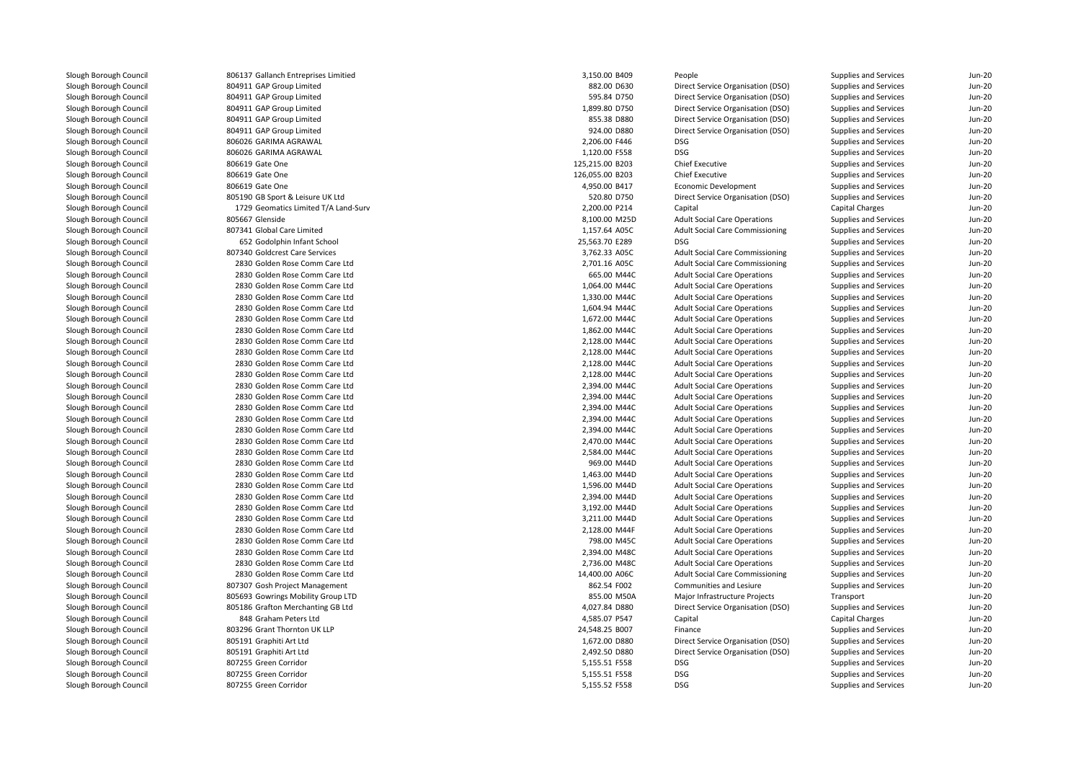| 806137 Gallanch Entreprises Limitied | 3,150.00 B409   | People                                 | Supplies and Services        | Jun-20   |
|--------------------------------------|-----------------|----------------------------------------|------------------------------|----------|
| 804911 GAP Group Limited             | 882.00 D630     | Direct Service Organisation (DSO)      | Supplies and Services        | $Jun-2C$ |
| 804911 GAP Group Limited             | 595.84 D750     | Direct Service Organisation (DSO)      | Supplies and Services        | Jun-20   |
| 804911 GAP Group Limited             | 1,899.80 D750   | Direct Service Organisation (DSO)      | Supplies and Services        | Jun-20   |
| 804911 GAP Group Limited             | 855.38 D880     | Direct Service Organisation (DSO)      | Supplies and Services        | $Jun-2C$ |
| 804911 GAP Group Limited             | 924.00 D880     | Direct Service Organisation (DSO)      | Supplies and Services        | Jun-20   |
| 806026 GARIMA AGRAWAL                | 2,206.00 F446   | <b>DSG</b>                             | Supplies and Services        | $Jun-2C$ |
| 806026 GARIMA AGRAWAL                | 1,120.00 F558   | <b>DSG</b>                             | Supplies and Services        | $Jun-2C$ |
| 806619 Gate One                      | 125,215.00 B203 | <b>Chief Executive</b>                 | Supplies and Services        | Jun-20   |
| 806619 Gate One                      | 126,055.00 B203 | <b>Chief Executive</b>                 | Supplies and Services        | $Jun-20$ |
| 806619 Gate One                      | 4,950.00 B417   | Economic Development                   | Supplies and Services        | $Jun-2C$ |
| 805190 GB Sport & Leisure UK Ltd     | 520.80 D750     | Direct Service Organisation (DSO)      | Supplies and Services        | Jun-20   |
| 1729 Geomatics Limited T/A Land-Surv | 2,200.00 P214   | Capital                                | Capital Charges              | $Jun-20$ |
| 805667 Glenside                      | 8,100.00 M25D   | <b>Adult Social Care Operations</b>    | Supplies and Services        | $Jun-2C$ |
| 807341 Global Care Limited           | 1,157.64 A05C   | <b>Adult Social Care Commissioning</b> | Supplies and Services        | Jun-20   |
| 652 Godolphin Infant School          | 25,563.70 E289  | <b>DSG</b>                             | Supplies and Services        | $Jun-2C$ |
| 807340 Goldcrest Care Services       | 3,762.33 A05C   | <b>Adult Social Care Commissioning</b> | Supplies and Services        | $Jun-2C$ |
| 2830 Golden Rose Comm Care Ltd       | 2,701.16 A05C   | <b>Adult Social Care Commissioning</b> | Supplies and Services        | Jun-20   |
| 2830 Golden Rose Comm Care Ltd       | 665.00 M44C     | <b>Adult Social Care Operations</b>    | Supplies and Services        | $Jun-2C$ |
| 2830 Golden Rose Comm Care Ltd       | 1,064.00 M44C   | <b>Adult Social Care Operations</b>    | Supplies and Services        | $Jun-2C$ |
| 2830 Golden Rose Comm Care Ltd       | 1,330.00 M44C   | <b>Adult Social Care Operations</b>    | Supplies and Services        | Jun-20   |
| 2830 Golden Rose Comm Care Ltd       | 1,604.94 M44C   | <b>Adult Social Care Operations</b>    | Supplies and Services        | $Jun-2C$ |
| 2830 Golden Rose Comm Care Ltd       | 1,672.00 M44C   | <b>Adult Social Care Operations</b>    | Supplies and Services        | $Jun-2C$ |
| 2830 Golden Rose Comm Care Ltd       | 1,862.00 M44C   | <b>Adult Social Care Operations</b>    | Supplies and Services        | Jun-20   |
| 2830 Golden Rose Comm Care Ltd       | 2,128.00 M44C   | <b>Adult Social Care Operations</b>    | Supplies and Services        | $Jun-2C$ |
| 2830 Golden Rose Comm Care Ltd       | 2,128.00 M44C   | <b>Adult Social Care Operations</b>    | Supplies and Services        | $Jun-2C$ |
| 2830 Golden Rose Comm Care Ltd       | 2,128.00 M44C   | <b>Adult Social Care Operations</b>    | Supplies and Services        | Jun-20   |
| 2830 Golden Rose Comm Care Ltd       | 2,128.00 M44C   | <b>Adult Social Care Operations</b>    | Supplies and Services        | $Jun-2C$ |
| 2830 Golden Rose Comm Care Ltd       | 2,394.00 M44C   | <b>Adult Social Care Operations</b>    | Supplies and Services        | $Jun-2C$ |
| 2830 Golden Rose Comm Care Ltd       | 2,394.00 M44C   | <b>Adult Social Care Operations</b>    | Supplies and Services        | Jun-20   |
| 2830 Golden Rose Comm Care Ltd       | 2,394.00 M44C   | <b>Adult Social Care Operations</b>    | Supplies and Services        | $Jun-2C$ |
| 2830 Golden Rose Comm Care Ltd       | 2,394.00 M44C   | <b>Adult Social Care Operations</b>    | Supplies and Services        | $Jun-2C$ |
| 2830 Golden Rose Comm Care Ltd       | 2,394.00 M44C   | <b>Adult Social Care Operations</b>    | Supplies and Services        | Jun-20   |
| 2830 Golden Rose Comm Care Ltd       | 2,470.00 M44C   | <b>Adult Social Care Operations</b>    | Supplies and Services        | $Jun-2C$ |
| 2830 Golden Rose Comm Care Ltd       | 2,584.00 M44C   | <b>Adult Social Care Operations</b>    | Supplies and Services        | $Jun-2C$ |
| 2830 Golden Rose Comm Care Ltd       | 969.00 M44D     | <b>Adult Social Care Operations</b>    | Supplies and Services        | Jun-20   |
| 2830 Golden Rose Comm Care Ltd       | 1,463.00 M44D   | <b>Adult Social Care Operations</b>    | Supplies and Services        | $Jun-2C$ |
| 2830 Golden Rose Comm Care Ltd       | 1,596.00 M44D   | <b>Adult Social Care Operations</b>    | Supplies and Services        | $Jun-2C$ |
| 2830 Golden Rose Comm Care Ltd       | 2,394.00 M44D   | <b>Adult Social Care Operations</b>    | Supplies and Services        | Jun-20   |
| 2830 Golden Rose Comm Care Ltd       | 3,192.00 M44D   | <b>Adult Social Care Operations</b>    | Supplies and Services        | Jun-20   |
| 2830 Golden Rose Comm Care Ltd       | 3,211.00 M44D   | <b>Adult Social Care Operations</b>    | Supplies and Services        | Jun-20   |
| 2830 Golden Rose Comm Care Ltd       | 2,128.00 M44F   | <b>Adult Social Care Operations</b>    | Supplies and Services        | Jun-20   |
| 2830 Golden Rose Comm Care Ltd       | 798.00 M45C     | <b>Adult Social Care Operations</b>    | Supplies and Services        | Jun-20   |
| 2830 Golden Rose Comm Care Ltd       | 2,394.00 M48C   | <b>Adult Social Care Operations</b>    | Supplies and Services        | Jun-20   |
| 2830 Golden Rose Comm Care Ltd       | 2,736.00 M48C   | <b>Adult Social Care Operations</b>    | Supplies and Services        | Jun-20   |
| 2830 Golden Rose Comm Care Ltd       | 14,400.00 A06C  | <b>Adult Social Care Commissioning</b> | Supplies and Services        | Jun-20   |
| 807307 Gosh Project Management       | 862.54 F002     | Communities and Lesiure                | Supplies and Services        | Jun-20   |
| 805693 Gowrings Mobility Group LTD   | 855.00 M50A     | Major Infrastructure Projects          | Transport                    | $Jun-20$ |
| 805186 Grafton Merchanting GB Ltd    | 4,027.84 D880   | Direct Service Organisation (DSO)      | Supplies and Services        | Jun-20   |
| 848 Graham Peters Ltd                | 4,585.07 P547   | Capital                                | Capital Charges              | Jun-20   |
| 803296 Grant Thornton UK LLP         | 24,548.25 B007  | Finance                                | Supplies and Services        | $Jun-20$ |
| 805191 Graphiti Art Ltd              | 1,672.00 D880   | Direct Service Organisation (DSO)      | Supplies and Services        | Jun-20   |
| 805191 Graphiti Art Ltd              | 2,492.50 D880   | Direct Service Organisation (DSO)      | Supplies and Services        | $Jun-20$ |
| 807255 Green Corridor                | 5,155.51 F558   | DSG                                    | <b>Supplies and Services</b> | $Jun-2C$ |
| 807255 Green Corridor                | 5,155.51 F558   | <b>DSG</b>                             | Supplies and Services        | Jun-20   |
| 807255 Green Corridor                | 5,155.52 F558   | <b>DSG</b>                             | Supplies and Services        | Jun-20   |
|                                      |                 |                                        |                              |          |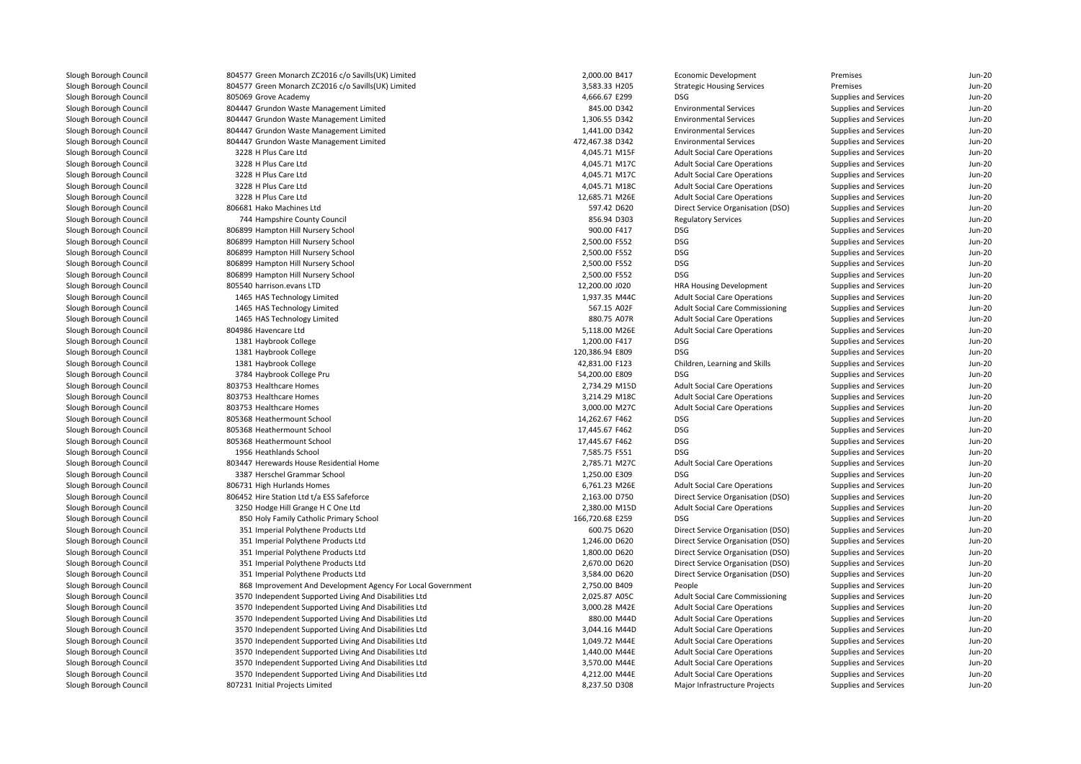| 804577 Green Monarch ZC2016 c/o Savills(UK) Limited         | 2,000.00 B417   | Economic Development                   | Premises                     | Jun-20   |
|-------------------------------------------------------------|-----------------|----------------------------------------|------------------------------|----------|
| 804577 Green Monarch ZC2016 c/o Savills(UK) Limited         | 3,583.33 H205   | <b>Strategic Housing Services</b>      | Premises                     | $Jun-20$ |
| 805069 Grove Academy                                        | 4,666.67 E299   | DSG                                    | Supplies and Services        | $Jun-20$ |
| 804447 Grundon Waste Management Limited                     | 845.00 D342     | <b>Environmental Services</b>          | Supplies and Services        | $Jun-20$ |
| 804447 Grundon Waste Management Limited                     | 1,306.55 D342   | <b>Environmental Services</b>          | Supplies and Services        | $Jun-20$ |
| 804447 Grundon Waste Management Limited                     | 1,441.00 D342   | <b>Environmental Services</b>          | Supplies and Services        | $Jun-20$ |
| 804447 Grundon Waste Management Limited                     | 472,467.38 D342 | <b>Environmental Services</b>          | Supplies and Services        | $Jun-2C$ |
| 3228 H Plus Care Ltd                                        | 4,045.71 M15F   | <b>Adult Social Care Operations</b>    | Supplies and Services        | $Jun-20$ |
| 3228 H Plus Care Ltd                                        | 4,045.71 M17C   | <b>Adult Social Care Operations</b>    | Supplies and Services        | Jun-20   |
| 3228 H Plus Care Ltd                                        | 4,045.71 M17C   | <b>Adult Social Care Operations</b>    | Supplies and Services        | Jun-20   |
| 3228 H Plus Care Ltd                                        | 4,045.71 M18C   | <b>Adult Social Care Operations</b>    | Supplies and Services        | $Jun-20$ |
| 3228 H Plus Care Ltd                                        | 12,685.71 M26E  | <b>Adult Social Care Operations</b>    | Supplies and Services        | Jun-20   |
| 806681 Hako Machines Ltd                                    | 597.42 D620     | Direct Service Organisation (DSO)      | Supplies and Services        | Jun-20   |
| 744 Hampshire County Council                                | 856.94 D303     | <b>Regulatory Services</b>             | Supplies and Services        | $Jun-20$ |
| 806899 Hampton Hill Nursery School                          | 900.00 F417     | <b>DSG</b>                             | <b>Supplies and Services</b> | Jun-20   |
|                                                             | 2,500.00 F552   | <b>DSG</b>                             |                              | Jun-20   |
| 806899 Hampton Hill Nursery School                          |                 | <b>DSG</b>                             | Supplies and Services        |          |
| 806899 Hampton Hill Nursery School                          | 2,500.00 F552   |                                        | Supplies and Services        | $Jun-20$ |
| 806899 Hampton Hill Nursery School                          | 2,500.00 F552   | <b>DSG</b>                             | Supplies and Services        | Jun-20   |
| 806899 Hampton Hill Nursery School                          | 2,500.00 F552   | DSG                                    | Supplies and Services        | $Jun-20$ |
| 805540 harrison.evans LTD                                   | 12,200.00 J020  | <b>HRA Housing Development</b>         | Supplies and Services        | $Jun-20$ |
| 1465 HAS Technology Limited                                 | 1,937.35 M44C   | <b>Adult Social Care Operations</b>    | Supplies and Services        | Jun-20   |
| 1465 HAS Technology Limited                                 | 567.15 A02F     | <b>Adult Social Care Commissioning</b> | Supplies and Services        | $Jun-20$ |
| 1465 HAS Technology Limited                                 | 880.75 A07R     | <b>Adult Social Care Operations</b>    | Supplies and Services        | $Jun-2C$ |
| 804986 Havencare Ltd                                        | 5,118.00 M26E   | <b>Adult Social Care Operations</b>    | Supplies and Services        | Jun-20   |
| 1381 Haybrook College                                       | 1,200.00 F417   | DSG                                    | Supplies and Services        | $Jun-20$ |
| 1381 Haybrook College                                       | 120,386.94 E809 | <b>DSG</b>                             | Supplies and Services        | $Jun-2C$ |
| 1381 Haybrook College                                       | 42,831.00 F123  | Children, Learning and Skills          | Supplies and Services        | Jun-20   |
| 3784 Haybrook College Pru                                   | 54,200.00 E809  | <b>DSG</b>                             | Supplies and Services        | $Jun-2C$ |
| 803753 Healthcare Homes                                     | 2,734.29 M15D   | <b>Adult Social Care Operations</b>    | Supplies and Services        | $Jun-2C$ |
| 803753 Healthcare Homes                                     | 3,214.29 M18C   | <b>Adult Social Care Operations</b>    | Supplies and Services        | Jun-20   |
| 803753 Healthcare Homes                                     | 3,000.00 M27C   | <b>Adult Social Care Operations</b>    | Supplies and Services        | $Jun-2C$ |
| 805368 Heathermount School                                  | 14,262.67 F462  | DSG                                    | Supplies and Services        | Jun-20   |
| 805368 Heathermount School                                  | 17,445.67 F462  | DSG                                    | Supplies and Services        | Jun-20   |
| 805368 Heathermount School                                  | 17,445.67 F462  | <b>DSG</b>                             | Supplies and Services        | Jun-20   |
| 1956 Heathlands School                                      | 7,585.75 F551   | <b>DSG</b>                             | Supplies and Services        | $Jun-20$ |
| 803447 Herewards House Residential Home                     | 2,785.71 M27C   | <b>Adult Social Care Operations</b>    | Supplies and Services        | $Jun-20$ |
| 3387 Herschel Grammar School                                | 1,250.00 E309   | <b>DSG</b>                             | Supplies and Services        | Jun-20   |
| 806731 High Hurlands Homes                                  | 6,761.23 M26E   | <b>Adult Social Care Operations</b>    | Supplies and Services        | Jun-20   |
| 806452 Hire Station Ltd t/a ESS Safeforce                   | 2,163.00 D750   | Direct Service Organisation (DSO)      | Supplies and Services        | $Jun-2C$ |
| 3250 Hodge Hill Grange H C One Ltd                          | 2,380.00 M15D   | <b>Adult Social Care Operations</b>    | Supplies and Services        | Jun-20   |
| 850 Holy Family Catholic Primary School                     | 166,720.68 E259 | DSG                                    | Supplies and Services        | $Jun-20$ |
| 351 Imperial Polythene Products Ltd                         | 600.75 D620     | Direct Service Organisation (DSO)      | Supplies and Services        | $Jun-2C$ |
| 351 Imperial Polythene Products Ltd                         | 1,246.00 D620   | Direct Service Organisation (DSO)      | Supplies and Services        | Jun-20   |
| 351 Imperial Polythene Products Ltd                         | 1,800.00 D620   | Direct Service Organisation (DSO)      | Supplies and Services        | $Jun-2C$ |
| 351 Imperial Polythene Products Ltd                         | 2,670.00 D620   | Direct Service Organisation (DSO)      | Supplies and Services        | $Jun-2C$ |
| 351 Imperial Polythene Products Ltd                         | 3,584.00 D620   | Direct Service Organisation (DSO)      | Supplies and Services        | Jun-20   |
| 868 Improvement And Development Agency For Local Government | 2,750.00 B409   | People                                 | Supplies and Services        | $Jun-2C$ |
| 3570 Independent Supported Living And Disabilities Ltd      | 2,025.87 A05C   | <b>Adult Social Care Commissioning</b> | Supplies and Services        | $Jun-2C$ |
| 3570 Independent Supported Living And Disabilities Ltd      | 3,000.28 M42E   | <b>Adult Social Care Operations</b>    | Supplies and Services        | $Jun-20$ |
| 3570 Independent Supported Living And Disabilities Ltd      | 880.00 M44D     | <b>Adult Social Care Operations</b>    | Supplies and Services        | $Jun-2C$ |
| 3570 Independent Supported Living And Disabilities Ltd      | 3,044.16 M44D   | <b>Adult Social Care Operations</b>    | Supplies and Services        | $Jun-20$ |
|                                                             | 1,049.72 M44E   | <b>Adult Social Care Operations</b>    | Supplies and Services        | $Jun-2C$ |
| 3570 Independent Supported Living And Disabilities Ltd      |                 |                                        |                              |          |
| 3570 Independent Supported Living And Disabilities Ltd      | 1,440.00 M44E   | <b>Adult Social Care Operations</b>    | Supplies and Services        | $Jun-20$ |
| 3570 Independent Supported Living And Disabilities Ltd      | 3,570.00 M44E   | <b>Adult Social Care Operations</b>    | Supplies and Services        | $Jun-20$ |
| 3570 Independent Supported Living And Disabilities Ltd      | 4,212.00 M44E   | <b>Adult Social Care Operations</b>    | Supplies and Services        | Jun-20   |
| 807231 Initial Projects Limited                             | 8,237.50 D308   | Major Infrastructure Projects          | Supplies and Services        | $Jun-20$ |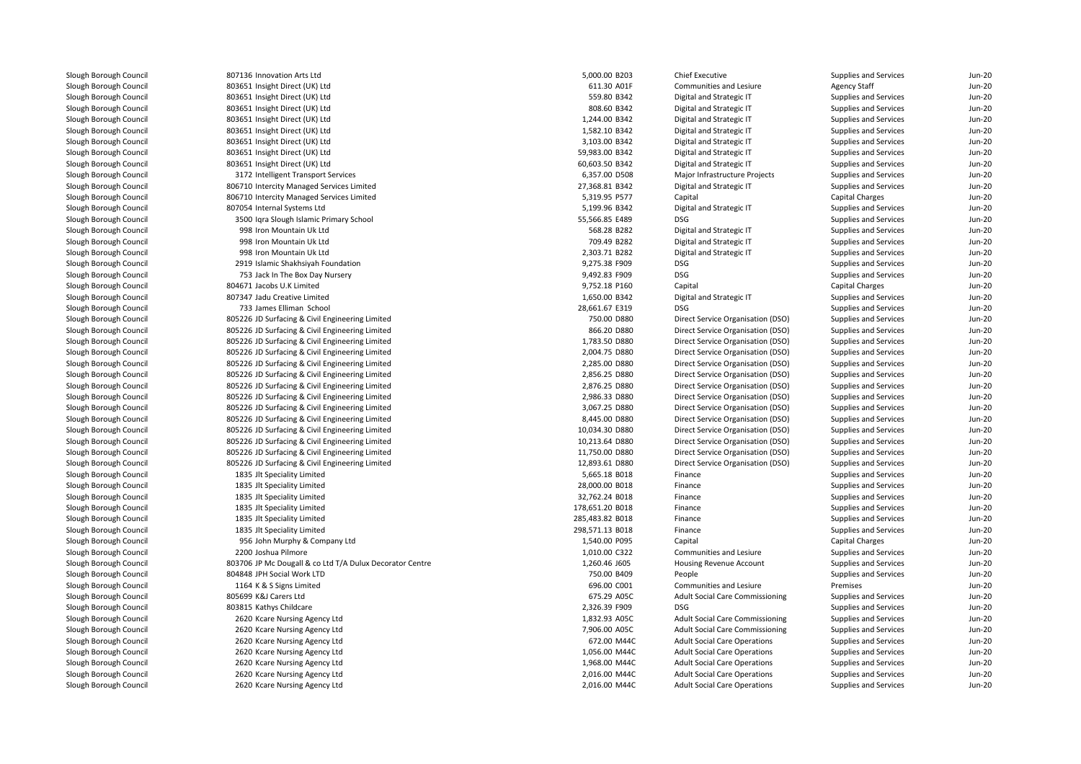| 807136 Innovation Arts Ltd                               | 5,000.00 B203   | Chief Executive                        | Supplies and Services | $Jun-20$ |
|----------------------------------------------------------|-----------------|----------------------------------------|-----------------------|----------|
| 803651 Insight Direct (UK) Ltd                           | 611.30 A01F     | Communities and Lesiure                | <b>Agency Staff</b>   | $Jun-20$ |
| 803651 Insight Direct (UK) Ltd                           | 559.80 B342     | Digital and Strategic IT               | Supplies and Services | Jun-20   |
| 803651 Insight Direct (UK) Ltd                           | 808.60 B342     | Digital and Strategic IT               | Supplies and Services | $Jun-20$ |
| 803651 Insight Direct (UK) Ltd                           | 1,244.00 B342   | Digital and Strategic IT               | Supplies and Services | $Jun-20$ |
| 803651 Insight Direct (UK) Ltd                           | 1,582.10 B342   | Digital and Strategic IT               | Supplies and Services | $Jun-2C$ |
| 803651 Insight Direct (UK) Ltd                           | 3,103.00 B342   | Digital and Strategic IT               | Supplies and Services | $Jun-20$ |
| 803651 Insight Direct (UK) Ltd                           | 59,983.00 B342  | Digital and Strategic IT               | Supplies and Services | $Jun-20$ |
| 803651 Insight Direct (UK) Ltd                           | 60,603.50 B342  | Digital and Strategic IT               | Supplies and Services | Jun-20   |
| 3172 Intelligent Transport Services                      | 6,357.00 D508   | Major Infrastructure Projects          | Supplies and Services | $Jun-20$ |
| 806710 Intercity Managed Services Limited                | 27,368.81 B342  | Digital and Strategic IT               | Supplies and Services | $Jun-2C$ |
| 806710 Intercity Managed Services Limited                | 5,319.95 P577   | Capital                                | Capital Charges       | Jun-20   |
| 807054 Internal Systems Ltd                              | 5,199.96 B342   | Digital and Strategic IT               | Supplies and Services | $Jun-20$ |
| 3500 Iqra Slough Islamic Primary School                  | 55,566.85 E489  | DSG                                    | Supplies and Services | $Jun-20$ |
| 998 Iron Mountain Uk Ltd                                 | 568.28 B282     | Digital and Strategic IT               | Supplies and Services | $Jun-2C$ |
| 998 Iron Mountain Uk Ltd                                 | 709.49 B282     | Digital and Strategic IT               | Supplies and Services | Jun-20   |
| 998 Iron Mountain Uk Ltd                                 | 2,303.71 B282   | Digital and Strategic IT               | Supplies and Services | $Jun-20$ |
| 2919 Islamic Shakhsiyah Foundation                       | 9,275.38 F909   | DSG                                    | Supplies and Services | $Jun-2C$ |
| 753 Jack In The Box Day Nursery                          | 9,492.83 F909   | <b>DSG</b>                             | Supplies and Services | Jun-20   |
| 804671 Jacobs U.K Limited                                | 9,752.18 P160   | Capital                                | Capital Charges       | Jun-20   |
| 807347 Jadu Creative Limited                             | 1,650.00 B342   | Digital and Strategic IT               | Supplies and Services | $Jun-2C$ |
| 733 James Elliman School                                 | 28,661.67 E319  | DSG                                    | Supplies and Services | Jun-20   |
| 805226 JD Surfacing & Civil Engineering Limited          | 750.00 D880     | Direct Service Organisation (DSO)      | Supplies and Services | Jun-20   |
| 805226 JD Surfacing & Civil Engineering Limited          | 866.20 D880     | Direct Service Organisation (DSO)      | Supplies and Services | $Jun-2C$ |
| 805226 JD Surfacing & Civil Engineering Limited          | 1,783.50 D880   | Direct Service Organisation (DSO)      | Supplies and Services | Jun-20   |
| 805226 JD Surfacing & Civil Engineering Limited          | 2,004.75 D880   | Direct Service Organisation (DSO)      | Supplies and Services | Jun-20   |
| 805226 JD Surfacing & Civil Engineering Limited          | 2,285.00 D880   | Direct Service Organisation (DSO)      | Supplies and Services | $Jun-2C$ |
| 805226 JD Surfacing & Civil Engineering Limited          | 2,856.25 D880   | Direct Service Organisation (DSO)      | Supplies and Services | Jun-20   |
| 805226 JD Surfacing & Civil Engineering Limited          | 2,876.25 D880   | Direct Service Organisation (DSO)      | Supplies and Services | Jun-20   |
| 805226 JD Surfacing & Civil Engineering Limited          | 2,986.33 D880   | Direct Service Organisation (DSO)      | Supplies and Services | $Jun-2C$ |
| 805226 JD Surfacing & Civil Engineering Limited          | 3,067.25 D880   | Direct Service Organisation (DSO)      | Supplies and Services | Jun-20   |
| 805226 JD Surfacing & Civil Engineering Limited          | 8,445.00 D880   | Direct Service Organisation (DSO)      | Supplies and Services | $Jun-20$ |
| 805226 JD Surfacing & Civil Engineering Limited          | 10,034.30 D880  | Direct Service Organisation (DSO)      | Supplies and Services | $Jun-2C$ |
| 805226 JD Surfacing & Civil Engineering Limited          | 10,213.64 D880  | Direct Service Organisation (DSO)      | Supplies and Services | Jun-20   |
| 805226 JD Surfacing & Civil Engineering Limited          | 11,750.00 D880  | Direct Service Organisation (DSO)      | Supplies and Services | $Jun-20$ |
| 805226 JD Surfacing & Civil Engineering Limited          | 12,893.61 D880  | Direct Service Organisation (DSO)      | Supplies and Services | $Jun-20$ |
| 1835 Jlt Speciality Limited                              | 5,665.18 B018   | Finance                                | Supplies and Services | Jun-20   |
| 1835 Jlt Speciality Limited                              | 28,000.00 B018  | Finance                                | Supplies and Services | $Jun-20$ |
| 1835 Jlt Speciality Limited                              | 32,762.24 B018  | Finance                                | Supplies and Services | $Jun-20$ |
| 1835 Jlt Speciality Limited                              | 178,651.20 B018 | Finance                                | Supplies and Services | Jun-20   |
| 1835 Jlt Speciality Limited                              | 285,483.82 B018 | Finance                                | Supplies and Services | $Jun-20$ |
| 1835 Jlt Speciality Limited                              | 298,571.13 B018 | Finance                                | Supplies and Services | $Jun-20$ |
| 956 John Murphy & Company Ltd                            | 1,540.00 P095   | Capital                                | Capital Charges       | Jun-20   |
| 2200 Joshua Pilmore                                      | 1,010.00 C322   | Communities and Lesiure                | Supplies and Services | $Jun-20$ |
| 803706 JP Mc Dougall & co Ltd T/A Dulux Decorator Centre | 1,260.46 J605   | Housing Revenue Account                | Supplies and Services | $Jun-20$ |
| 804848 JPH Social Work LTD                               | 750.00 B409     | People                                 | Supplies and Services | Jun-20   |
| 1164 K & S Signs Limited                                 | 696.00 C001     | Communities and Lesiure                | Premises              | $Jun-20$ |
| 805699 K&J Carers Ltd                                    | 675.29 A05C     | <b>Adult Social Care Commissioning</b> | Supplies and Services | $Jun-20$ |
| 803815 Kathys Childcare                                  | 2,326.39 F909   | <b>DSG</b>                             | Supplies and Services | Jun-20   |
| 2620 Kcare Nursing Agency Ltd                            | 1,832.93 A05C   | <b>Adult Social Care Commissioning</b> | Supplies and Services | $Jun-20$ |
| 2620 Kcare Nursing Agency Ltd                            | 7,906.00 A05C   | <b>Adult Social Care Commissioning</b> | Supplies and Services | $Jun-20$ |
| 2620 Kcare Nursing Agency Ltd                            | 672.00 M44C     | <b>Adult Social Care Operations</b>    | Supplies and Services | Jun-20   |
| 2620 Kcare Nursing Agency Ltd                            | 1,056.00 M44C   | <b>Adult Social Care Operations</b>    | Supplies and Services | $Jun-20$ |
| 2620 Kcare Nursing Agency Ltd                            | 1,968.00 M44C   | <b>Adult Social Care Operations</b>    | Supplies and Services | $Jun-20$ |
| 2620 Kcare Nursing Agency Ltd                            | 2,016.00 M44C   | <b>Adult Social Care Operations</b>    | Supplies and Services | Jun-20   |
| 2620 Kcare Nursing Agency Ltd                            | 2,016.00 M44C   | <b>Adult Social Care Operations</b>    | Supplies and Services | $Jun-20$ |
|                                                          |                 |                                        |                       |          |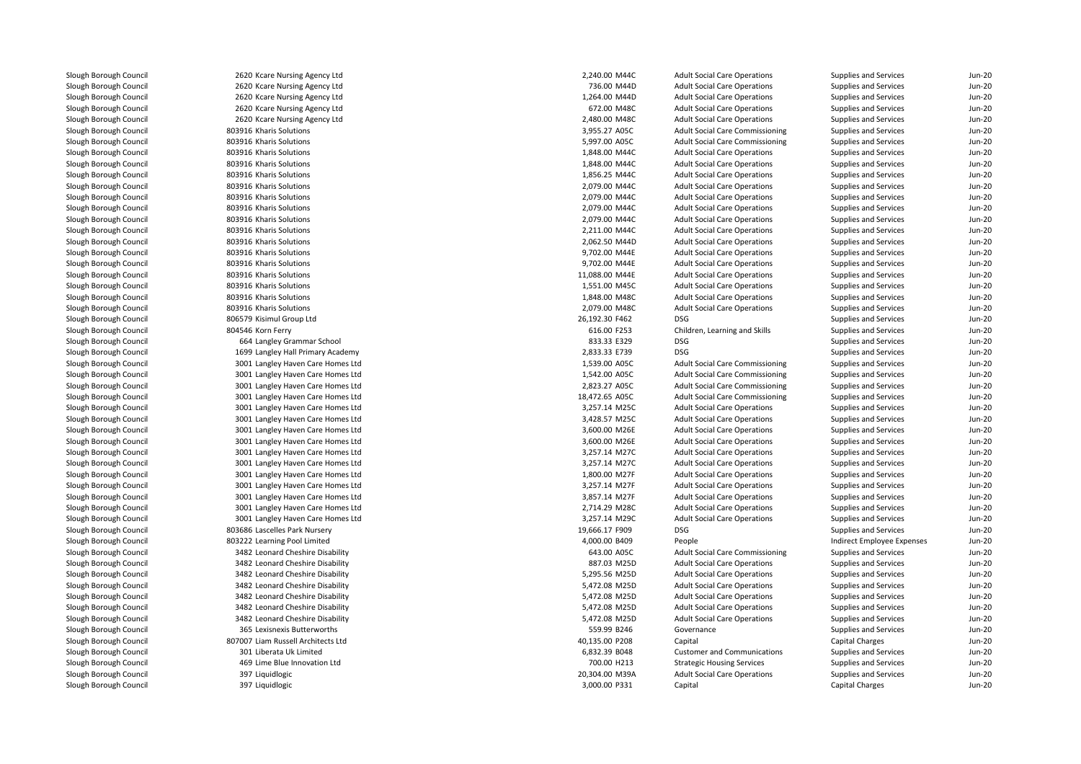2620 Kcare Nursing Agency Ltd 2620 Kcare Nursing Agency Ltd 2620 Kcare Nursing Agency Ltd 2620 Kcare Nursing Agency Ltd 2620 Kcare Nursing Agency Ltd803916 Kharis Solutions 6 Kharis Solutions 3,955.27 A05C 803916 Kharis Solutions 6 Kharis Solutions 5,997.00 A05C بالمستخدم المستخدم المستخدم المستخدم المستخدم المستخدم المستخدم المستخدم المستخدم المستخدم المستخدم المستخدم المستخدم المستخدم المستخدم المستخدم المستخدم المستخدم المستخدم المستخدم المستخدم 803916 Kharis Solutions 6 Kharis Solutions **1,848.00 M44C** 803916 Kharis Solutions 6 Kharis Solutions **1,848.00 M44C** 803916 Kharis Solutions 6 Kharis Solutions **1,856.25** M44C 803916 Kharis Solutions 2,079.00 M44C803916 Kharis Solutions 6 Kharis Solutions 2007 2007 2008 2009 2009 2012 2013 2014 2014 2020 2031 204 205 207 208 209 209 2012 2020 20 803916 Kharis Solutions 2,079.00 M44C803916 Kharis Solutions Kharis Solutions 2,079.00 M44C803916 Kharis Solutions 6 Kharis Solutions 2,211.00 M44C 803916 Kharis Solutions 2,062.50 M44D803916 Kharis Solutions 803916 Kharis Solutions 803916 Kharis Solutions 803916 Kharis Solutions 6 Kharis Solutions 1,551.00 M45C 803916 Kharis Solutions 6 Kharis Solutions **1,848.00 M48C**  803916 Kharis Solutions 2,079.00 M48C 806579 Kisimul Group Ltd804546 Korn Ferry 664 Langley Grammar School 833.33 E329 DSG 1699 Langley Hall Primary Academy 2,833.33 E739 DSG 3001 Langley Haven Care Homes Ltd 3001 Langley Haven Care Homes Ltd 3001 Langley Haven Care Homes Ltd 3001 Langley Haven Care Homes Ltd 3001 Langley Haven Care Homes Ltd 3001 Langley Haven Care Homes Ltd 3001 Langley Haven Care Homes Ltd 3001 Langley Haven Care Homes Ltd 3001 Langley Haven Care Homes Ltd 3001 Langley Haven Care Homes Ltd 3001 Langley Haven Care Homes Ltd 3001 Langley Haven Care Homes Ltd 3001 Langley Haven Care Homes Ltd 3001 Langley Haven Care Homes Ltd 3001 Langley Haven Care Homes Ltd 803686 Lascelles Park Nursery 19,666.17 F909 DSG 803222 Learning Pool Limited1 **3482** Leonard Cheshire Disability **643.00 A05C** 643.00 A05C 3482 Leonard Cheshire Disability 887.03 M25D 3482 Leonard Cheshire Disability 5,295.56 M25D 3482 Leonard Cheshire Disability 5,472.08 M25D 3482 Leonard Cheshire Disability 5,472.08 M25D 3482 Leonard Cheshire Disability 5,472.08 M25D 3482 Leonard Cheshire Disability 5,472.08 M25D365 Lexisnexis Butterworths 807007 Liam Russell Architects Ltd 301 Liberata Uk Limited 469 Lime Blue Innovation Ltd397 Liquidlogic Liquidlogic 20,304.00 M39A397 Liquidlogic

| 0 Kcare Nursing Agency Ltd     | 2,240.00 M44C  | <b>Adult Social Care Operations</b>    | Supplies and Services      | Jun-20   |
|--------------------------------|----------------|----------------------------------------|----------------------------|----------|
| 0 Kcare Nursing Agency Ltd     | 736.00 M44D    | <b>Adult Social Care Operations</b>    | Supplies and Services      | $Jun-20$ |
| 0 Kcare Nursing Agency Ltd     | 1,264.00 M44D  | <b>Adult Social Care Operations</b>    | Supplies and Services      | $Jun-20$ |
| 0 Kcare Nursing Agency Ltd     | 672.00 M48C    | <b>Adult Social Care Operations</b>    | Supplies and Services      | $Jun-2C$ |
| 0 Kcare Nursing Agency Ltd     | 2,480.00 M48C  | <b>Adult Social Care Operations</b>    | Supplies and Services      | $Jun-20$ |
| 6 Kharis Solutions             | 3,955.27 A05C  | <b>Adult Social Care Commissioning</b> | Supplies and Services      | Jun-20   |
| 6 Kharis Solutions             | 5,997.00 A05C  | <b>Adult Social Care Commissioning</b> | Supplies and Services      | $Jun-2C$ |
| 6 Kharis Solutions             | 1,848.00 M44C  | <b>Adult Social Care Operations</b>    | Supplies and Services      | $Jun-20$ |
| 6 Kharis Solutions             | 1,848.00 M44C  | <b>Adult Social Care Operations</b>    | Supplies and Services      | $Jun-2C$ |
| 6 Kharis Solutions             | 1,856.25 M44C  | <b>Adult Social Care Operations</b>    | Supplies and Services      | $Jun-20$ |
| 6 Kharis Solutions             | 2,079.00 M44C  | <b>Adult Social Care Operations</b>    | Supplies and Services      | $Jun-2C$ |
| 6 Kharis Solutions             | 2,079.00 M44C  | <b>Adult Social Care Operations</b>    | Supplies and Services      | $Jun-20$ |
| 6 Kharis Solutions             | 2,079.00 M44C  | <b>Adult Social Care Operations</b>    | Supplies and Services      | $Jun-20$ |
| 6 Kharis Solutions             | 2,079.00 M44C  | <b>Adult Social Care Operations</b>    | Supplies and Services      | $Jun-2C$ |
| 6 Kharis Solutions             | 2,211.00 M44C  | <b>Adult Social Care Operations</b>    | Supplies and Services      | Jun-20   |
| 6 Kharis Solutions             | 2,062.50 M44D  | <b>Adult Social Care Operations</b>    | Supplies and Services      | $Jun-2C$ |
| 6 Kharis Solutions             | 9,702.00 M44E  | <b>Adult Social Care Operations</b>    | Supplies and Services      | $Jun-20$ |
| 6 Kharis Solutions             | 9,702.00 M44E  | <b>Adult Social Care Operations</b>    | Supplies and Services      | $Jun-20$ |
| 6 Kharis Solutions             | 11,088.00 M44E | <b>Adult Social Care Operations</b>    | Supplies and Services      | $Jun-2C$ |
| 6 Kharis Solutions             | 1,551.00 M45C  | <b>Adult Social Care Operations</b>    | Supplies and Services      | $Jun-20$ |
| 6 Kharis Solutions             | 1,848.00 M48C  | <b>Adult Social Care Operations</b>    | Supplies and Services      | $Jun-2C$ |
| 6 Kharis Solutions             | 2,079.00 M48C  | <b>Adult Social Care Operations</b>    | Supplies and Services      | $Jun-20$ |
| 9 Kisimul Group Ltd            | 26,192.30 F462 | <b>DSG</b>                             | Supplies and Services      | $Jun-20$ |
| 6 Korn Ferry                   | 616.00 F253    | Children, Learning and Skills          | Supplies and Services      | $Jun-2C$ |
| 4 Langley Grammar School       | 833.33 E329    | <b>DSG</b>                             | Supplies and Services      | $Jun-20$ |
| 9 Langley Hall Primary Academy | 2,833.33 E739  | <b>DSG</b>                             | Supplies and Services      | $Jun-2C$ |
| 1 Langley Haven Care Homes Ltd | 1,539.00 A05C  | <b>Adult Social Care Commissioning</b> | Supplies and Services      | Jun-20   |
| 1 Langley Haven Care Homes Ltd | 1,542.00 A05C  | <b>Adult Social Care Commissioning</b> | Supplies and Services      | Jun-20   |
| 1 Langley Haven Care Homes Ltd | 2,823.27 A05C  | <b>Adult Social Care Commissioning</b> | Supplies and Services      | $Jun-2C$ |
| 1 Langley Haven Care Homes Ltd | 18,472.65 A05C | <b>Adult Social Care Commissioning</b> | Supplies and Services      | $Jun-20$ |
| 1 Langley Haven Care Homes Ltd | 3,257.14 M25C  | <b>Adult Social Care Operations</b>    | Supplies and Services      | $Jun-2C$ |
| 1 Langley Haven Care Homes Ltd | 3,428.57 M25C  | <b>Adult Social Care Operations</b>    | Supplies and Services      | $Jun-20$ |
| 1 Langley Haven Care Homes Ltd | 3,600.00 M26E  | <b>Adult Social Care Operations</b>    | Supplies and Services      | $Jun-2C$ |
|                                |                |                                        |                            | $Jun-20$ |
| 1 Langley Haven Care Homes Ltd | 3,600.00 M26E  | <b>Adult Social Care Operations</b>    | Supplies and Services      |          |
| 1 Langley Haven Care Homes Ltd | 3,257.14 M27C  | <b>Adult Social Care Operations</b>    | Supplies and Services      | $Jun-20$ |
| 1 Langley Haven Care Homes Ltd | 3,257.14 M27C  | <b>Adult Social Care Operations</b>    | Supplies and Services      | $Jun-2C$ |
| 1 Langley Haven Care Homes Ltd | 1,800.00 M27F  | <b>Adult Social Care Operations</b>    | Supplies and Services      | $Jun-20$ |
| 1 Langley Haven Care Homes Ltd | 3,257.14 M27F  | <b>Adult Social Care Operations</b>    | Supplies and Services      | $Jun-2C$ |
| 1 Langley Haven Care Homes Ltd | 3,857.14 M27F  | <b>Adult Social Care Operations</b>    | Supplies and Services      | $Jun-2C$ |
| 1 Langley Haven Care Homes Ltd | 2,714.29 M28C  | <b>Adult Social Care Operations</b>    | Supplies and Services      | $Jun-20$ |
| 1 Langley Haven Care Homes Ltd | 3,257.14 M29C  | <b>Adult Social Care Operations</b>    | Supplies and Services      | $Jun-2C$ |
| 6 Lascelles Park Nursery       | 19,666.17 F909 | <b>DSG</b>                             | Supplies and Services      | $Jun-2C$ |
| 2 Learning Pool Limited        | 4,000.00 B409  | People                                 | Indirect Employee Expenses | $Jun-2C$ |
| 2 Leonard Cheshire Disability  | 643.00 A05C    | <b>Adult Social Care Commissioning</b> | Supplies and Services      | Jun-20   |
| 2 Leonard Cheshire Disability  | 887.03 M25D    | <b>Adult Social Care Operations</b>    | Supplies and Services      | $Jun-20$ |
| 2 Leonard Cheshire Disability  | 5,295.56 M25D  | <b>Adult Social Care Operations</b>    | Supplies and Services      | $Jun-2C$ |
| 2 Leonard Cheshire Disability  | 5,472.08 M25D  | <b>Adult Social Care Operations</b>    | Supplies and Services      | $Jun-20$ |
| 2 Leonard Cheshire Disability  | 5,472.08 M25D  | <b>Adult Social Care Operations</b>    | Supplies and Services      | $Jun-2C$ |
| 2 Leonard Cheshire Disability  | 5,472.08 M25D  | <b>Adult Social Care Operations</b>    | Supplies and Services      | $Jun-20$ |
| 2 Leonard Cheshire Disability  | 5,472.08 M25D  | <b>Adult Social Care Operations</b>    | Supplies and Services      | Jun-20   |
| 5 Lexisnexis Butterworths      | 559.99 B246    | Governance                             | Supplies and Services      | $Jun-2C$ |
| 7 Liam Russell Architects Ltd  | 40,135.00 P208 | Capital                                | <b>Capital Charges</b>     | $Jun-20$ |
| 1 Liberata Uk Limited          | 6,832.39 B048  | <b>Customer and Communications</b>     | Supplies and Services      | $Jun-2C$ |
| 9 Lime Blue Innovation Ltd     | 700.00 H213    | <b>Strategic Housing Services</b>      | Supplies and Services      | $Jun-2C$ |
| 7 Liquidlogic                  | 20,304.00 M39A | <b>Adult Social Care Operations</b>    | Supplies and Services      | $Jun-2C$ |
| 7 Liquidlogic                  | 3,000.00 P331  | Capital                                | <b>Capital Charges</b>     | $Jun-20$ |
|                                |                |                                        |                            |          |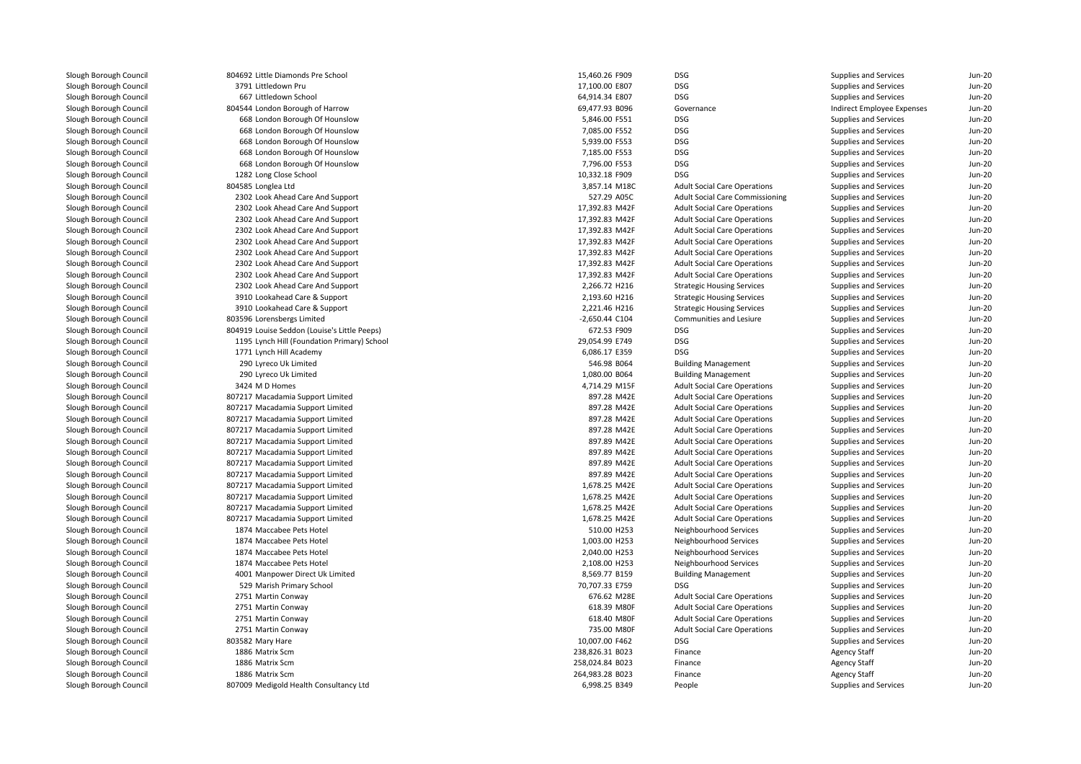| 804692 Little Diamonds Pre School            | 15,460.26 F909  | DSG                                    | Supplies and Services        | Jun-20   |
|----------------------------------------------|-----------------|----------------------------------------|------------------------------|----------|
| 3791 Littledown Pru                          | 17,100.00 E807  | <b>DSG</b>                             | Supplies and Services        | Jun-20   |
| 667 Littledown School                        | 64,914.34 E807  | <b>DSG</b>                             | Supplies and Services        | $Jun-20$ |
| 804544 London Borough of Harrow              | 69,477.93 B096  | Governance                             | Indirect Employee Expenses   | $Jun-2C$ |
| 668 London Borough Of Hounslow               | 5,846.00 F551   | <b>DSG</b>                             | Supplies and Services        | Jun-20   |
| 668 London Borough Of Hounslow               | 7,085.00 F552   | DSG                                    | Supplies and Services        | $Jun-20$ |
| 668 London Borough Of Hounslow               | 5,939.00 F553   | <b>DSG</b>                             | Supplies and Services        | Jun-20   |
| 668 London Borough Of Hounslow               | 7,185.00 F553   | <b>DSG</b>                             | Supplies and Services        | Jun-20   |
| 668 London Borough Of Hounslow               | 7,796.00 F553   | <b>DSG</b>                             | Supplies and Services        | $Jun-2C$ |
| 1282 Long Close School                       | 10,332.18 F909  | <b>DSG</b>                             | Supplies and Services        | Jun-20   |
| 804585 Longlea Ltd                           | 3,857.14 M18C   | <b>Adult Social Care Operations</b>    | Supplies and Services        | Jun-20   |
| 2302 Look Ahead Care And Support             | 527.29 A05C     | <b>Adult Social Care Commissioning</b> | Supplies and Services        | Jun-20   |
| 2302 Look Ahead Care And Support             | 17,392.83 M42F  | <b>Adult Social Care Operations</b>    | Supplies and Services        | Jun-20   |
| 2302 Look Ahead Care And Support             | 17,392.83 M42F  | <b>Adult Social Care Operations</b>    | Supplies and Services        | $Jun-2C$ |
| 2302 Look Ahead Care And Support             | 17,392.83 M42F  | <b>Adult Social Care Operations</b>    | Supplies and Services        | Jun-20   |
| 2302 Look Ahead Care And Support             | 17,392.83 M42F  | <b>Adult Social Care Operations</b>    | Supplies and Services        | Jun-20   |
| 2302 Look Ahead Care And Support             | 17,392.83 M42F  | <b>Adult Social Care Operations</b>    | Supplies and Services        | $Jun-2C$ |
| 2302 Look Ahead Care And Support             | 17,392.83 M42F  | <b>Adult Social Care Operations</b>    | Supplies and Services        | Jun-20   |
| 2302 Look Ahead Care And Support             | 17,392.83 M42F  | <b>Adult Social Care Operations</b>    | Supplies and Services        | $Jun-20$ |
| 2302 Look Ahead Care And Support             | 2,266.72 H216   | <b>Strategic Housing Services</b>      | Supplies and Services        | $Jun-2C$ |
| 3910 Lookahead Care & Support                | 2,193.60 H216   | <b>Strategic Housing Services</b>      | Supplies and Services        | Jun-20   |
| 3910 Lookahead Care & Support                | 2,221.46 H216   | <b>Strategic Housing Services</b>      | Supplies and Services        | $Jun-2C$ |
| 803596 Lorensbergs Limited                   | -2,650.44 C104  | Communities and Lesiure                | Supplies and Services        | $Jun-2C$ |
| 804919 Louise Seddon (Louise's Little Peeps) | 672.53 F909     | <b>DSG</b>                             | Supplies and Services        | Jun-20   |
| 1195 Lynch Hill (Foundation Primary) School  | 29,054.99 E749  | <b>DSG</b>                             | Supplies and Services        | $Jun-2C$ |
| 1771 Lynch Hill Academy                      | 6,086.17 E359   | DSG                                    | Supplies and Services        | $Jun-20$ |
| 290 Lyreco Uk Limited                        | 546.98 B064     | <b>Building Management</b>             | <b>Supplies and Services</b> | Jun-20   |
| 290 Lyreco Uk Limited                        | 1,080.00 B064   | <b>Building Management</b>             | Supplies and Services        | Jun-20   |
| 3424 M D Homes                               | 4,714.29 M15F   | <b>Adult Social Care Operations</b>    | Supplies and Services        | $Jun-2C$ |
| 807217 Macadamia Support Limited             | 897.28 M42E     | <b>Adult Social Care Operations</b>    | Supplies and Services        | Jun-20   |
| 807217 Macadamia Support Limited             | 897.28 M42E     | <b>Adult Social Care Operations</b>    | Supplies and Services        | $Jun-20$ |
| 807217 Macadamia Support Limited             | 897.28 M42E     | <b>Adult Social Care Operations</b>    | Supplies and Services        | $Jun-2C$ |
| 807217 Macadamia Support Limited             | 897.28 M42E     | <b>Adult Social Care Operations</b>    | Supplies and Services        | Jun-20   |
| 807217 Macadamia Support Limited             | 897.89 M42E     | <b>Adult Social Care Operations</b>    | Supplies and Services        | $Jun-20$ |
| 807217 Macadamia Support Limited             | 897.89 M42E     | <b>Adult Social Care Operations</b>    | Supplies and Services        | $Jun-2C$ |
| 807217 Macadamia Support Limited             | 897.89 M42E     | <b>Adult Social Care Operations</b>    | Supplies and Services        | Jun-20   |
| 807217 Macadamia Support Limited             | 897.89 M42E     | <b>Adult Social Care Operations</b>    | Supplies and Services        | $Jun-2C$ |
| 807217 Macadamia Support Limited             | 1,678.25 M42E   | <b>Adult Social Care Operations</b>    | Supplies and Services        | Jun-20   |
| 807217 Macadamia Support Limited             | 1,678.25 M42E   | <b>Adult Social Care Operations</b>    | Supplies and Services        | $Jun-20$ |
| 807217 Macadamia Support Limited             | 1,678.25 M42E   | <b>Adult Social Care Operations</b>    | Supplies and Services        | Jun-20   |
| 807217 Macadamia Support Limited             | 1,678.25 M42E   | <b>Adult Social Care Operations</b>    | Supplies and Services        | Jun-20   |
| 1874 Maccabee Pets Hotel                     | 510.00 H253     | Neighbourhood Services                 | Supplies and Services        | $Jun-2C$ |
| 1874 Maccabee Pets Hotel                     | 1,003.00 H253   | Neighbourhood Services                 | Supplies and Services        | Jun-20   |
| 1874 Maccabee Pets Hotel                     | 2,040.00 H253   | Neighbourhood Services                 | Supplies and Services        | $Jun-20$ |
| 1874 Maccabee Pets Hotel                     | 2,108.00 H253   | Neighbourhood Services                 | Supplies and Services        | $Jun-2C$ |
| 4001 Manpower Direct Uk Limited              | 8,569.77 B159   | <b>Building Management</b>             | Supplies and Services        | Jun-20   |
| 529 Marish Primary School                    | 70,707.33 E759  | <b>DSG</b>                             | Supplies and Services        | $Jun-20$ |
| 2751 Martin Conway                           | 676.62 M28E     | <b>Adult Social Care Operations</b>    | Supplies and Services        | $Jun-2C$ |
| 2751 Martin Conway                           | 618.39 M80F     | <b>Adult Social Care Operations</b>    | Supplies and Services        | Jun-20   |
| 2751 Martin Conway                           | 618.40 M80F     | <b>Adult Social Care Operations</b>    | Supplies and Services        | $Jun-2C$ |
| 2751 Martin Conway                           | 735.00 M80F     | <b>Adult Social Care Operations</b>    | Supplies and Services        | $Jun-2C$ |
| 803582 Mary Hare                             | 10,007.00 F462  | <b>DSG</b>                             | Supplies and Services        | $Jun-2C$ |
| 1886 Matrix Scm                              | 238,826.31 B023 | Finance                                | <b>Agency Staff</b>          | $Jun-2C$ |
| 1886 Matrix Scm                              | 258,024.84 B023 | Finance                                | <b>Agency Staff</b>          | $Jun-20$ |
| 1886 Matrix Scm                              | 264,983.28 B023 | Finance                                | <b>Agency Staff</b>          | Jun-20   |
| 807009 Medigold Health Consultancy Ltd       | 6,998.25 B349   | People                                 | Supplies and Services        | $Jun-20$ |
|                                              |                 |                                        |                              |          |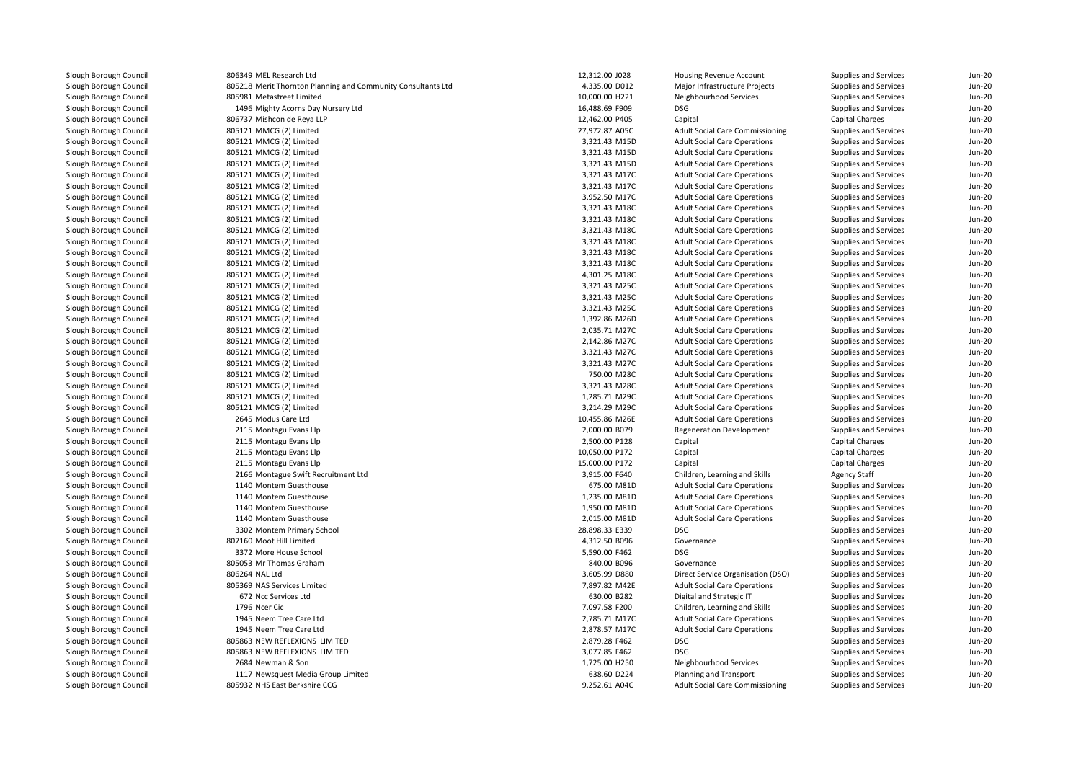806349 MEL Research Ltd 805218 Merit Thornton Planning and Community Consultants Ltd 805981 Metastreet Limited 1496 Mighty Acorns Day Nursery Ltd 806737 Mishcon de Reya LLP 805121 MMCG (2) Limited 27,972.87 A05C 805121 MMCG (2) Limitedd  $3,321.43$  M15D 805121 MMCG (2) Limitedd  $3,321.43$  M15D 805121 MMCG (2) Limitedd  $3,321.43 \text{ M15D}$  805121 MMCG (2) Limitedd  $3,321.43 \text{ M}$  805121 MMCG (2) Limitedd  $3,321.43 \text{ M}$  805121 MMCG (2) Limitedd  $3,952.50 \text{ M}$  805121 MMCG (2) Limitedd  $3,321.43 \text{ M}180$  805121 MMCG (2) Limitedd  $3,321.43 \text{ M}180$  805121 MMCG (2) Limitedd  $3,321.43 \text{ M}180$  805121 MMCG (2) Limitedd  $3,321.43 \text{ M}180$  805121 MMCG (2) Limitedd  $3,321.43 \text{ M}180$  805121 MMCG (2) Limitedd  $3,321.43 \text{ M}180$  805121 MMCG (2) Limitedd 4,301.25 M18C 805121 MMCG (2) Limitedd  $3,321.43$  M25C 805121 MMCG (2) Limitedd  $3,321.43$  M25C 805121 MMCG (2) Limitedd  $3,321.43$  M25C 805121 MMCG (2) Limited 1,392.86 M26D 805121 MMCG (2) Limited 2,035.71 M27C 805121 MMCG (2) Limitedd  $2,142.86$  M27C 805121 MMCG (2) Limitedd  $3,321.43$  M27C 805121 MMCG (2) Limitedd  $3,321.43$  M27C 805121 MMCG (2) Limited 750.00 M28C 805121 MMCG (2) Limited 3,321.43 M28C 805121 MMCG (2) Limited 1,285.71 M29C 805121 MMCG (2) Limited 3,214.29 M29C 2645 Modus Care Ltd 2115 Montagu Evans Llp 2115 Montagu Evans Llp 2115 Montagu Evans Llp 2115 Montagu Evans Llp 2166 Montague Swift Recruitment Ltd1140 Montem Guesthouse **675.00 M81D** 675.00 M81D 1140 Montem Guesthouse 1,235.00 M81D 1140 Montem Guesthouse 1,950.00 M81D 1140 Montem Guesthouse 2,015.00 M81D 3302 Montem Primary School 28,898.33 E339 DSG 807160 Moot Hill Limitedl 5,590.00 F462 DSG 3372 More House School 5,590.00 F462 DSG 3572 More House School 5,590.00 F462 DSG 805053 Mr Thomas Graham 806264 NAL Ltd 805369 NAS Services Limited 672 Ncc Services Ltd1796 Ncer Cic 1945 Neem Tree Care Ltd 2,785.71 M17C 1945 Neem Tree Care Ltdd 2,878.57 M17C 805863 NEW REFLEXIONS LIMITED 805863 NEW REFLEXIONS LIMITED 2684 Newman & Son 1117 Newsquest Media Group Limited805932 NHS East Berkshire CCG

| 9 MEL Research Ltd                                      | 12,312.00 J028 | Housing Revenue Account                | Supplies and Services        | Jun-20   |
|---------------------------------------------------------|----------------|----------------------------------------|------------------------------|----------|
| 8 Merit Thornton Planning and Community Consultants Ltd | 4,335.00 D012  | Major Infrastructure Projects          | Supplies and Services        | $Jun-20$ |
| 1 Metastreet Limited                                    | 10,000.00 H221 | Neighbourhood Services                 | Supplies and Services        | $Jun-20$ |
| 6 Mighty Acorns Day Nursery Ltd                         | 16,488.69 F909 | <b>DSG</b>                             | Supplies and Services        | $Jun-2C$ |
| 7 Mishcon de Reya LLP                                   | 12,462.00 P405 | Capital                                | <b>Capital Charges</b>       | $Jun-2C$ |
| 1 MMCG (2) Limited                                      | 27,972.87 A05C | <b>Adult Social Care Commissioning</b> | Supplies and Services        | $Jun-20$ |
| 1 MMCG (2) Limited                                      | 3,321.43 M15D  | <b>Adult Social Care Operations</b>    | <b>Supplies and Services</b> | $Jun-2C$ |
| 1 MMCG (2) Limited                                      | 3,321.43 M15D  | <b>Adult Social Care Operations</b>    | Supplies and Services        | $Jun-20$ |
| 1 MMCG (2) Limited                                      | 3,321.43 M15D  | <b>Adult Social Care Operations</b>    | Supplies and Services        | $Jun-20$ |
| 1 MMCG (2) Limited                                      | 3,321.43 M17C  | <b>Adult Social Care Operations</b>    | <b>Supplies and Services</b> | $Jun-2C$ |
| 1 MMCG (2) Limited                                      | 3,321.43 M17C  | <b>Adult Social Care Operations</b>    | Supplies and Services        | $Jun-20$ |
| 1 MMCG (2) Limited                                      | 3,952.50 M17C  | <b>Adult Social Care Operations</b>    | Supplies and Services        | Jun-20   |
| 1 MMCG (2) Limited                                      | 3,321.43 M18C  | <b>Adult Social Care Operations</b>    | Supplies and Services        | $Jun-2C$ |
| 1 MMCG (2) Limited                                      | 3,321.43 M18C  | <b>Adult Social Care Operations</b>    | Supplies and Services        | $Jun-20$ |
| 1 MMCG (2) Limited                                      | 3,321.43 M18C  | <b>Adult Social Care Operations</b>    | Supplies and Services        | $Jun-20$ |
| 1 MMCG (2) Limited                                      | 3,321.43 M18C  | <b>Adult Social Care Operations</b>    | Supplies and Services        | $Jun-2C$ |
| 1 MMCG (2) Limited                                      | 3,321.43 M18C  | <b>Adult Social Care Operations</b>    | Supplies and Services        | $Jun-20$ |
| 1 MMCG (2) Limited                                      | 3,321.43 M18C  | <b>Adult Social Care Operations</b>    | Supplies and Services        | $Jun-2C$ |
| 1 MMCG (2) Limited                                      | 4,301.25 M18C  | <b>Adult Social Care Operations</b>    | Supplies and Services        | $Jun-2C$ |
| 1 MMCG (2) Limited                                      | 3,321.43 M25C  | <b>Adult Social Care Operations</b>    | Supplies and Services        | $Jun-20$ |
| 1 MMCG (2) Limited                                      | 3,321.43 M25C  | <b>Adult Social Care Operations</b>    | Supplies and Services        | $Jun-2C$ |
| 1 MMCG (2) Limited                                      | 3,321.43 M25C  | <b>Adult Social Care Operations</b>    | Supplies and Services        | $Jun-2C$ |
| 1 MMCG (2) Limited                                      | 1,392.86 M26D  | <b>Adult Social Care Operations</b>    | Supplies and Services        | $Jun-20$ |
| 1 MMCG (2) Limited                                      | 2,035.71 M27C  | <b>Adult Social Care Operations</b>    | Supplies and Services        | $Jun-2C$ |
| 1 MMCG (2) Limited                                      | 2,142.86 M27C  | <b>Adult Social Care Operations</b>    | Supplies and Services        | $Jun-2C$ |
| 1 MMCG (2) Limited                                      | 3,321.43 M27C  | <b>Adult Social Care Operations</b>    | Supplies and Services        | $Jun-20$ |
| 1 MMCG (2) Limited                                      | 3,321.43 M27C  | <b>Adult Social Care Operations</b>    | Supplies and Services        | $Jun-2C$ |
| 1 MMCG (2) Limited                                      | 750.00 M28C    | <b>Adult Social Care Operations</b>    | Supplies and Services        | $Jun-20$ |
| 1 MMCG (2) Limited                                      | 3,321.43 M28C  | <b>Adult Social Care Operations</b>    | Supplies and Services        | $Jun-2C$ |
| 1 MMCG (2) Limited                                      | 1,285.71 M29C  | <b>Adult Social Care Operations</b>    | Supplies and Services        | $Jun-2C$ |
| 1 MMCG (2) Limited                                      | 3,214.29 M29C  | <b>Adult Social Care Operations</b>    | Supplies and Services        | $Jun-20$ |
| 5 Modus Care Ltd                                        | 10,455.86 M26E | <b>Adult Social Care Operations</b>    | Supplies and Services        | $Jun-2C$ |
| 5 Montagu Evans Llp                                     | 2,000.00 B079  | Regeneration Development               | Supplies and Services        | $Jun-2C$ |
| 5 Montagu Evans Llp                                     | 2,500.00 P128  | Capital                                | Capital Charges              | $Jun-20$ |
| 5 Montagu Evans Llp                                     | 10,050.00 P172 | Capital                                | <b>Capital Charges</b>       | $Jun-2C$ |
| 5 Montagu Evans Llp                                     | 15,000.00 P172 | Capital                                | <b>Capital Charges</b>       | $Jun-2C$ |
| 6 Montague Swift Recruitment Ltd                        | 3,915.00 F640  | Children, Learning and Skills          | <b>Agency Staff</b>          | $Jun-20$ |
| 0 Montem Guesthouse                                     | 675.00 M81D    | <b>Adult Social Care Operations</b>    | Supplies and Services        | $Jun-2C$ |
| 0 Montem Guesthouse                                     | 1,235.00 M81D  | <b>Adult Social Care Operations</b>    | Supplies and Services        | $Jun-2C$ |
| 0 Montem Guesthouse                                     | 1,950.00 M81D  | <b>Adult Social Care Operations</b>    | Supplies and Services        | $Jun-20$ |
| 0 Montem Guesthouse                                     | 2,015.00 M81D  | <b>Adult Social Care Operations</b>    | Supplies and Services        | $Jun-2C$ |
| 2 Montem Primary School                                 | 28,898.33 E339 | <b>DSG</b>                             | Supplies and Services        | $Jun-20$ |
| 0 Moot Hill Limited                                     | 4,312.50 B096  | Governance                             | Supplies and Services        | Jun-20   |
| 2 More House School                                     | 5,590.00 F462  | <b>DSG</b>                             | Supplies and Services        | $Jun-2C$ |
| 3 Mr Thomas Graham                                      | 840.00 B096    | Governance                             | Supplies and Services        | $Jun-20$ |
| 4 NAL Ltd                                               | 3,605.99 D880  | Direct Service Organisation (DSO)      | Supplies and Services        | $Jun-2C$ |
| 9 NAS Services Limited                                  | 7,897.82 M42E  | <b>Adult Social Care Operations</b>    | Supplies and Services        | $Jun-2C$ |
| 2 Ncc Services Ltd                                      | 630.00 B282    | Digital and Strategic IT               | Supplies and Services        | $Jun-20$ |
| 6 Ncer Cic                                              | 7,097.58 F200  | Children, Learning and Skills          | Supplies and Services        | $Jun-2C$ |
| 5 Neem Tree Care Ltd                                    | 2,785.71 M17C  | <b>Adult Social Care Operations</b>    | Supplies and Services        | $Jun-2C$ |
| 5 Neem Tree Care Ltd                                    | 2,878.57 M17C  | <b>Adult Social Care Operations</b>    | Supplies and Services        | Jun-20   |
| 3 NEW REFLEXIONS LIMITED                                | 2,879.28 F462  | <b>DSG</b>                             | Supplies and Services        | $Jun-2C$ |
| 3 NEW REFLEXIONS LIMITED                                | 3,077.85 F462  | <b>DSG</b>                             | Supplies and Services        | $Jun-20$ |
| 4 Newman & Son                                          | 1,725.00 H250  | Neighbourhood Services                 | Supplies and Services        | $Jun-20$ |
| 7 Newsquest Media Group Limited                         | 638.60 D224    | Planning and Transport                 | Supplies and Services        | $Jun-20$ |
| 2 NHS East Berkshire CCG                                | 9,252.61 A04C  | <b>Adult Social Care Commissioning</b> | Supplies and Services        | $Jun-20$ |
|                                                         |                |                                        |                              |          |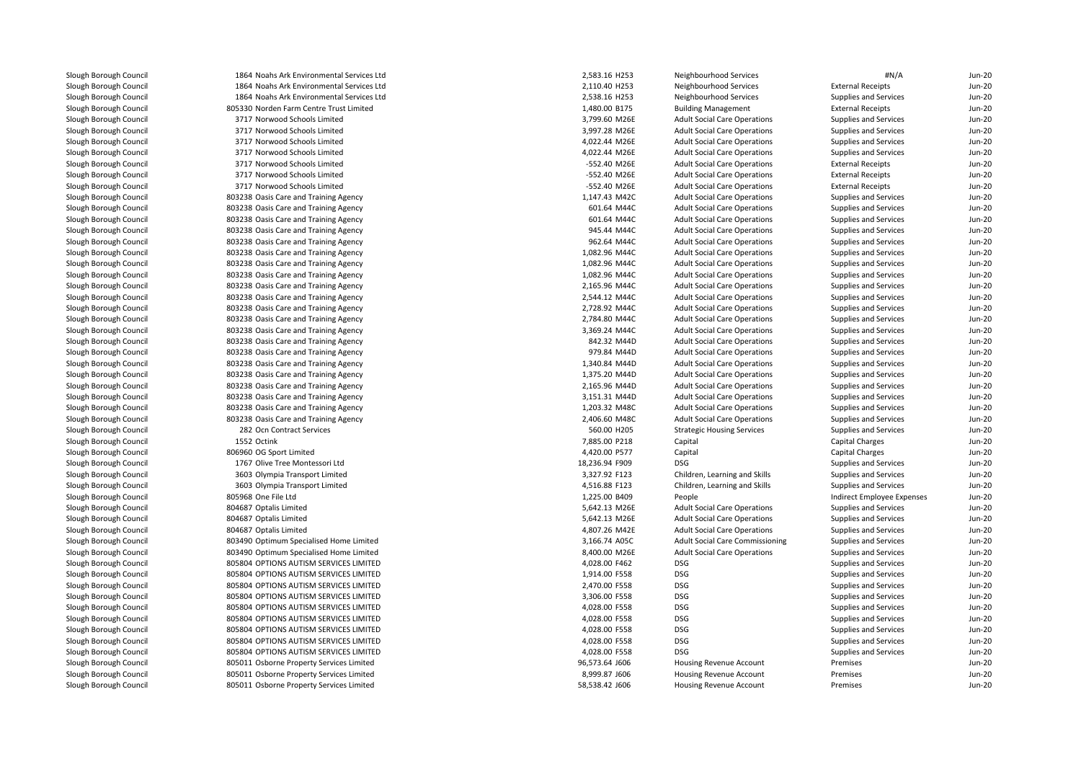1864 Noahs Ark Environmental Services Ltd 1864 Noahs Ark Environmental Services Ltd 1864 Noahs Ark Environmental Services Ltd 805330 Norden Farm Centre Trust Limited 3717 Norwood Schools Limited 3717 Norwood Schools Limited 3717 Norwood Schools Limited 3717 Norwood Schools Limited 3717 Norwood Schools Limited 3717 Norwood Schools Limited 3717 Norwood Schools Limited803238 Oasis Care and Training Agency 1,147.43 M42C 1,147.43 M42C **803238 Oasis Care and Training Agency 601.64 M44C** 601.64 M44C 601.64 M44C 803238 Oasis Care and Training Agency **601.64 M44C** 601.64 M44C 803238 Oasis Care and Training Agency **120 Company 120 Company 120 Company 120 Company 120 Company 130 Company 130 Company 130 Company 130 Company 130 Company 130 Company 130 Company 130 Company 130 Company 130 Company 130** 803238 Oasis Care and Training Agency **962.64 M44C** 962.64 M44C 803238 Oasis Care and Training Agency 1,082.96 M44C 803238 Oasis Care and Training Agency 1,082.96 M44C 803238 Oasis Care and Training Agency 1,082.96 M44C 803238 Oasis Care and Training Agency 2,165.96 M44C 803238 Oasis Care and Training Agency 2,544.12 M44C 803238 Oasis Care and Training Agency 2,728.92 M44C 803238 Oasis Care and Training Agency 2,784.80 M44C 803238 Oasis Care and Training Agency 3,369.24 M44C 803238 Oasis Care and Training Agency 842.32 M44D 803238 Oasis Care and Training Agency 979.84 M44D**1** 803238 Oasis Care and Training Agency 1,340.84 M44D and the state of the state of the state of the state of the state of the state of the state of the state of the state of the state of the state of the state of the st **1** 803238 Oasis Care and Training Agency 1,375.20 M44D and the state of the state of the state of the state of the state of the state of the state of the state of the state of the state of the state of the state of the st 803238 Oasis Care and Training Agency 2,165.96 M44D 803238 Oasis Care and Training Agency 3,151.31 M44D 803238 Oasis Care and Training Agency 1,203.32 M48C 803238 Oasis Care and Training Agency 2,406.60 M48C282 Ocn Contract Services 1552 Octink 806960 OG Sport Limited 1767 Olive Tree Montessori Ltd 3603 Olympia Transport Limited 3603 Olympia Transport Limited 805968 One File Ltd 804687 Optalis Limited 804687 Optalis Limited 804687 Optalis Limited 803490 Optimum Specialised Home Limited 803490 Optimum Specialised Home Limited 805804 OPTIONS AUTISM SERVICES LIMITED 805804 OPTIONS AUTISM SERVICES LIMITED 805804 OPTIONS AUTISM SERVICES LIMITED 805804 OPTIONS AUTISM SERVICES LIMITED 805804 OPTIONS AUTISM SERVICES LIMITED 805804 OPTIONS AUTISM SERVICES LIMITED 805804 OPTIONS AUTISM SERVICES LIMITED 805804 OPTIONS AUTISM SERVICES LIMITED 805804 OPTIONS AUTISM SERVICES LIMITED 805011 Osborne Property Services Limited 805011 Osborne Property Services Limited805011 Osborne Property Services Limited

| 4 Noahs Ark Environmental Services Ltd | 2,583.16 H253                | Neighbourhood Services                 | #N/A                         | $Jun-20$ |
|----------------------------------------|------------------------------|----------------------------------------|------------------------------|----------|
| 4 Noahs Ark Environmental Services Ltd | 2,110.40 H253                | Neighbourhood Services                 | <b>External Receipts</b>     | $Jun-20$ |
| 4 Noahs Ark Environmental Services Ltd | 2,538.16 H253                | Neighbourhood Services                 | Supplies and Services        | $Jun-20$ |
| 0 Norden Farm Centre Trust Limited     | 1,480.00 B175                | <b>Building Management</b>             | <b>External Receipts</b>     | Jun-20   |
| 7 Norwood Schools Limited              | 3,799.60 M26E                | <b>Adult Social Care Operations</b>    | Supplies and Services        | Jun-20   |
| 7 Norwood Schools Limited              | 3,997.28 M26E                | <b>Adult Social Care Operations</b>    | Supplies and Services        | Jun-20   |
| 7 Norwood Schools Limited              | 4,022.44 M26E                | <b>Adult Social Care Operations</b>    | Supplies and Services        | Jun-20   |
| 7 Norwood Schools Limited              | 4,022.44 M26E                | <b>Adult Social Care Operations</b>    | Supplies and Services        | Jun-20   |
| 7 Norwood Schools Limited              | -552.40 M26E                 | <b>Adult Social Care Operations</b>    | <b>External Receipts</b>     | $Jun-2C$ |
| 7 Norwood Schools Limited              | -552.40 M26E                 | <b>Adult Social Care Operations</b>    | <b>External Receipts</b>     | $Jun-20$ |
| 7 Norwood Schools Limited              | -552.40 M26E                 | <b>Adult Social Care Operations</b>    | <b>External Receipts</b>     | $Jun-2C$ |
| 8 Oasis Care and Training Agency       | 1,147.43 M42C                | <b>Adult Social Care Operations</b>    | Supplies and Services        | $Jun-2C$ |
| 8 Oasis Care and Training Agency       | 601.64 M44C                  | <b>Adult Social Care Operations</b>    | Supplies and Services        | $Jun-20$ |
| 8 Oasis Care and Training Agency       | 601.64 M44C                  | <b>Adult Social Care Operations</b>    | Supplies and Services        | $Jun-20$ |
| 8 Oasis Care and Training Agency       | 945.44 M44C                  | <b>Adult Social Care Operations</b>    | Supplies and Services        | $Jun-2C$ |
| 8 Oasis Care and Training Agency       | 962.64 M44C                  | <b>Adult Social Care Operations</b>    | Supplies and Services        | $Jun-20$ |
| 8 Oasis Care and Training Agency       | 1,082.96 M44C                | <b>Adult Social Care Operations</b>    | Supplies and Services        | $Jun-20$ |
| 8 Oasis Care and Training Agency       | 1,082.96 M44C                | <b>Adult Social Care Operations</b>    | Supplies and Services        | $Jun-2C$ |
| 8 Oasis Care and Training Agency       | 1,082.96 M44C                | <b>Adult Social Care Operations</b>    | Supplies and Services        | Jun-20   |
| 8 Oasis Care and Training Agency       | 2,165.96 M44C                | <b>Adult Social Care Operations</b>    | Supplies and Services        | $Jun-20$ |
| 8 Oasis Care and Training Agency       | 2,544.12 M44C                | <b>Adult Social Care Operations</b>    | Supplies and Services        | $Jun-20$ |
| 8 Oasis Care and Training Agency       | 2,728.92 M44C                | <b>Adult Social Care Operations</b>    | Supplies and Services        | Jun-20   |
| 8 Oasis Care and Training Agency       | 2,784.80 M44C                | <b>Adult Social Care Operations</b>    | Supplies and Services        | Jun-20   |
|                                        |                              |                                        |                              | Jun-20   |
| 8 Oasis Care and Training Agency       | 3,369.24 M44C<br>842.32 M44D | <b>Adult Social Care Operations</b>    | Supplies and Services        |          |
| 8 Oasis Care and Training Agency       |                              | <b>Adult Social Care Operations</b>    | <b>Supplies and Services</b> | $Jun-20$ |
| 8 Oasis Care and Training Agency       | 979.84 M44D                  | <b>Adult Social Care Operations</b>    | Supplies and Services        | $Jun-2C$ |
| 8 Oasis Care and Training Agency       | 1,340.84 M44D                | <b>Adult Social Care Operations</b>    | Supplies and Services        | $Jun-2C$ |
| 8 Oasis Care and Training Agency       | 1,375.20 M44D                | <b>Adult Social Care Operations</b>    | Supplies and Services        | Jun-20   |
| 8 Oasis Care and Training Agency       | 2,165.96 M44D                | <b>Adult Social Care Operations</b>    | Supplies and Services        | $Jun-2C$ |
| 8 Oasis Care and Training Agency       | 3,151.31 M44D                | <b>Adult Social Care Operations</b>    | Supplies and Services        | $Jun-2C$ |
| 8 Oasis Care and Training Agency       | 1,203.32 M48C                | <b>Adult Social Care Operations</b>    | Supplies and Services        | $Jun-20$ |
| 8 Oasis Care and Training Agency       | 2,406.60 M48C                | <b>Adult Social Care Operations</b>    | Supplies and Services        | $Jun-20$ |
| 2 Ocn Contract Services                | 560.00 H205                  | <b>Strategic Housing Services</b>      | Supplies and Services        | $Jun-2C$ |
| 2 Octink                               | 7,885.00 P218                | Capital                                | <b>Capital Charges</b>       | $Jun-2C$ |
| 0 OG Sport Limited                     | 4,420.00 P577                | Capital                                | Capital Charges              | Jun-20   |
| 7 Olive Tree Montessori Ltd            | 18,236.94 F909               | <b>DSG</b>                             | Supplies and Services        | $Jun-2C$ |
| 3 Olympia Transport Limited            | 3,327.92 F123                | Children, Learning and Skills          | Supplies and Services        | Jun-20   |
| 3 Olympia Transport Limited            | 4,516.88 F123                | Children, Learning and Skills          | Supplies and Services        | Jun-20   |
| 8 One File Ltd                         | 1,225.00 B409                | People                                 | Indirect Employee Expenses   | $Jun-20$ |
| 7 Optalis Limited                      | 5,642.13 M26E                | <b>Adult Social Care Operations</b>    | Supplies and Services        | $Jun-2C$ |
| 7 Optalis Limited                      | 5,642.13 M26E                | <b>Adult Social Care Operations</b>    | Supplies and Services        | Jun-20   |
| 7 Optalis Limited                      | 4,807.26 M42E                | <b>Adult Social Care Operations</b>    | Supplies and Services        | Jun-20   |
| 0 Optimum Specialised Home Limited     | 3,166.74 A05C                | <b>Adult Social Care Commissioning</b> | <b>Supplies and Services</b> | $Jun-20$ |
| 0 Optimum Specialised Home Limited     | 8,400.00 M26E                | <b>Adult Social Care Operations</b>    | Supplies and Services        | $Jun-2C$ |
| 4 OPTIONS AUTISM SERVICES LIMITED      | 4,028.00 F462                | <b>DSG</b>                             | Supplies and Services        | $Jun-2C$ |
| 4 OPTIONS AUTISM SERVICES LIMITED      | 1,914.00 F558                | <b>DSG</b>                             | Supplies and Services        | $Jun-20$ |
| 4 OPTIONS AUTISM SERVICES LIMITED      | 2,470.00 F558                | <b>DSG</b>                             | Supplies and Services        | $Jun-2C$ |
| 4 OPTIONS AUTISM SERVICES LIMITED      | 3,306.00 F558                | <b>DSG</b>                             | Supplies and Services        | $Jun-2C$ |
| 4 OPTIONS AUTISM SERVICES LIMITED      | 4,028.00 F558                | <b>DSG</b>                             | Supplies and Services        | $Jun-20$ |
| 4 OPTIONS AUTISM SERVICES LIMITED      | 4,028.00 F558                | <b>DSG</b>                             | Supplies and Services        | Jun-20   |
| 4 OPTIONS AUTISM SERVICES LIMITED      | 4,028.00 F558                | <b>DSG</b>                             | Supplies and Services        | $Jun-2C$ |
| 4 OPTIONS AUTISM SERVICES LIMITED      | 4,028.00 F558                | <b>DSG</b>                             | Supplies and Services        | $Jun-20$ |
| 4 OPTIONS AUTISM SERVICES LIMITED      | 4,028.00 F558                | <b>DSG</b>                             | Supplies and Services        | Jun-20   |
| 1 Osborne Property Services Limited    | 96,573.64 J606               | Housing Revenue Account                | Premises                     | $Jun-2C$ |
| 1 Osborne Property Services Limited    | 8,999.87 J606                | Housing Revenue Account                | Premises                     | $Jun-2C$ |
| 1 Osborne Property Services Limited    | 58,538.42 J606               | Housing Revenue Account                | Premises                     | $Jun-20$ |
|                                        |                              |                                        |                              |          |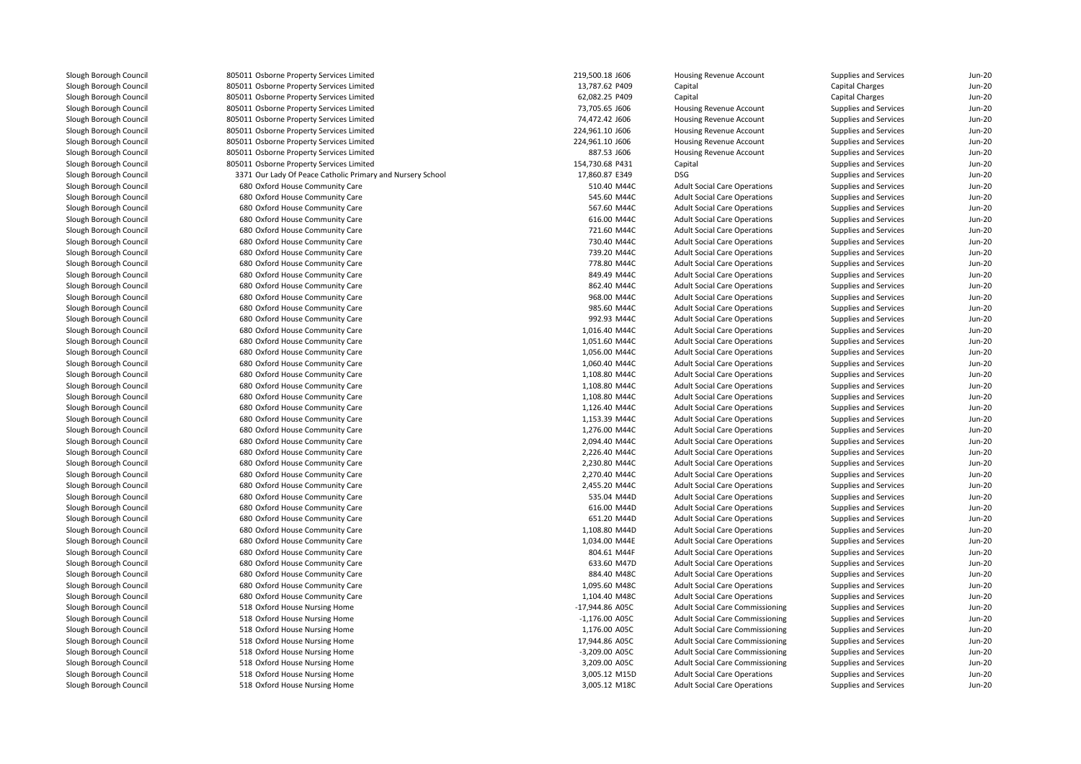| 805011 Osborne Property Services Limited                           | 219,500.18 J606  | Housing Revenue Account                                                    | Supplies and Services                          | <b>Jun-20</b> |
|--------------------------------------------------------------------|------------------|----------------------------------------------------------------------------|------------------------------------------------|---------------|
| 805011 Osborne Property Services Limited                           | 13,787.62 P409   | Capital                                                                    | <b>Capital Charges</b>                         | <b>Jun-20</b> |
| 805011 Osborne Property Services Limited                           | 62,082.25 P409   | Capital                                                                    | <b>Capital Charges</b>                         | <b>Jun-20</b> |
| 805011 Osborne Property Services Limited                           | 73,705.65 J606   | Housing Revenue Account                                                    | Supplies and Services                          | <b>Jun-20</b> |
| 805011 Osborne Property Services Limited                           | 74,472.42 J606   | Housing Revenue Account                                                    | Supplies and Services                          | <b>Jun-20</b> |
| 805011 Osborne Property Services Limited                           | 224,961.10 J606  | Housing Revenue Account                                                    | Supplies and Services                          | <b>Jun-20</b> |
| 805011 Osborne Property Services Limited                           | 224,961.10 J606  | Housing Revenue Account                                                    | Supplies and Services                          | <b>Jun-20</b> |
| 805011 Osborne Property Services Limited                           | 887.53 J606      | Housing Revenue Account                                                    | Supplies and Services                          | <b>Jun-20</b> |
| 805011 Osborne Property Services Limited                           | 154,730.68 P431  | Capital                                                                    | Supplies and Services                          | <b>Jun-20</b> |
| 3371 Our Lady Of Peace Catholic Primary and Nursery School         | 17,860.87 E349   | <b>DSG</b>                                                                 | Supplies and Services                          | <b>Jun-20</b> |
| 680 Oxford House Community Care                                    | 510.40 M44C      | <b>Adult Social Care Operations</b>                                        | Supplies and Services                          | <b>Jun-20</b> |
| 680 Oxford House Community Care                                    | 545.60 M44C      | <b>Adult Social Care Operations</b>                                        | Supplies and Services                          | <b>Jun-20</b> |
| 680 Oxford House Community Care                                    | 567.60 M44C      | <b>Adult Social Care Operations</b>                                        | Supplies and Services                          | <b>Jun-20</b> |
| 680 Oxford House Community Care                                    | 616.00 M44C      | <b>Adult Social Care Operations</b>                                        | Supplies and Services                          | <b>Jun-20</b> |
| 680 Oxford House Community Care                                    | 721.60 M44C      | <b>Adult Social Care Operations</b>                                        | Supplies and Services                          | <b>Jun-20</b> |
| 680 Oxford House Community Care                                    | 730.40 M44C      | <b>Adult Social Care Operations</b>                                        | Supplies and Services                          | <b>Jun-20</b> |
| 680 Oxford House Community Care                                    | 739.20 M44C      | <b>Adult Social Care Operations</b>                                        | Supplies and Services                          | <b>Jun-20</b> |
| 680 Oxford House Community Care                                    | 778.80 M44C      | <b>Adult Social Care Operations</b>                                        | Supplies and Services                          | <b>Jun-20</b> |
| 680 Oxford House Community Care                                    | 849.49 M44C      | <b>Adult Social Care Operations</b>                                        | Supplies and Services                          | <b>Jun-20</b> |
| 680 Oxford House Community Care                                    | 862.40 M44C      | <b>Adult Social Care Operations</b>                                        | Supplies and Services                          | <b>Jun-20</b> |
| 680 Oxford House Community Care                                    | 968.00 M44C      | <b>Adult Social Care Operations</b>                                        | Supplies and Services                          | <b>Jun-20</b> |
| 680 Oxford House Community Care                                    | 985.60 M44C      | <b>Adult Social Care Operations</b>                                        | Supplies and Services                          | <b>Jun-20</b> |
| 680 Oxford House Community Care                                    | 992.93 M44C      | <b>Adult Social Care Operations</b>                                        | Supplies and Services                          | <b>Jun-20</b> |
| 680 Oxford House Community Care                                    | 1,016.40 M44C    | <b>Adult Social Care Operations</b>                                        | Supplies and Services                          | <b>Jun-20</b> |
| 680 Oxford House Community Care                                    | 1,051.60 M44C    | <b>Adult Social Care Operations</b>                                        | Supplies and Services                          | <b>Jun-20</b> |
| 680 Oxford House Community Care                                    | 1,056.00 M44C    | <b>Adult Social Care Operations</b>                                        | Supplies and Services                          | <b>Jun-20</b> |
| 680 Oxford House Community Care                                    | 1,060.40 M44C    | <b>Adult Social Care Operations</b>                                        | Supplies and Services                          | <b>Jun-20</b> |
| 680 Oxford House Community Care                                    | 1,108.80 M44C    | <b>Adult Social Care Operations</b>                                        | Supplies and Services                          | <b>Jun-20</b> |
| 680 Oxford House Community Care                                    | 1,108.80 M44C    | <b>Adult Social Care Operations</b>                                        | Supplies and Services                          | <b>Jun-20</b> |
| 680 Oxford House Community Care                                    | 1,108.80 M44C    | <b>Adult Social Care Operations</b>                                        | Supplies and Services                          | <b>Jun-20</b> |
| 680 Oxford House Community Care                                    | 1,126.40 M44C    | <b>Adult Social Care Operations</b>                                        | Supplies and Services                          | <b>Jun-20</b> |
| 680 Oxford House Community Care                                    | 1,153.39 M44C    | <b>Adult Social Care Operations</b>                                        | Supplies and Services                          | <b>Jun-20</b> |
| 680 Oxford House Community Care                                    | 1,276.00 M44C    | <b>Adult Social Care Operations</b>                                        | Supplies and Services                          | <b>Jun-20</b> |
| 680 Oxford House Community Care                                    | 2,094.40 M44C    | <b>Adult Social Care Operations</b>                                        | Supplies and Services                          | <b>Jun-20</b> |
| 680 Oxford House Community Care                                    | 2,226.40 M44C    | <b>Adult Social Care Operations</b>                                        | Supplies and Services                          | <b>Jun-20</b> |
| 680 Oxford House Community Care                                    | 2,230.80 M44C    | <b>Adult Social Care Operations</b>                                        | Supplies and Services                          | <b>Jun-20</b> |
| 680 Oxford House Community Care                                    | 2,270.40 M44C    | <b>Adult Social Care Operations</b>                                        | Supplies and Services                          | <b>Jun-20</b> |
| 680 Oxford House Community Care                                    | 2,455.20 M44C    | <b>Adult Social Care Operations</b>                                        | Supplies and Services                          | <b>Jun-20</b> |
| 680 Oxford House Community Care                                    | 535.04 M44D      | <b>Adult Social Care Operations</b>                                        | Supplies and Services                          | <b>Jun-20</b> |
| 680 Oxford House Community Care                                    | 616.00 M44D      | <b>Adult Social Care Operations</b>                                        | Supplies and Services                          | <b>Jun-20</b> |
| 680 Oxford House Community Care                                    | 651.20 M44D      | <b>Adult Social Care Operations</b>                                        | Supplies and Services                          | <b>Jun-20</b> |
| 680 Oxford House Community Care                                    | 1,108.80 M44D    | <b>Adult Social Care Operations</b>                                        | Supplies and Services                          | <b>Jun-20</b> |
| 680 Oxford House Community Care                                    | 1,034.00 M44E    | <b>Adult Social Care Operations</b>                                        | Supplies and Services                          | <b>Jun-20</b> |
|                                                                    | 804.61 M44F      |                                                                            |                                                | <b>Jun-20</b> |
| 680 Oxford House Community Care<br>680 Oxford House Community Care | 633.60 M47D      | <b>Adult Social Care Operations</b><br><b>Adult Social Care Operations</b> | Supplies and Services<br>Supplies and Services | <b>Jun-20</b> |
|                                                                    |                  |                                                                            |                                                |               |
| 680 Oxford House Community Care                                    | 884.40 M48C      | <b>Adult Social Care Operations</b>                                        | Supplies and Services                          | <b>Jun-20</b> |
| 680 Oxford House Community Care                                    | 1,095.60 M48C    | <b>Adult Social Care Operations</b>                                        | Supplies and Services                          | <b>Jun-20</b> |
| 680 Oxford House Community Care                                    | 1,104.40 M48C    | <b>Adult Social Care Operations</b>                                        | Supplies and Services                          | <b>Jun-20</b> |
| 518 Oxford House Nursing Home                                      | -17,944.86 A05C  | <b>Adult Social Care Commissioning</b>                                     | Supplies and Services                          | <b>Jun-20</b> |
| 518 Oxford House Nursing Home                                      | $-1,176.00$ A05C | <b>Adult Social Care Commissioning</b>                                     | Supplies and Services                          | <b>Jun-20</b> |
| 518 Oxford House Nursing Home                                      | 1,176.00 A05C    | <b>Adult Social Care Commissioning</b>                                     | Supplies and Services                          | <b>Jun-20</b> |
| 518 Oxford House Nursing Home                                      | 17,944.86 A05C   | <b>Adult Social Care Commissioning</b>                                     | Supplies and Services                          | <b>Jun-20</b> |
| 518 Oxford House Nursing Home                                      | -3,209.00 A05C   | <b>Adult Social Care Commissioning</b>                                     | Supplies and Services                          | <b>Jun-20</b> |
| 518 Oxford House Nursing Home                                      | 3,209.00 A05C    | <b>Adult Social Care Commissioning</b>                                     | Supplies and Services                          | <b>Jun-20</b> |
| 518 Oxford House Nursing Home                                      | 3,005.12 M15D    | <b>Adult Social Care Operations</b>                                        | Supplies and Services                          | <b>Jun-20</b> |
| 518 Oxford House Nursing Home                                      | 3.005.12 M18C    | <b>Adult Social Care Operations</b>                                        | Supplies and Services                          | <b>Jun-20</b> |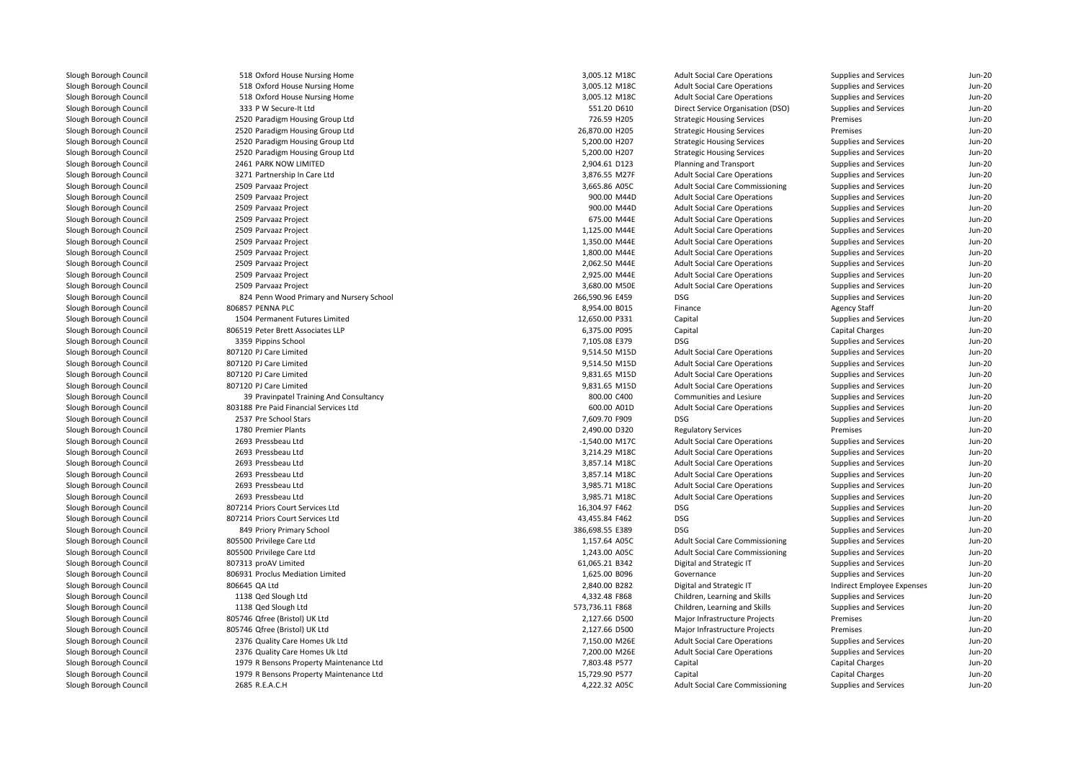518 Oxford House Nursing Home 3,005.12 M18C 518 Oxford House Nursing Home 3,005.12 M18C 518 Oxford House Nursing Home 3,005.12 M18C 333 P W Secure-It Ltd 2520 Paradigm Housing Group Ltd 2520 Paradigm Housing Group Ltd 2520 Paradigm Housing Group Ltd 2520 Paradigm Housing Group Ltd 2461 PARK NOW LIMITED 3271 Partnership In Care Ltdl and 2509 Parvaaz Project 3,665.86 A05C 3,665.86 A05C 3,665.86 A05C 3,665.86 A05C 3,665.86 A05C 3,665.86 A05C l 1990.00 M44D and the set of the set of the set of the set of the set of the set of the set of the set of the set of the set of the set of the set of the set of the set of the set of the set of the set of the set of the s 2509 Parvaaz Project 9 Parvaaz Project **900.00 M44D** 2509 Parvaaz Project 2509 Parvaaz Project 2509 Parvaaz Project 2509 Parvaaz Project 2509 Parvaaz Project 2509 Parvaaz Project 2509 Parvaaz Project 824 Penn Wood Primary and Nursery School 266,590.96 E459 DSG 806857 PENNA PLC 1504 Permanent Futures Limited 806519 Peter Brett Associates LLP3359 Pippins School Pippins School 7,105.08 E379 DSG 807120 PJ Care Limitedd 9,514.50 M15D 807120 PJ Care Limitedd 9,514.50 M15D 807120 PJ Care Limited 9,831.65 M15D 807120 PJ Care Limited 9,831.65 M15D 39 803188 Pre Paid Financial Services Ltd2537 Pre School Stars Pre School Stars 7,609.70 F909 DSG 1780 Premier Plants 2693 Pressbeau Ltdd  $-1,540.00 \text{ M17C}$  2693 Pressbeau Ltd 3,214.29 M18C 2693 Pressbeau Ltdd 3,857.14 M18C 2693 Pressbeau Ltdd 3,857.14 M18C 2693 Pressbeau Ltdd 3,985.71 M18C 2693 Pressbeau Ltdd 3,985.71 M18C 807214 Priors Court Services Ltd 807214 Priors Court Services Ltd 849 Priory Primary School 386,698.55 E389 DSG 805500 Privilege Care Ltd 1,157.64 A05C 805500 Privilege Care Ltd 1,243.00 A05C 807313 proAV Limited 806931 Proclus Mediation Limited 806645 QA Ltd 1138 Qed Slough Ltd 1138 Qed Slough Ltd 805746 Qfree (Bristol) UK Ltd 805746 Qfree (Bristol) UK Ltd 2376 Quality Care Homes Uk Ltd 2376 Quality Care Homes Uk Ltd 1979 R Bensons Property Maintenance Ltd 1979 R Bensons Property Maintenance Ltd2685 R.E.A.C.H

| 18 Oxford House Nursing Home            | 3,005.12 M18C   | <b>Adult Social Care Operations</b>               | Supplies and Services      | <b>Jun-20</b> |
|-----------------------------------------|-----------------|---------------------------------------------------|----------------------------|---------------|
| 18 Oxford House Nursing Home            | 3,005.12 M18C   | <b>Adult Social Care Operations</b>               | Supplies and Services      | <b>Jun-20</b> |
| 18 Oxford House Nursing Home            | 3,005.12 M18C   | <b>Adult Social Care Operations</b>               | Supplies and Services      | <b>Jun-20</b> |
| 33 P W Secure-It Ltd                    | 551.20 D610     | Direct Service Organisation (DSO)                 | Supplies and Services      | <b>Jun-20</b> |
| 20 Paradigm Housing Group Ltd           | 726.59 H205     | <b>Strategic Housing Services</b>                 | Premises                   | <b>Jun-20</b> |
| 20 Paradigm Housing Group Ltd           | 26,870.00 H205  | <b>Strategic Housing Services</b>                 | Premises                   | <b>Jun-20</b> |
| 20 Paradigm Housing Group Ltd           | 5,200.00 H207   | <b>Strategic Housing Services</b>                 | Supplies and Services      | <b>Jun-20</b> |
| 20 Paradigm Housing Group Ltd           | 5,200.00 H207   | <b>Strategic Housing Services</b>                 | Supplies and Services      | <b>Jun-20</b> |
| 61 PARK NOW LIMITED                     | 2,904.61 D123   | Planning and Transport                            | Supplies and Services      | <b>Jun-20</b> |
| 71 Partnership In Care Ltd              | 3,876.55 M27F   | <b>Adult Social Care Operations</b>               | Supplies and Services      | <b>Jun-20</b> |
| 09 Parvaaz Project                      | 3,665.86 A05C   | <b>Adult Social Care Commissioning</b>            | Supplies and Services      | <b>Jun-20</b> |
| 09 Parvaaz Project                      | 900.00 M44D     | <b>Adult Social Care Operations</b>               | Supplies and Services      | <b>Jun-20</b> |
| 09 Parvaaz Project                      | 900.00 M44D     | <b>Adult Social Care Operations</b>               | Supplies and Services      | <b>Jun-20</b> |
| 09 Parvaaz Project                      | 675.00 M44E     | <b>Adult Social Care Operations</b>               | Supplies and Services      | <b>Jun-20</b> |
| 09 Parvaaz Project                      | 1,125.00 M44E   | <b>Adult Social Care Operations</b>               | Supplies and Services      | <b>Jun-20</b> |
| 09 Parvaaz Project                      | 1,350.00 M44E   | <b>Adult Social Care Operations</b>               | Supplies and Services      | <b>Jun-20</b> |
| 09 Parvaaz Project                      | 1,800.00 M44E   | <b>Adult Social Care Operations</b>               | Supplies and Services      | <b>Jun-20</b> |
| 09 Parvaaz Project                      | 2,062.50 M44E   | <b>Adult Social Care Operations</b>               | Supplies and Services      | Jun-20        |
| 09 Parvaaz Project                      | 2,925.00 M44E   | <b>Adult Social Care Operations</b>               | Supplies and Services      | <b>Jun-20</b> |
|                                         |                 |                                                   |                            | <b>Jun-20</b> |
| 09 Parvaaz Project                      | 3,680.00 M50E   | <b>Adult Social Care Operations</b><br><b>DSG</b> | Supplies and Services      |               |
| 24 Penn Wood Primary and Nursery School | 266,590.96 E459 |                                                   | Supplies and Services      | <b>Jun-20</b> |
| 57 PENNA PLC                            | 8,954.00 B015   | Finance                                           | <b>Agency Staff</b>        | <b>Jun-20</b> |
| 04 Permanent Futures Limited            | 12,650.00 P331  | Capital                                           | Supplies and Services      | <b>Jun-20</b> |
| 19 Peter Brett Associates LLP           | 6,375.00 P095   | Capital                                           | <b>Capital Charges</b>     | <b>Jun-20</b> |
| 59 Pippins School                       | 7,105.08 E379   | <b>DSG</b>                                        | Supplies and Services      | <b>Jun-20</b> |
| 20 PJ Care Limited                      | 9,514.50 M15D   | <b>Adult Social Care Operations</b>               | Supplies and Services      | <b>Jun-20</b> |
| 20 PJ Care Limited                      | 9,514.50 M15D   | <b>Adult Social Care Operations</b>               | Supplies and Services      | <b>Jun-20</b> |
| 20 PJ Care Limited                      | 9,831.65 M15D   | <b>Adult Social Care Operations</b>               | Supplies and Services      | <b>Jun-20</b> |
| 20 PJ Care Limited                      | 9,831.65 M15D   | <b>Adult Social Care Operations</b>               | Supplies and Services      | <b>Jun-20</b> |
| 39 Pravinpatel Training And Consultancy | 800.00 C400     | Communities and Lesiure                           | Supplies and Services      | <b>Jun-20</b> |
| 88 Pre Paid Financial Services Ltd      | 600.00 A01D     | <b>Adult Social Care Operations</b>               | Supplies and Services      | <b>Jun-20</b> |
| 37 Pre School Stars                     | 7,609.70 F909   | <b>DSG</b>                                        | Supplies and Services      | <b>Jun-20</b> |
| '80 Premier Plants                      | 2,490.00 D320   | <b>Regulatory Services</b>                        | Premises                   | <b>Jun-20</b> |
| 93 Pressbeau Ltd                        | -1,540.00 M17C  | <b>Adult Social Care Operations</b>               | Supplies and Services      | <b>Jun-20</b> |
| 93 Pressbeau Ltd                        | 3,214.29 M18C   | <b>Adult Social Care Operations</b>               | Supplies and Services      | <b>Jun-20</b> |
| 93 Pressbeau Ltd                        | 3,857.14 M18C   | <b>Adult Social Care Operations</b>               | Supplies and Services      | <b>Jun-20</b> |
| 693 Pressbeau Ltd                       | 3,857.14 M18C   | <b>Adult Social Care Operations</b>               | Supplies and Services      | <b>Jun-20</b> |
| 93 Pressbeau Ltd                        | 3,985.71 M18C   | <b>Adult Social Care Operations</b>               | Supplies and Services      | <b>Jun-20</b> |
| 93 Pressbeau Ltd                        | 3,985.71 M18C   | <b>Adult Social Care Operations</b>               | Supplies and Services      | <b>Jun-20</b> |
| 14 Priors Court Services Ltd            | 16,304.97 F462  | <b>DSG</b>                                        | Supplies and Services      | <b>Jun-20</b> |
| 14 Priors Court Services Ltd            | 43,455.84 F462  | <b>DSG</b>                                        | Supplies and Services      | <b>Jun-20</b> |
| 49 Priory Primary School                | 386,698.55 E389 | <b>DSG</b>                                        | Supplies and Services      | <b>Jun-20</b> |
| 00 Privilege Care Ltd                   | 1,157.64 A05C   | <b>Adult Social Care Commissioning</b>            | Supplies and Services      | <b>Jun-20</b> |
| 00 Privilege Care Ltd                   | 1,243.00 A05C   | <b>Adult Social Care Commissioning</b>            | Supplies and Services      | <b>Jun-20</b> |
| 13 proAV Limited                        | 61,065.21 B342  | Digital and Strategic IT                          | Supplies and Services      | <b>Jun-20</b> |
| 31 Proclus Mediation Limited            | 1,625.00 B096   | Governance                                        | Supplies and Services      | <b>Jun-20</b> |
| 45 QA Ltd                               | 2,840.00 B282   | Digital and Strategic IT                          | Indirect Employee Expenses | <b>Jun-20</b> |
| 38 Qed Slough Ltd                       | 4,332.48 F868   | Children, Learning and Skills                     | Supplies and Services      | <b>Jun-20</b> |
| 38 Qed Slough Ltd                       | 573,736.11 F868 | Children, Learning and Skills                     | Supplies and Services      | <b>Jun-20</b> |
| '46 Qfree (Bristol) UK Ltd              | 2,127.66 D500   | Major Infrastructure Projects                     | Premises                   | <b>Jun-20</b> |
| '46 Qfree (Bristol) UK Ltd              | 2,127.66 D500   | Major Infrastructure Projects                     | Premises                   | <b>Jun-20</b> |
| 76 Quality Care Homes Uk Ltd            | 7,150.00 M26E   | <b>Adult Social Care Operations</b>               | Supplies and Services      | <b>Jun-20</b> |
| 76 Quality Care Homes Uk Ltd            | 7,200.00 M26E   | <b>Adult Social Care Operations</b>               | Supplies and Services      | <b>Jun-20</b> |
| 79 R Bensons Property Maintenance Ltd   | 7,803.48 P577   | Capital                                           | <b>Capital Charges</b>     | <b>Jun-20</b> |
| 79 R Bensons Property Maintenance Ltd   | 15,729.90 P577  | Capital                                           | <b>Capital Charges</b>     | <b>Jun-20</b> |
| 85 R.E.A.C.H                            | 4,222.32 A05C   | <b>Adult Social Care Commissioning</b>            | Supplies and Services      | <b>Jun-20</b> |
|                                         |                 |                                                   |                            |               |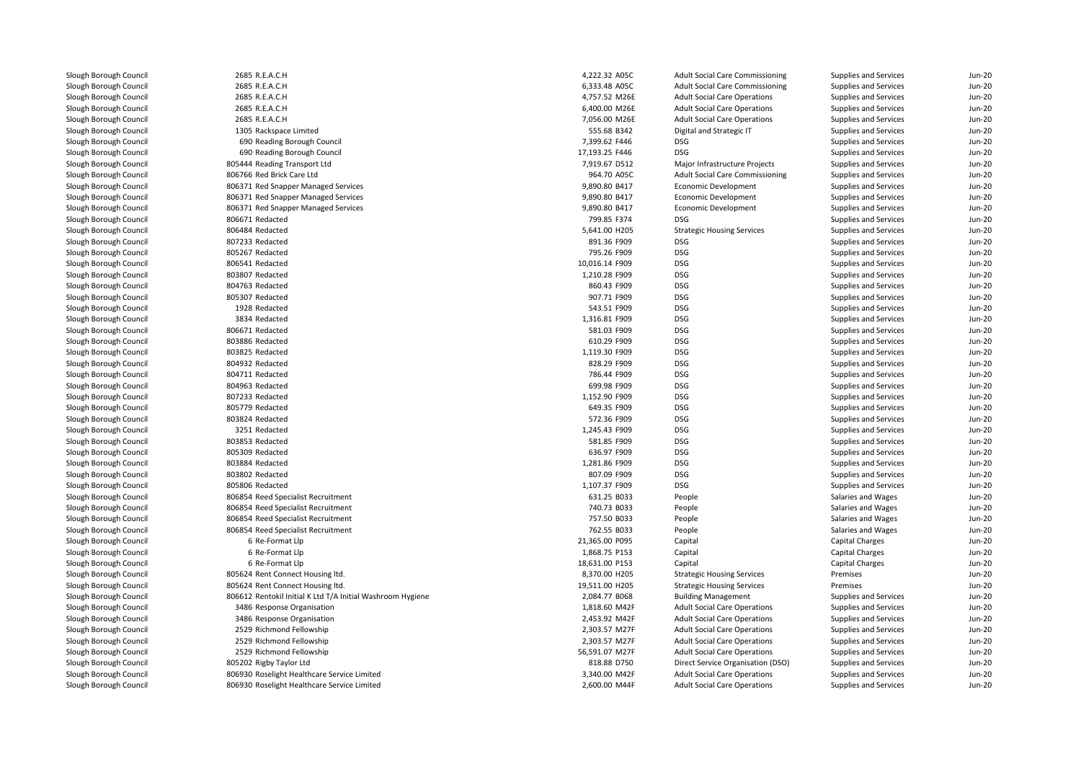| 2685 R.E.A.C.H                                             | 4,222.32 A05C  | <b>Adult Social Care Commissioning</b> | Supplies and Services        | $Jun-20$ |
|------------------------------------------------------------|----------------|----------------------------------------|------------------------------|----------|
| 2685 R.E.A.C.H                                             | 6,333.48 A05C  | <b>Adult Social Care Commissioning</b> | Supplies and Services        | $Jun-2C$ |
| 2685 R.E.A.C.H                                             | 4,757.52 M26E  | <b>Adult Social Care Operations</b>    | Supplies and Services        | Jun-20   |
| 2685 R.E.A.C.H                                             | 6,400.00 M26E  | <b>Adult Social Care Operations</b>    | Supplies and Services        | $Jun-20$ |
| 2685 R.E.A.C.H                                             | 7,056.00 M26E  | <b>Adult Social Care Operations</b>    | Supplies and Services        | $Jun-2C$ |
| 1305 Rackspace Limited                                     | 555.68 B342    | Digital and Strategic IT               | Supplies and Services        | Jun-20   |
| 690 Reading Borough Council                                | 7,399.62 F446  | DSG                                    | Supplies and Services        | Jun-20   |
| 690 Reading Borough Council                                | 17,193.25 F446 | <b>DSG</b>                             | Supplies and Services        | $Jun-2C$ |
| 805444 Reading Transport Ltd                               | 7,919.67 D512  | Major Infrastructure Projects          | Supplies and Services        | Jun-20   |
| 806766 Red Brick Care Ltd                                  | 964.70 A05C    | <b>Adult Social Care Commissioning</b> | Supplies and Services        | Jun-20   |
| 806371 Red Snapper Managed Services                        | 9,890.80 B417  | Economic Development                   | Supplies and Services        | $Jun-2C$ |
| 806371 Red Snapper Managed Services                        | 9,890.80 B417  | Economic Development                   | Supplies and Services        | Jun-20   |
| 806371 Red Snapper Managed Services                        | 9,890.80 B417  | Economic Development                   | Supplies and Services        | $Jun-20$ |
| 806671 Redacted                                            | 799.85 F374    | DSG                                    | Supplies and Services        | $Jun-20$ |
| 806484 Redacted                                            | 5,641.00 H205  | <b>Strategic Housing Services</b>      | Supplies and Services        | $Jun-2C$ |
| 807233 Redacted                                            | 891.36 F909    | <b>DSG</b>                             | Supplies and Services        | Jun-20   |
| 805267 Redacted                                            | 795.26 F909    | DSG                                    | Supplies and Services        | Jun-20   |
| 806541 Redacted                                            | 10,016.14 F909 | <b>DSG</b>                             | Supplies and Services        | $Jun-2C$ |
| 803807 Redacted                                            | 1,210.28 F909  | <b>DSG</b>                             | Supplies and Services        | Jun-20   |
| 804763 Redacted                                            | 860.43 F909    | DSG                                    | Supplies and Services        | Jun-20   |
| 805307 Redacted                                            | 907.71 F909    | <b>DSG</b>                             | Supplies and Services        | $Jun-2C$ |
| 1928 Redacted                                              | 543.51 F909    | <b>DSG</b>                             | Supplies and Services        | Jun-20   |
| 3834 Redacted                                              | 1,316.81 F909  | DSG                                    | Supplies and Services        | Jun-20   |
| 806671 Redacted                                            | 581.03 F909    | <b>DSG</b>                             | Supplies and Services        | $Jun-2C$ |
| 803886 Redacted                                            | 610.29 F909    | <b>DSG</b>                             | Supplies and Services        | Jun-20   |
| 803825 Redacted                                            | 1,119.30 F909  | DSG                                    | Supplies and Services        | Jun-20   |
| 804932 Redacted                                            | 828.29 F909    | <b>DSG</b>                             | Supplies and Services        | $Jun-2C$ |
| 804711 Redacted                                            | 786.44 F909    | <b>DSG</b>                             | Supplies and Services        | Jun-20   |
| 804963 Redacted                                            | 699.98 F909    | DSG                                    | Supplies and Services        | Jun-20   |
| 807233 Redacted                                            | 1,152.90 F909  | <b>DSG</b>                             | Supplies and Services        | $Jun-2C$ |
| 805779 Redacted                                            | 649.35 F909    | <b>DSG</b>                             | Supplies and Services        | Jun-20   |
| 803824 Redacted                                            | 572.36 F909    | DSG                                    | Supplies and Services        | Jun-20   |
| 3251 Redacted                                              | 1,245.43 F909  | <b>DSG</b>                             | Supplies and Services        | $Jun-2C$ |
| 803853 Redacted                                            | 581.85 F909    | <b>DSG</b>                             | Supplies and Services        | Jun-20   |
| 805309 Redacted                                            | 636.97 F909    | DSG                                    | Supplies and Services        | $Jun-20$ |
| 803884 Redacted                                            | 1,281.86 F909  | <b>DSG</b>                             | Supplies and Services        | $Jun-20$ |
| 803802 Redacted                                            | 807.09 F909    | <b>DSG</b>                             | Supplies and Services        | Jun-20   |
| 805806 Redacted                                            | 1,107.37 F909  | DSG                                    | Supplies and Services        | $Jun-20$ |
| 806854 Reed Specialist Recruitment                         | 631.25 B033    | People                                 | Salaries and Wages           | $Jun-20$ |
| 806854 Reed Specialist Recruitment                         | 740.73 B033    | People                                 | Salaries and Wages           | Jun-20   |
| 806854 Reed Specialist Recruitment                         | 757.50 B033    | People                                 | Salaries and Wages           | $Jun-20$ |
| 806854 Reed Specialist Recruitment                         | 762.55 B033    | People                                 | Salaries and Wages           | $Jun-20$ |
| 6 Re-Format Llp                                            | 21,365.00 P095 | Capital                                | Capital Charges              | Jun-20   |
| 6 Re-Format Llp                                            | 1,868.75 P153  | Capital                                | Capital Charges              | $Jun-20$ |
| 6 Re-Format Llp                                            | 18,631.00 P153 | Capital                                | Capital Charges              | $Jun-20$ |
| 805624 Rent Connect Housing ltd.                           | 8,370.00 H205  | <b>Strategic Housing Services</b>      | Premises                     | Jun-20   |
| 805624 Rent Connect Housing ltd.                           | 19,511.00 H205 | <b>Strategic Housing Services</b>      | Premises                     | $Jun-20$ |
| 806612 Rentokil Initial K Ltd T/A Initial Washroom Hygiene | 2,084.77 B068  | <b>Building Management</b>             | Supplies and Services        | $Jun-20$ |
| 3486 Response Organisation                                 | 1,818.60 M42F  | <b>Adult Social Care Operations</b>    | Supplies and Services        | Jun-20   |
| 3486 Response Organisation                                 | 2,453.92 M42F  | <b>Adult Social Care Operations</b>    | Supplies and Services        | $Jun-20$ |
| 2529 Richmond Fellowship                                   | 2,303.57 M27F  | <b>Adult Social Care Operations</b>    | Supplies and Services        | $Jun-20$ |
| 2529 Richmond Fellowship                                   | 2,303.57 M27F  | <b>Adult Social Care Operations</b>    | Supplies and Services        | Jun-20   |
|                                                            |                |                                        |                              |          |
| 2529 Richmond Fellowship                                   | 56,591.07 M27F | <b>Adult Social Care Operations</b>    | Supplies and Services        | $Jun-20$ |
| 805202 Rigby Taylor Ltd                                    | 818.88 D750    | Direct Service Organisation (DSO)      | Supplies and Services        | $Jun-20$ |
| 806930 Roselight Healthcare Service Limited                | 3,340.00 M42F  | <b>Adult Social Care Operations</b>    | <b>Supplies and Services</b> | Jun-20   |
| 806930 Roselight Healthcare Service Limited                | 2,600.00 M44F  | <b>Adult Social Care Operations</b>    | Supplies and Services        | $Jun-20$ |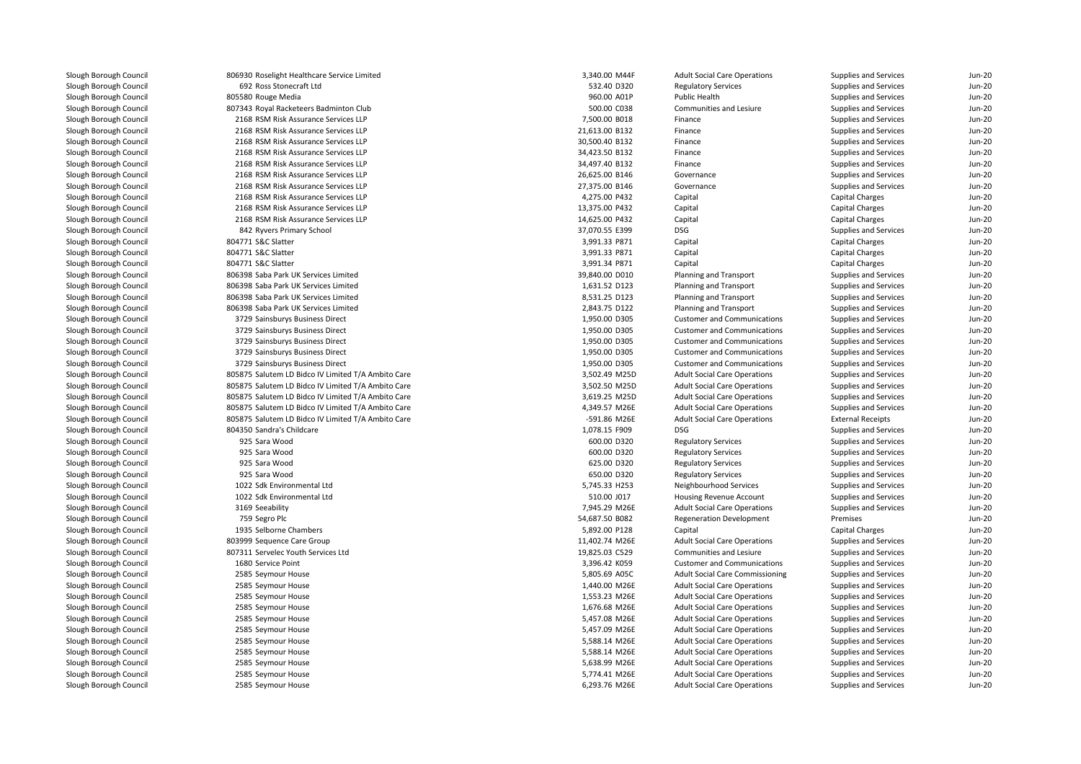| 806930 Roselight Healthcare Service Limited        | 3,340.00 M44F  | <b>Adult Social Care Operations</b>    | Supplies and Services        | Jun-20   |
|----------------------------------------------------|----------------|----------------------------------------|------------------------------|----------|
| 692 Ross Stonecraft Ltd                            | 532.40 D320    | <b>Regulatory Services</b>             | Supplies and Services        | $Jun-2C$ |
| 805580 Rouge Media                                 | 960.00 A01P    | Public Health                          | Supplies and Services        | $Jun-20$ |
| 807343 Royal Racketeers Badminton Club             | 500.00 C038    | Communities and Lesiure                | Supplies and Services        | $Jun-2C$ |
| 2168 RSM Risk Assurance Services LLP               | 7,500.00 B018  | Finance                                | Supplies and Services        | Jun-20   |
| 2168 RSM Risk Assurance Services LLP               | 21,613.00 B132 | Finance                                | Supplies and Services        | $Jun-2C$ |
| 2168 RSM Risk Assurance Services LLP               | 30,500.40 B132 | Finance                                | Supplies and Services        | $Jun-2C$ |
| 2168 RSM Risk Assurance Services LLP               | 34,423.50 B132 | Finance                                | <b>Supplies and Services</b> | $Jun-2C$ |
| 2168 RSM Risk Assurance Services LLP               | 34,497.40 B132 | Finance                                | Supplies and Services        | $Jun-2C$ |
| 2168 RSM Risk Assurance Services LLP               | 26,625.00 B146 | Governance                             | Supplies and Services        | $Jun-20$ |
| 2168 RSM Risk Assurance Services LLP               | 27,375.00 B146 | Governance                             | Supplies and Services        | $Jun-2C$ |
| 2168 RSM Risk Assurance Services LLP               | 4,275.00 P432  | Capital                                | Capital Charges              | $Jun-20$ |
| 2168 RSM Risk Assurance Services LLP               | 13,375.00 P432 | Capital                                | <b>Capital Charges</b>       | $Jun-2C$ |
| 2168 RSM Risk Assurance Services LLP               | 14,625.00 P432 | Capital                                | <b>Capital Charges</b>       | $Jun-2C$ |
| 842 Ryvers Primary School                          | 37,070.55 E399 | DSG                                    | Supplies and Services        | $Jun-20$ |
| 804771 S&C Slatter                                 | 3,991.33 P871  | Capital                                | <b>Capital Charges</b>       | Jun-20   |
| 804771 S&C Slatter                                 | 3,991.33 P871  | Capital                                | <b>Capital Charges</b>       | $Jun-20$ |
| 804771 S&C Slatter                                 | 3,991.34 P871  | Capital                                | Capital Charges              | Jun-20   |
| 806398 Saba Park UK Services Limited               | 39,840.00 D010 | Planning and Transport                 | Supplies and Services        | Jun-20   |
| 806398 Saba Park UK Services Limited               | 1,631.52 D123  | Planning and Transport                 | Supplies and Services        | $Jun-2C$ |
| 806398 Saba Park UK Services Limited               | 8,531.25 D123  | Planning and Transport                 | Supplies and Services        | Jun-20   |
| 806398 Saba Park UK Services Limited               | 2,843.75 D122  | Planning and Transport                 | Supplies and Services        | $Jun-20$ |
| 3729 Sainsburys Business Direct                    | 1,950.00 D305  | <b>Customer and Communications</b>     | Supplies and Services        | $Jun-2C$ |
| 3729 Sainsburys Business Direct                    | 1,950.00 D305  | <b>Customer and Communications</b>     | Supplies and Services        | Jun-20   |
| 3729 Sainsburys Business Direct                    | 1,950.00 D305  | <b>Customer and Communications</b>     | Supplies and Services        | $Jun-2C$ |
| 3729 Sainsburys Business Direct                    | 1,950.00 D305  | <b>Customer and Communications</b>     | Supplies and Services        | $Jun-20$ |
| 3729 Sainsburys Business Direct                    | 1,950.00 D305  | <b>Customer and Communications</b>     | <b>Supplies and Services</b> | Jun-20   |
| 805875 Salutem LD Bidco IV Limited T/A Ambito Care | 3,502.49 M25D  | <b>Adult Social Care Operations</b>    | Supplies and Services        | $Jun-2C$ |
| 805875 Salutem LD Bidco IV Limited T/A Ambito Care | 3,502.50 M25D  | <b>Adult Social Care Operations</b>    | Supplies and Services        | $Jun-2C$ |
| 805875 Salutem LD Bidco IV Limited T/A Ambito Care | 3,619.25 M25D  | <b>Adult Social Care Operations</b>    | Supplies and Services        | Jun-20   |
| 805875 Salutem LD Bidco IV Limited T/A Ambito Care | 4,349.57 M26E  | <b>Adult Social Care Operations</b>    | Supplies and Services        | $Jun-20$ |
| 805875 Salutem LD Bidco IV Limited T/A Ambito Care | -591.86 M26E   | <b>Adult Social Care Operations</b>    | <b>External Receipts</b>     | $Jun-2C$ |
| 804350 Sandra's Childcare                          | 1,078.15 F909  | <b>DSG</b>                             | Supplies and Services        | Jun-20   |
| 925 Sara Wood                                      | 600.00 D320    | <b>Regulatory Services</b>             | Supplies and Services        | $Jun-2C$ |
| 925 Sara Wood                                      | 600.00 D320    | <b>Regulatory Services</b>             | Supplies and Services        | $Jun-2C$ |
| 925 Sara Wood                                      | 625.00 D320    | <b>Regulatory Services</b>             | Supplies and Services        | $Jun-20$ |
| 925 Sara Wood                                      | 650.00 D320    | <b>Regulatory Services</b>             | Supplies and Services        | Jun-20   |
| 1022 Sdk Environmental Ltd                         | 5,745.33 H253  | Neighbourhood Services                 | Supplies and Services        | Jun-20   |
| 1022 Sdk Environmental Ltd                         | 510.00 J017    | Housing Revenue Account                | Supplies and Services        | $Jun-2C$ |
| 3169 Seeability                                    | 7,945.29 M26E  | <b>Adult Social Care Operations</b>    | Supplies and Services        | Jun-20   |
| 759 Segro Plc                                      | 54,687.50 B082 | <b>Regeneration Development</b>        | Premises                     | $Jun-2C$ |
| 1935 Selborne Chambers                             | 5,892.00 P128  | Capital                                | Capital Charges              | $Jun-2C$ |
| 803999 Sequence Care Group                         | 11,402.74 M26E | <b>Adult Social Care Operations</b>    | Supplies and Services        | $Jun-20$ |
| 807311 Servelec Youth Services Ltd                 | 19,825.03 C529 | Communities and Lesiure                | Supplies and Services        | $Jun-2C$ |
| 1680 Service Point                                 | 3,396.42 K059  | <b>Customer and Communications</b>     | Supplies and Services        | $Jun-2C$ |
| 2585 Seymour House                                 | 5,805.69 A05C  | <b>Adult Social Care Commissioning</b> | Supplies and Services        | $Jun-2C$ |
| 2585 Seymour House                                 | 1,440.00 M26E  | <b>Adult Social Care Operations</b>    | Supplies and Services        | $Jun-20$ |
| 2585 Seymour House                                 | 1,553.23 M26E  | <b>Adult Social Care Operations</b>    | Supplies and Services        | $Jun-2C$ |
| 2585 Seymour House                                 | 1,676.68 M26E  | <b>Adult Social Care Operations</b>    | Supplies and Services        | Jun-20   |
| 2585 Seymour House                                 | 5,457.08 M26E  | <b>Adult Social Care Operations</b>    | Supplies and Services        | $Jun-20$ |
| 2585 Seymour House                                 | 5,457.09 M26E  | <b>Adult Social Care Operations</b>    | Supplies and Services        | $Jun-2C$ |
| 2585 Seymour House                                 | 5,588.14 M26E  | <b>Adult Social Care Operations</b>    | Supplies and Services        | Jun-20   |
| 2585 Seymour House                                 | 5,588.14 M26E  | <b>Adult Social Care Operations</b>    | Supplies and Services        | $Jun-2C$ |
| 2585 Seymour House                                 | 5,638.99 M26E  | <b>Adult Social Care Operations</b>    | Supplies and Services        | Jun-20   |
| 2585 Seymour House                                 | 5,774.41 M26E  | <b>Adult Social Care Operations</b>    | Supplies and Services        | $Jun-2C$ |
| 2585 Seymour House                                 | 6,293.76 M26E  | <b>Adult Social Care Operations</b>    | Supplies and Services        | $Jun-2C$ |
|                                                    |                |                                        |                              |          |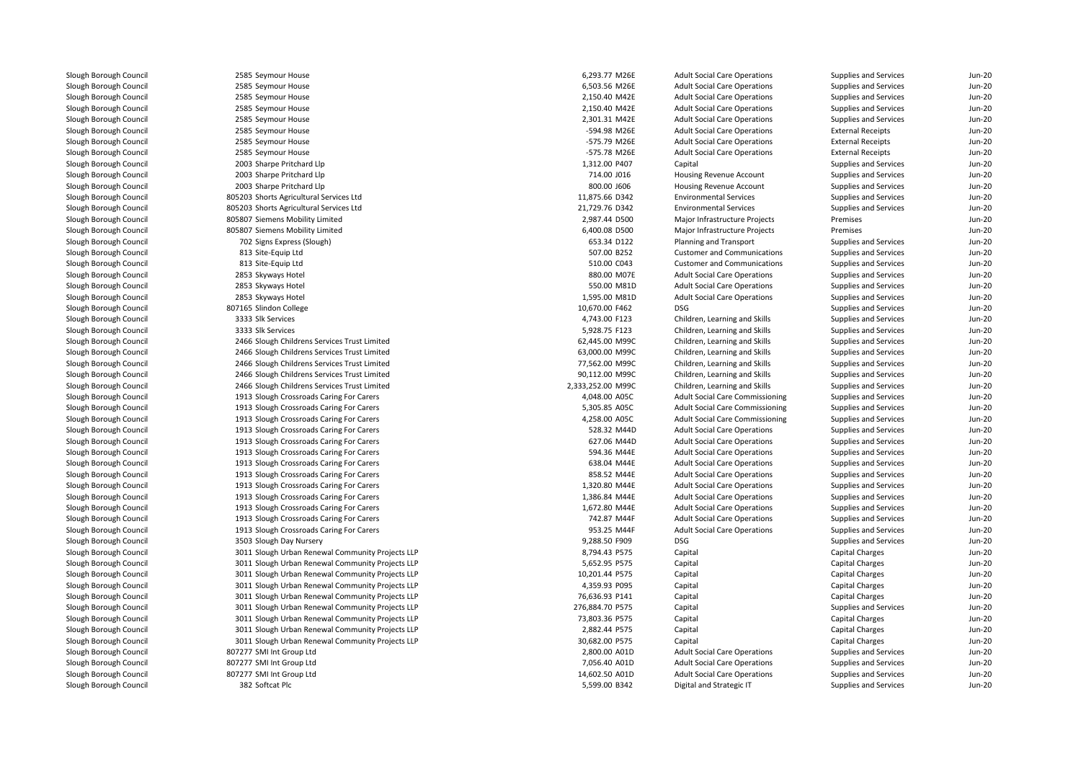| 2585 Seymour House                               | 6,293.77 M26E     | <b>Adult Social Care Operations</b>    | Supplies and Services    | $Jun-20$ |
|--------------------------------------------------|-------------------|----------------------------------------|--------------------------|----------|
| 2585 Seymour House                               | 6,503.56 M26E     | <b>Adult Social Care Operations</b>    | Supplies and Services    | $Jun-2C$ |
| 2585 Seymour House                               | 2,150.40 M42E     | <b>Adult Social Care Operations</b>    | Supplies and Services    | Jun-20   |
| 2585 Seymour House                               | 2,150.40 M42E     | <b>Adult Social Care Operations</b>    | Supplies and Services    | $Jun-20$ |
| 2585 Seymour House                               | 2,301.31 M42E     | <b>Adult Social Care Operations</b>    | Supplies and Services    | $Jun-2C$ |
| 2585 Seymour House                               | -594.98 M26E      | <b>Adult Social Care Operations</b>    | <b>External Receipts</b> | Jun-20   |
| 2585 Seymour House                               | -575.79 M26E      | <b>Adult Social Care Operations</b>    | <b>External Receipts</b> | $Jun-2C$ |
| 2585 Seymour House                               | -575.78 M26E      | <b>Adult Social Care Operations</b>    | <b>External Receipts</b> | $Jun-2C$ |
| 2003 Sharpe Pritchard Llp                        | 1,312.00 P407     | Capital                                | Supplies and Services    | Jun-20   |
| 2003 Sharpe Pritchard Llp                        | 714.00 J016       | Housing Revenue Account                | Supplies and Services    | $Jun-2C$ |
| 2003 Sharpe Pritchard Llp                        | 800.00 J606       | Housing Revenue Account                | Supplies and Services    | $Jun-20$ |
| 805203 Shorts Agricultural Services Ltd          | 11.875.66 D342    | <b>Environmental Services</b>          | Supplies and Services    | Jun-20   |
| 805203 Shorts Agricultural Services Ltd          | 21,729.76 D342    | <b>Environmental Services</b>          | Supplies and Services    | $Jun-2C$ |
| 805807 Siemens Mobility Limited                  | 2,987.44 D500     | Major Infrastructure Projects          | Premises                 | $Jun-2C$ |
| 805807 Siemens Mobility Limited                  | 6,400.08 D500     | Major Infrastructure Projects          | Premises                 | $Jun-2C$ |
| 702 Signs Express (Slough)                       | 653.34 D122       | Planning and Transport                 | Supplies and Services    | Jun-20   |
| 813 Site-Equip Ltd                               | 507.00 B252       | <b>Customer and Communications</b>     | Supplies and Services    | $Jun-20$ |
| 813 Site-Equip Ltd                               | 510.00 C043       | <b>Customer and Communications</b>     | Supplies and Services    | $Jun-2C$ |
| 2853 Skyways Hotel                               | 880.00 M07E       | <b>Adult Social Care Operations</b>    | Supplies and Services    | $Jun-20$ |
| 2853 Skyways Hotel                               | 550.00 M81D       | <b>Adult Social Care Operations</b>    | Supplies and Services    | $Jun-20$ |
| 2853 Skyways Hotel                               | 1,595.00 M81D     | <b>Adult Social Care Operations</b>    | Supplies and Services    | Jun-20   |
| 807165 Slindon College                           | 10,670.00 F462    | DSG                                    | Supplies and Services    | $Jun-20$ |
| 3333 Slk Services                                | 4,743.00 F123     | Children, Learning and Skills          | Supplies and Services    | $Jun-2C$ |
| 3333 Slk Services                                | 5,928.75 F123     | Children, Learning and Skills          | Supplies and Services    | Jun-20   |
| 2466 Slough Childrens Services Trust Limited     | 62,445.00 M99C    | Children, Learning and Skills          | Supplies and Services    | $Jun-20$ |
| 2466 Slough Childrens Services Trust Limited     | 63,000.00 M99C    | Children, Learning and Skills          | Supplies and Services    | $Jun-2C$ |
| 2466 Slough Childrens Services Trust Limited     | 77,562.00 M99C    | Children, Learning and Skills          | Supplies and Services    | $Jun-20$ |
| 2466 Slough Childrens Services Trust Limited     | 90,112.00 M99C    | Children, Learning and Skills          | Supplies and Services    | $Jun-20$ |
| 2466 Slough Childrens Services Trust Limited     | 2,333,252.00 M99C | Children, Learning and Skills          | Supplies and Services    | Jun-20   |
| 1913 Slough Crossroads Caring For Carers         | 4,048.00 A05C     | <b>Adult Social Care Commissioning</b> | Supplies and Services    | $Jun-20$ |
| 1913 Slough Crossroads Caring For Carers         | 5,305.85 A05C     | <b>Adult Social Care Commissioning</b> | Supplies and Services    | $Jun-2C$ |
| 1913 Slough Crossroads Caring For Carers         | 4,258.00 A05C     | <b>Adult Social Care Commissioning</b> | Supplies and Services    | Jun-20   |
| 1913 Slough Crossroads Caring For Carers         | 528.32 M44D       | <b>Adult Social Care Operations</b>    | Supplies and Services    | $Jun-20$ |
| 1913 Slough Crossroads Caring For Carers         | 627.06 M44D       | <b>Adult Social Care Operations</b>    | Supplies and Services    | Jun-20   |
| 1913 Slough Crossroads Caring For Carers         | 594.36 M44E       | <b>Adult Social Care Operations</b>    | Supplies and Services    | Jun-20   |
| 1913 Slough Crossroads Caring For Carers         | 638.04 M44E       | <b>Adult Social Care Operations</b>    | Supplies and Services    | $Jun-20$ |
| 1913 Slough Crossroads Caring For Carers         | 858.52 M44E       | <b>Adult Social Care Operations</b>    | Supplies and Services    | Jun-20   |
| 1913 Slough Crossroads Caring For Carers         | 1,320.80 M44E     | <b>Adult Social Care Operations</b>    | Supplies and Services    | $Jun-20$ |
| 1913 Slough Crossroads Caring For Carers         | 1,386.84 M44E     | <b>Adult Social Care Operations</b>    | Supplies and Services    | $Jun-2C$ |
| 1913 Slough Crossroads Caring For Carers         | 1,672.80 M44E     | <b>Adult Social Care Operations</b>    | Supplies and Services    | Jun-20   |
| 1913 Slough Crossroads Caring For Carers         | 742.87 M44F       | <b>Adult Social Care Operations</b>    | Supplies and Services    | $Jun-20$ |
| 1913 Slough Crossroads Caring For Carers         | 953.25 M44F       | <b>Adult Social Care Operations</b>    | Supplies and Services    | $Jun-2C$ |
| 3503 Slough Day Nursery                          | 9,288.50 F909     | DSG                                    | Supplies and Services    | Jun-20   |
| 3011 Slough Urban Renewal Community Projects LLP | 8,794.43 P575     | Capital                                | Capital Charges          | $Jun-20$ |
| 3011 Slough Urban Renewal Community Projects LLP | 5,652.95 P575     | Capital                                | Capital Charges          | $Jun-2C$ |
| 3011 Slough Urban Renewal Community Projects LLP | 10,201.44 P575    | Capital                                | Capital Charges          | Jun-20   |
| 3011 Slough Urban Renewal Community Projects LLP | 4,359.93 P095     | Capital                                | Capital Charges          | $Jun-2C$ |
| 3011 Slough Urban Renewal Community Projects LLP | 76,636.93 P141    | Capital                                | Capital Charges          | $Jun-2C$ |
| 3011 Slough Urban Renewal Community Projects LLP | 276,884.70 P575   | Capital                                | Supplies and Services    | $Jun-20$ |
| 3011 Slough Urban Renewal Community Projects LLP | 73,803.36 P575    | Capital                                | Capital Charges          | $Jun-2C$ |
| 3011 Slough Urban Renewal Community Projects LLP | 2,882.44 P575     | Capital                                | Capital Charges          | Jun-20   |
| 3011 Slough Urban Renewal Community Projects LLP | 30,682.00 P575    | Capital                                | Capital Charges          | $Jun-20$ |
| 807277 SMI Int Group Ltd                         | 2,800.00 A01D     | <b>Adult Social Care Operations</b>    | Supplies and Services    | Jun-20   |
| 807277 SMI Int Group Ltd                         | 7,056.40 A01D     | <b>Adult Social Care Operations</b>    | Supplies and Services    | $Jun-20$ |
| 807277 SMI Int Group Ltd                         | 14,602.50 A01D    | <b>Adult Social Care Operations</b>    | Supplies and Services    | $Jun-2C$ |
| 382 Softcat Plc                                  | 5,599.00 B342     | Digital and Strategic IT               | Supplies and Services    | $Jun-2C$ |
|                                                  |                   |                                        |                          |          |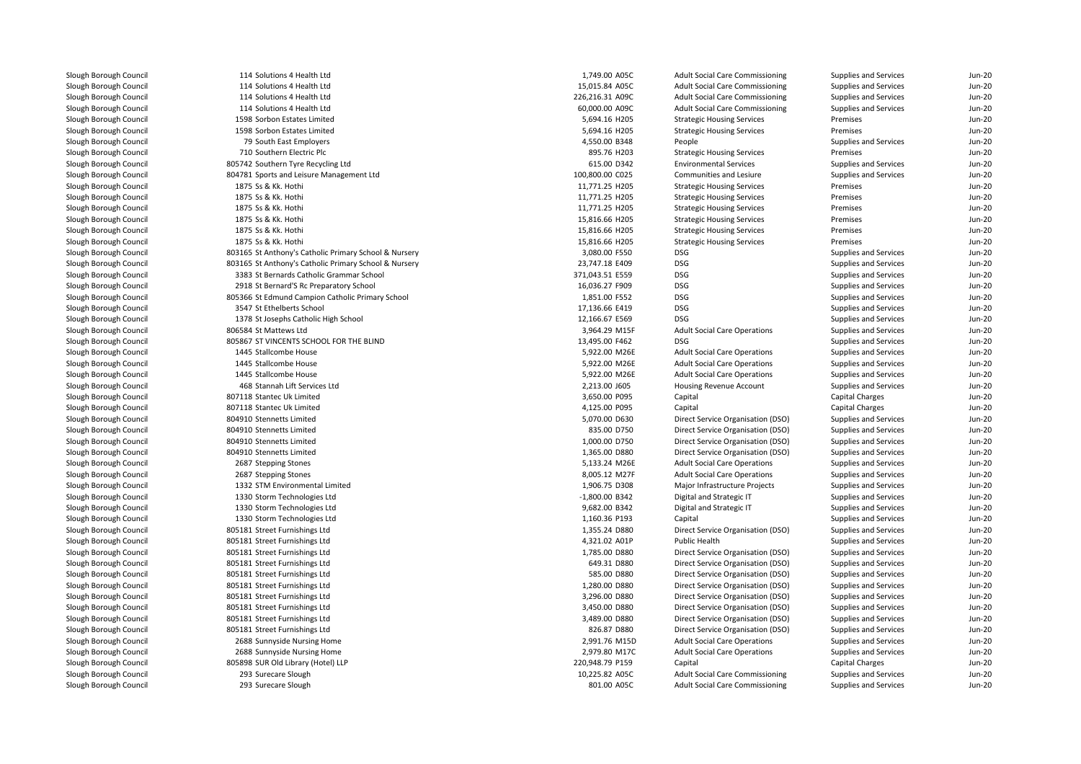114 Solutions 4 Health Ltd 1,749.00 A05C 114 Solutions 4 Health Ltd 15,015.84 A05C 114 Solutions 4 Health Ltdd 226,216.31 A09C 114 Solutions 4 Health Ltdd 60,000.00 A09C 1598 Sorbon Estates Limited 1598 Sorbon Estates Limited 79710 Southern Electric Plc 805742 Southern Tyre Recycling Ltd 804781 Sports and Leisure Management Ltd1875 Ss & Kk. Hothi 1875 Ss & Kk. Hothi 1875 Ss & Kk. Hothi 1875 Ss & Kk. Hothi 1875 Ss & Kk Hothi 1875 Ss & Kk. Hothi 803165 St Anthony's Catholic Primary School & Nursery 3,080.00 F550 DSG 803165 St Anthony's Catholic Primary School & Nursery 23,747.18 E409 DSG 3383 St Bernards Catholic Grammar School 371,043.51 E559 DSG 2918 St Bernard'S Rc Preparatory School 16,036.27 F909 DSG 805366 St Edmund Campion Catholic Primary School 1,851.00 F552 DSG 3547 St Ethelberts School 17,136.66 E419 DSG 1378 St Josephs Catholic High School 12,166.67 E569 DSG 806584 St Mattews Ltd 805867 ST VINCENTS SCHOOL FOR THE BLIND1445 Stallcombe House 1445 Stallcombe House 1445 Stallcombe House 468 Stannah Lift Services Ltd 807118 Stantec Uk Limited 807118 Stantec Uk Limited 804910 Stennetts Limited 804910 Stennetts Limited 804910 Stennetts Limited 804910 Stennetts Limited2687 Stepping Stones 2687 Stepping Stones 1332 STM Environmental Limited 1330 Storm Technologies Ltd 1330 Storm Technologies Ltd 1330 Storm Technologies Ltd 805181 Street Furnishings Ltd 805181 Street Furnishings Ltd 805181 Street Furnishings Ltd 805181 Street Furnishings Ltd 805181 Street Furnishings Ltd 805181 Street Furnishings Ltd 805181 Street Furnishings Ltd 805181 Street Furnishings Ltd 805181 Street Furnishings Ltd 805181 Street Furnishings Ltd 2688 Sunnyside Nursing Home 2,991.76 M15D 2688 Sunnyside Nursing Home 2,979.80 M17C 805898 SUR Old Library (Hotel) LLP 293 Surecare Sloughh 10,225.82 A05C 293 Surecare Sloughh 801.00 A05C

| 4 Solutions 4 Health Ltd                         | 1,749.00 A05C   | <b>Adult Social Care Commissioning</b> | Supplies and Services                          | Jun-20   |
|--------------------------------------------------|-----------------|----------------------------------------|------------------------------------------------|----------|
| 4 Solutions 4 Health Ltd                         | 15,015.84 A05C  | <b>Adult Social Care Commissioning</b> | Supplies and Services                          | $Jun-20$ |
| 4 Solutions 4 Health Ltd                         | 226,216.31 A09C | <b>Adult Social Care Commissioning</b> | Supplies and Services                          | $Jun-20$ |
| 4 Solutions 4 Health Ltd                         | 60,000.00 A09C  | <b>Adult Social Care Commissioning</b> | Supplies and Services                          | $Jun-2C$ |
| 8 Sorbon Estates Limited                         | 5,694.16 H205   | <b>Strategic Housing Services</b>      | Premises                                       | $Jun-20$ |
| 8 Sorbon Estates Limited                         | 5,694.16 H205   | <b>Strategic Housing Services</b>      | Premises                                       | Jun-20   |
| 9 South East Employers                           | 4,550.00 B348   | People                                 | Supplies and Services                          | $Jun-2C$ |
| 0 Southern Electric Plc                          | 895.76 H203     | <b>Strategic Housing Services</b>      | Premises                                       | $Jun-20$ |
| 2 Southern Tyre Recycling Ltd                    | 615.00 D342     | <b>Environmental Services</b>          | Supplies and Services                          | $Jun-2C$ |
| 1 Sports and Leisure Management Ltd              | 100,800.00 C025 | Communities and Lesiure                | Supplies and Services                          | $Jun-2C$ |
| 5 Ss & Kk. Hothi                                 | 11,771.25 H205  | <b>Strategic Housing Services</b>      | Premises                                       | $Jun-20$ |
| 5 Ss & Kk. Hothi                                 | 11,771.25 H205  | <b>Strategic Housing Services</b>      | Premises                                       | Jun-20   |
| 5 Ss & Kk. Hothi                                 | 11,771.25 H205  | <b>Strategic Housing Services</b>      | Premises                                       | $Jun-2C$ |
| 5 Ss & Kk. Hothi                                 | 15,816.66 H205  | <b>Strategic Housing Services</b>      | Premises                                       | $Jun-2C$ |
| 5 Ss & Kk. Hothi                                 | 15,816.66 H205  | <b>Strategic Housing Services</b>      | Premises                                       | $Jun-2C$ |
| 5 Ss & Kk. Hothi                                 | 15,816.66 H205  | <b>Strategic Housing Services</b>      | Premises                                       | $Jun-20$ |
| 5 St Anthony's Catholic Primary School & Nursery | 3,080.00 F550   | <b>DSG</b>                             | Supplies and Services                          | $Jun-2C$ |
| 5 St Anthony's Catholic Primary School & Nursery | 23,747.18 E409  | <b>DSG</b>                             | Supplies and Services                          | Jun-20   |
| 3 St Bernards Catholic Grammar School            | 371,043.51 E559 | <b>DSG</b>                             | Supplies and Services                          | $Jun-20$ |
| 8 St Bernard'S Rc Preparatory School             | 16,036.27 F909  | <b>DSG</b>                             | Supplies and Services                          | $Jun-2C$ |
| 6 St Edmund Campion Catholic Primary School      | 1,851.00 F552   | <b>DSG</b>                             | Supplies and Services                          | $Jun-20$ |
| 7 St Ethelberts School                           | 17,136.66 E419  | <b>DSG</b>                             | Supplies and Services                          | $Jun-2C$ |
| 8 St Josephs Catholic High School                | 12,166.67 E569  | <b>DSG</b>                             | Supplies and Services                          | $Jun-20$ |
| 4 St Mattews Ltd                                 | 3,964.29 M15F   | <b>Adult Social Care Operations</b>    | Supplies and Services                          | $Jun-20$ |
| 7 ST VINCENTS SCHOOL FOR THE BLIND               | 13,495.00 F462  | <b>DSG</b>                             | Supplies and Services                          | $Jun-2C$ |
| 5 Stallcombe House                               | 5,922.00 M26E   | <b>Adult Social Care Operations</b>    | Supplies and Services                          | $Jun-20$ |
| 5 Stallcombe House                               | 5,922.00 M26E   | <b>Adult Social Care Operations</b>    | Supplies and Services                          | $Jun-2C$ |
| 5 Stallcombe House                               | 5,922.00 M26E   | <b>Adult Social Care Operations</b>    | Supplies and Services                          | $Jun-20$ |
| 8 Stannah Lift Services Ltd                      | 2,213.00 J605   | Housing Revenue Account                | Supplies and Services                          | $Jun-20$ |
| 8 Stantec Uk Limited                             | 3,650.00 P095   | Capital                                | <b>Capital Charges</b>                         | $Jun-2C$ |
| 8 Stantec Uk Limited                             | 4,125.00 P095   | Capital                                | <b>Capital Charges</b>                         | $Jun-20$ |
| 0 Stennetts Limited                              | 5,070.00 D630   | Direct Service Organisation (DSO)      | Supplies and Services                          | $Jun-2C$ |
| 0 Stennetts Limited                              | 835.00 D750     | Direct Service Organisation (DSO)      | Supplies and Services                          | $Jun-2C$ |
| 0 Stennetts Limited                              | 1,000.00 D750   | Direct Service Organisation (DSO)      | Supplies and Services                          | $Jun-20$ |
| 0 Stennetts Limited                              | 1,365.00 D880   | Direct Service Organisation (DSO)      | Supplies and Services                          | $Jun-2C$ |
| 7 Stepping Stones                                |                 |                                        |                                                | $Jun-20$ |
| 7 Stepping Stones                                | 5,133.24 M26E   | <b>Adult Social Care Operations</b>    | Supplies and Services<br>Supplies and Services | $Jun-2C$ |
|                                                  | 8,005.12 M27F   | <b>Adult Social Care Operations</b>    |                                                |          |
| 2 STM Environmental Limited                      | 1,906.75 D308   | Major Infrastructure Projects          | Supplies and Services                          | $Jun-2C$ |
| 0 Storm Technologies Ltd                         | -1,800.00 B342  | Digital and Strategic IT               | Supplies and Services                          | $Jun-20$ |
| 0 Storm Technologies Ltd                         | 9,682.00 B342   | Digital and Strategic IT               | Supplies and Services                          | $Jun-2C$ |
| 0 Storm Technologies Ltd                         | 1,160.36 P193   | Capital                                | Supplies and Services                          | $Jun-2C$ |
| 1 Street Furnishings Ltd                         | 1,355.24 D880   | Direct Service Organisation (DSO)      | Supplies and Services                          | $Jun-2C$ |
| 1 Street Furnishings Ltd                         | 4,321.02 A01P   | Public Health                          | Supplies and Services                          | $Jun-2C$ |
| 1 Street Furnishings Ltd                         | 1,785.00 D880   | Direct Service Organisation (DSO)      | Supplies and Services                          | $Jun-20$ |
| 1 Street Furnishings Ltd                         | 649.31 D880     | Direct Service Organisation (DSO)      | Supplies and Services                          | Jun-20   |
| 1 Street Furnishings Ltd                         | 585.00 D880     | Direct Service Organisation (DSO)      | Supplies and Services                          | $Jun-20$ |
| 1 Street Furnishings Ltd                         | 1,280.00 D880   | Direct Service Organisation (DSO)      | Supplies and Services                          | $Jun-20$ |
| 1 Street Furnishings Ltd                         | 3,296.00 D880   | Direct Service Organisation (DSO)      | Supplies and Services                          | $Jun-2C$ |
| 1 Street Furnishings Ltd                         | 3,450.00 D880   | Direct Service Organisation (DSO)      | Supplies and Services                          | $Jun-20$ |
| 1 Street Furnishings Ltd                         | 3,489.00 D880   | Direct Service Organisation (DSO)      | Supplies and Services                          | Jun-20   |
| 1 Street Furnishings Ltd                         | 826.87 D880     | Direct Service Organisation (DSO)      | Supplies and Services                          | Jun-20   |
| 8 Sunnyside Nursing Home                         | 2,991.76 M15D   | <b>Adult Social Care Operations</b>    | Supplies and Services                          | $Jun-20$ |
| 8 Sunnyside Nursing Home                         | 2,979.80 M17C   | <b>Adult Social Care Operations</b>    | Supplies and Services                          | $Jun-20$ |
| 8 SUR Old Library (Hotel) LLP                    | 220,948.79 P159 | Capital                                | <b>Capital Charges</b>                         | $Jun-20$ |
| 3 Surecare Slough                                | 10,225.82 A05C  | <b>Adult Social Care Commissioning</b> | Supplies and Services                          | $Jun-2C$ |
| 3 Surecare Slough                                | 801.00 A05C     | <b>Adult Social Care Commissioning</b> | Supplies and Services                          | $Jun-20$ |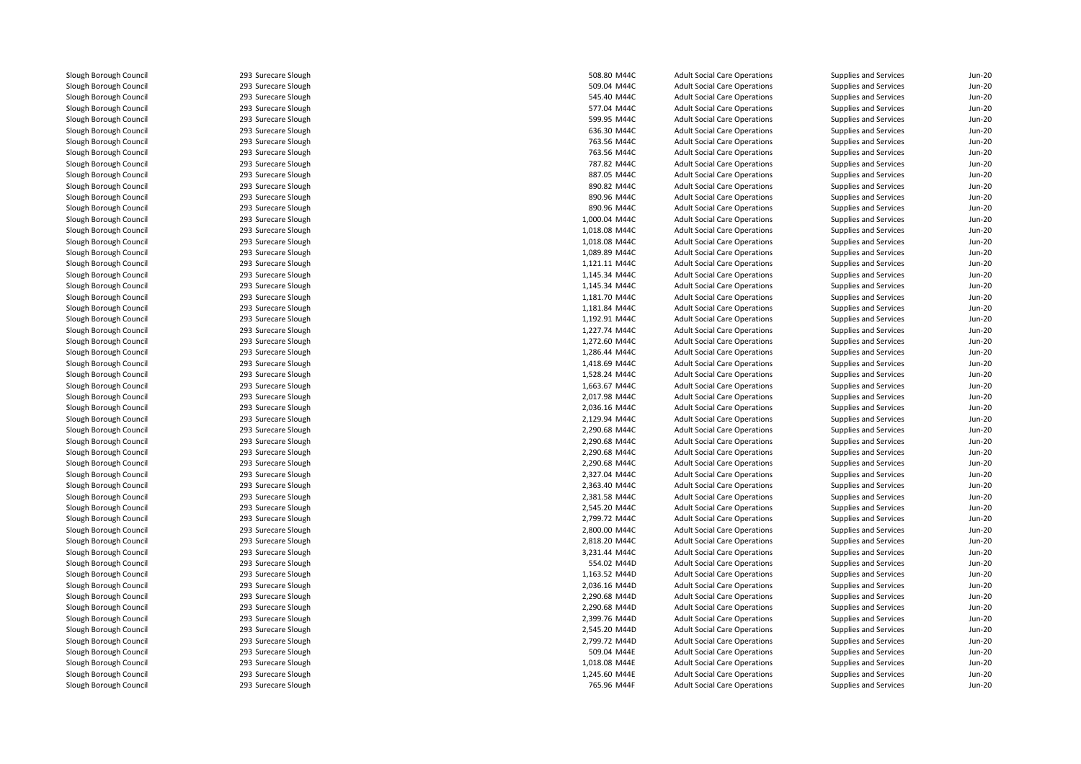293 Surecare Slough 293 Surecare Slough 293 Surecare Slough 293 Surecare Slough 293 Surecare Slough 293 Surecare Slough 293 Surecare Slough 293 Surecare Slough 293 Surecare Slough 293 Surecare Slough 293 Surecare Slough 293 Surecare Slough 293 Surecare Slough 293 Surecare Slough 293293 Surecare Slough 293 Surecare Slough 293 Surecare Slough 293 Surecare Slough 293 Surecare Slough 293 Surecare Slough 293 Surecare Slough 293 Surecare Slough 293 Surecare Slough 293 Surecare Slough 293 Surecare Slough 293 Surecare Slough 293 Surecare Slough 293 Surecare Slough 293 Surecare Slough 293 Surecare Slough 293 Surecare Slough 293 Surecare Slough 293 Surecare Slough 293 Surecare Slough 293 Surecare Slough 293 Surecare Slough 293 Surecare Slough 293 Surecare Slough 293 Surecare Slough 293 Surecare Slough 293 Surecare Slough 293 Surecare Slough 293 Surecare Slough 293 Surecare Slough 293293 Surecare Slough 293 Surecare Slough 293 Surecare Slough 293 Surecare Slough 293 Surecare Slough 293 Surecare Slough 293 Surecare Slough 293 Surecare Slough 293 Surecare Slough 293 Surecare Slough 293 Surecare Slough293 Surecare Slough

| 508.80 M44C                    | <b>Adult Social Care Operations</b>                                        | Supplies and Services | Jun-20   |
|--------------------------------|----------------------------------------------------------------------------|-----------------------|----------|
| 509.04 M44C                    | <b>Adult Social Care Operations</b>                                        | Supplies and Services | $Jun-2C$ |
| 545.40 M44C                    | <b>Adult Social Care Operations</b>                                        | Supplies and Services | $Jun-20$ |
| 577.04 M44C                    | <b>Adult Social Care Operations</b>                                        | Supplies and Services | $Jun-20$ |
| 599.95 M44C                    | <b>Adult Social Care Operations</b>                                        | Supplies and Services | $Jun-2C$ |
| 636.30 M44C                    | <b>Adult Social Care Operations</b>                                        | Supplies and Services | $Jun-20$ |
| 763.56 M44C                    | <b>Adult Social Care Operations</b>                                        | Supplies and Services | $Jun-2C$ |
| 763.56 M44C                    | <b>Adult Social Care Operations</b>                                        | Supplies and Services | $Jun-2C$ |
| 787.82 M44C                    | <b>Adult Social Care Operations</b>                                        | Supplies and Services | $Jun-20$ |
| 887.05 M44C                    | <b>Adult Social Care Operations</b>                                        | Supplies and Services | $Jun-2C$ |
| 890.82 M44C                    | <b>Adult Social Care Operations</b>                                        | Supplies and Services | $Jun-2C$ |
| 890.96 M44C                    | <b>Adult Social Care Operations</b>                                        | Supplies and Services | Jun-20   |
| 890.96 M44C                    | <b>Adult Social Care Operations</b>                                        | Supplies and Services | $Jun-20$ |
| 1,000.04 M44C                  | <b>Adult Social Care Operations</b>                                        | Supplies and Services | $Jun-2C$ |
| 1,018.08 M44C                  | <b>Adult Social Care Operations</b>                                        | Supplies and Services | $Jun-20$ |
| 1,018.08 M44C                  | <b>Adult Social Care Operations</b>                                        | Supplies and Services | $Jun-2C$ |
| 1,089.89 M44C                  | <b>Adult Social Care Operations</b>                                        | Supplies and Services | Jun-20   |
| 1,121.11 M44C                  | <b>Adult Social Care Operations</b>                                        | Supplies and Services | $Jun-20$ |
| 1,145.34 M44C                  | <b>Adult Social Care Operations</b>                                        | Supplies and Services | $Jun-2C$ |
| 1,145.34 M44C                  | <b>Adult Social Care Operations</b>                                        | Supplies and Services | $Jun-20$ |
| 1,181.70 M44C                  | <b>Adult Social Care Operations</b>                                        | Supplies and Services | $Jun-2C$ |
| 1,181.84 M44C                  | <b>Adult Social Care Operations</b>                                        | Supplies and Services | $Jun-2C$ |
| 1,192.91 M44C                  | <b>Adult Social Care Operations</b>                                        | Supplies and Services | $Jun-20$ |
| 1,227.74 M44C                  | <b>Adult Social Care Operations</b>                                        | Supplies and Services | Jun-20   |
| 1,272.60 M44C                  | <b>Adult Social Care Operations</b>                                        | Supplies and Services | $Jun-20$ |
| 1,286.44 M44C                  | <b>Adult Social Care Operations</b>                                        | Supplies and Services | $Jun-20$ |
| 1,418.69 M44C                  | <b>Adult Social Care Operations</b>                                        | Supplies and Services | Jun-20   |
| 1,528.24 M44C                  | <b>Adult Social Care Operations</b>                                        | Supplies and Services | $Jun-20$ |
| 1,663.67 M44C                  | <b>Adult Social Care Operations</b>                                        | Supplies and Services | $Jun-20$ |
| 2,017.98 M44C                  | <b>Adult Social Care Operations</b>                                        | Supplies and Services | $Jun-20$ |
| 2,036.16 M44C                  | <b>Adult Social Care Operations</b>                                        | Supplies and Services | $Jun-20$ |
| 2,129.94 M44C                  | <b>Adult Social Care Operations</b>                                        | Supplies and Services | Jun-20   |
| 2,290.68 M44C                  | <b>Adult Social Care Operations</b>                                        | Supplies and Services | $Jun-20$ |
| 2,290.68 M44C                  | <b>Adult Social Care Operations</b>                                        | Supplies and Services | $Jun-20$ |
| 2,290.68 M44C                  | <b>Adult Social Care Operations</b>                                        | Supplies and Services | Jun-20   |
| 2,290.68 M44C                  | <b>Adult Social Care Operations</b>                                        | Supplies and Services | $Jun-2C$ |
|                                |                                                                            |                       | $Jun-20$ |
| 2,327.04 M44C<br>2,363.40 M44C | <b>Adult Social Care Operations</b><br><b>Adult Social Care Operations</b> | Supplies and Services | Jun-20   |
|                                |                                                                            | Supplies and Services | $Jun-2C$ |
| 2,381.58 M44C                  | <b>Adult Social Care Operations</b>                                        | Supplies and Services |          |
| 2,545.20 M44C                  | <b>Adult Social Care Operations</b>                                        | Supplies and Services | $Jun-20$ |
| 2,799.72 M44C                  | <b>Adult Social Care Operations</b>                                        | Supplies and Services | Jun-20   |
| 2,800.00 M44C                  | <b>Adult Social Care Operations</b>                                        | Supplies and Services | $Jun-20$ |
| 2,818.20 M44C                  | <b>Adult Social Care Operations</b>                                        | Supplies and Services | $Jun-20$ |
| 3,231.44 M44C                  | <b>Adult Social Care Operations</b>                                        | Supplies and Services | $Jun-20$ |
| 554.02 M44D                    | <b>Adult Social Care Operations</b>                                        | Supplies and Services | $Jun-20$ |
| 1,163.52 M44D                  | <b>Adult Social Care Operations</b>                                        | Supplies and Services | Jun-20   |
| 2,036.16 M44D                  | <b>Adult Social Care Operations</b>                                        | Supplies and Services | $Jun-20$ |
| 2,290.68 M44D                  | <b>Adult Social Care Operations</b>                                        | Supplies and Services | $Jun-20$ |
| 2,290.68 M44D                  | <b>Adult Social Care Operations</b>                                        | Supplies and Services | Jun-20   |
| 2,399.76 M44D                  | <b>Adult Social Care Operations</b>                                        | Supplies and Services | $Jun-20$ |
| 2,545.20 M44D                  | <b>Adult Social Care Operations</b>                                        | Supplies and Services | $Jun-20$ |
| 2,799.72 M44D                  | <b>Adult Social Care Operations</b>                                        | Supplies and Services | $Jun-20$ |
| 509.04 M44E                    | <b>Adult Social Care Operations</b>                                        | Supplies and Services | $Jun-20$ |
| 1,018.08 M44E                  | <b>Adult Social Care Operations</b>                                        | Supplies and Services | $Jun-20$ |
| 1,245.60 M44E                  | <b>Adult Social Care Operations</b>                                        | Supplies and Services | $Jun-20$ |
| 765.96 M44F                    | <b>Adult Social Care Operations</b>                                        | Supplies and Services | $Jun-20$ |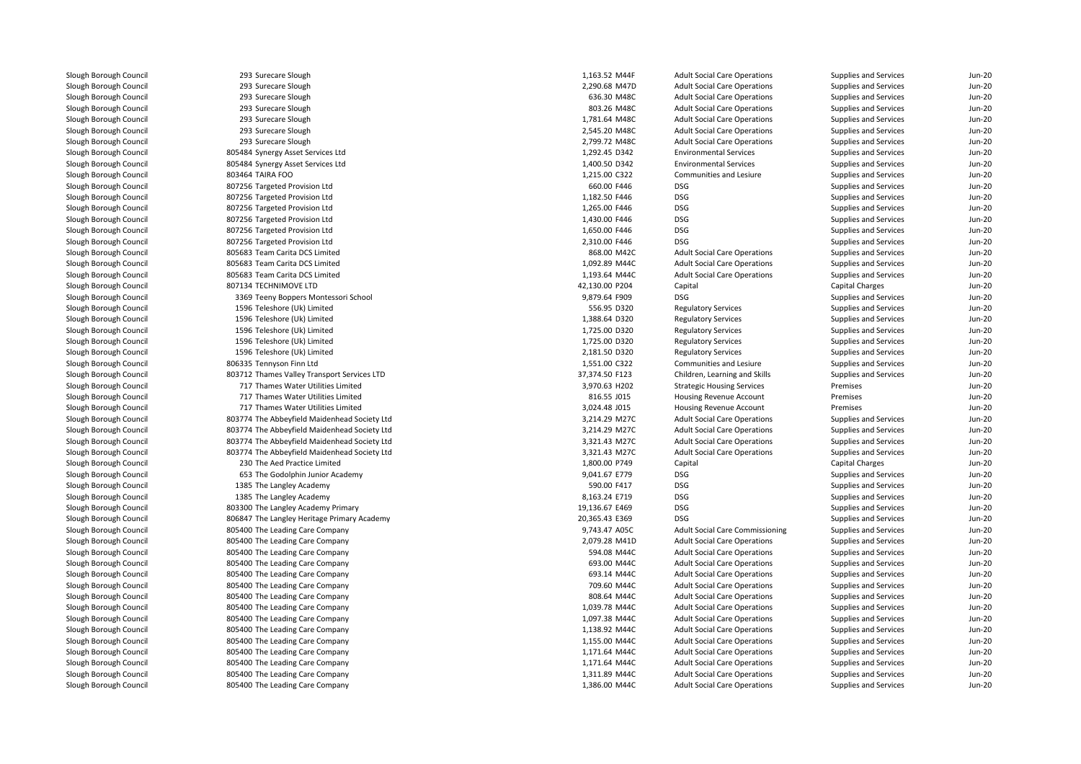293 Surecare Slough 293 Surecare Sloughh 2,290.68 M47D 293 Surecare Sloughh 636.30 M48C 293 Surecare Sloughh 803.26 M48C 293 Surecare Sloughh 1,781.64 M48C 293 Surecare Sloughh 2,545.20 M48C 293 Surecare Sloughh 2,799.72 M48C 805484 Synergy Asset Services Ltd 805484 Synergy Asset Services Ltd 803464 TAIRA FOO 807256 Targeted Provision Ltd 807256 Targeted Provision Ltd 807256 Targeted Provision Ltd 807256 Targeted Provision Ltd 807256 Targeted Provision Ltd 807256 Targeted Provision Ltd 805683 Team Carita DCS Limitedd 868.00 M42C 805683 Team Carita DCS Limitedd 1,092.89 M44C 805683 Team Carita DCS Limited $1,193.64$  M44C 807134 TECHNIMOVE LTD 3369 Teeny Boppers Montessori School 9,879.64 F909 DSG 1596 Teleshore (Uk) Limited 1596 Teleshore (Uk) Limited 1596 Teleshore (Uk) Limited 1596 Teleshore (Uk) Limited 1596 Teleshore (Uk) Limited 806335 Tennyson Finn Ltd 803712 Thames Valley Transport Services LTD 717 Thames Water Utilities Limited 717 Thames Water Utilities Limited 717 Thames Water Utilities Limited 803774 The Abbeyfield Maidenhead Society Ltd 803774 The Abbeyfield Maidenhead Society Ltd 803774 The Abbeyfield Maidenhead Society Ltd 803774 The Abbeyfield Maidenhead Society Ltd 230 The Aed Practice Limited 653 The Godolphin Junior Academy 9,041.67 E779 DSG1385 The Langley Academy **1385 The Langley Academy** 590.00 F417 **DSG** 1385 The Langley Academy **1385 The Langley Academy** 8,163.24 E719 DSG 1 19,136.67 E469 DSG و 803300 The Langley Academy Primary 19,136.67 E469 DSG 806847 The Langley Heritage Primary Academy 20,365.43 E369 DSG 805400 The Leading Care Company 9,743.47 A05C 805400 The Leading Care Company 2,079.28 M41D**1** SOS400 The Leading Care Company 6 and the set of the set of the SOS M44C and the South of the Leading Care Company 693.00 M44C company 693.00 M44C company 693.00 M44C l and the South of the Leading Care Company and the South of the South of the South of the South of the South o 805400 The Leading Care Company 709.60 M44Cl and the South of the Leading Care Company and the South of the South of the South of the South South South S **1** 805400 The Leading Care Company 1,039.78 M44C **1** 805400 The Leading Care Company 1,097.38 M44C and the SOS400 The Leading Care Company 1,138.92 M44C and the SOS 300 M44C and the SOS 300 M44C and the SOS 30 and the SOS400 The Leading Care Company 1,155.00 M44C and the SOS 305 AM 2010 M44C and the SOS 30 M44C and the SOS 30 M44C and the SOS 30 M44C and the SOS 30 M44C and the SOS 30 M44C and the SOS 30 M44C and the SOS 30 M5 a 805400 The Leading Care Company 1,171.64 M44C 805400 The Leading Care Company 1,171.64 M44C 1.311.89 M44C و805400 The Leading Care Company 805400 The Leading Care Company 1,386.00 M44C

| Slough                        | 1,163.52 M44F  | <b>Adult Social Care Operations</b>    | Supplies and Services        | Jun-20        |
|-------------------------------|----------------|----------------------------------------|------------------------------|---------------|
| Slough                        | 2,290.68 M47D  | <b>Adult Social Care Operations</b>    | <b>Supplies and Services</b> | <b>Jun-20</b> |
| Slough                        | 636.30 M48C    | <b>Adult Social Care Operations</b>    | Supplies and Services        | <b>Jun-20</b> |
| Slough                        | 803.26 M48C    | <b>Adult Social Care Operations</b>    | Supplies and Services        | <b>Jun-20</b> |
| Slough                        | 1,781.64 M48C  | <b>Adult Social Care Operations</b>    | Supplies and Services        | Jun-20        |
| Slough                        | 2,545.20 M48C  | <b>Adult Social Care Operations</b>    | <b>Supplies and Services</b> | Jun-20        |
| Slough                        | 2,799.72 M48C  | <b>Adult Social Care Operations</b>    | Supplies and Services        | <b>Jun-20</b> |
| <b>Asset Services Ltd</b>     | 1,292.45 D342  | <b>Environmental Services</b>          | Supplies and Services        | <b>Jun-20</b> |
| <b>Asset Services Ltd</b>     | 1,400.50 D342  | <b>Environmental Services</b>          | Supplies and Services        | <b>Jun-20</b> |
| 0                             | 1,215.00 C322  | Communities and Lesiure                | <b>Supplies and Services</b> | <b>Jun-20</b> |
| Provision Ltd                 | 660.00 F446    | <b>DSG</b>                             | Supplies and Services        | Jun-20        |
| Provision Ltd                 | 1,182.50 F446  | <b>DSG</b>                             | <b>Supplies and Services</b> | <b>Jun-20</b> |
| Provision Ltd                 | 1,265.00 F446  | <b>DSG</b>                             | Supplies and Services        | <b>Jun-20</b> |
| Provision Ltd                 | 1,430.00 F446  | <b>DSG</b>                             | Supplies and Services        | <b>Jun-20</b> |
| Provision Ltd                 | 1,650.00 F446  | <b>DSG</b>                             | <b>Supplies and Services</b> | <b>Jun-20</b> |
| Provision Ltd                 | 2,310.00 F446  | <b>DSG</b>                             | <b>Supplies and Services</b> | <b>Jun-20</b> |
| ita DCS Limited               | 868.00 M42C    | <b>Adult Social Care Operations</b>    | Supplies and Services        | <b>Jun-20</b> |
| ita DCS Limited               | 1,092.89 M44C  | <b>Adult Social Care Operations</b>    | <b>Supplies and Services</b> | <b>Jun-20</b> |
| ita DCS Limited               | 1,193.64 M44C  | <b>Adult Social Care Operations</b>    | Supplies and Services        | <b>Jun-20</b> |
| <b>OVE LTD</b>                | 42,130.00 P204 | Capital                                | Capital Charges              | <b>Jun-20</b> |
| ppers Montessori School       | 9,879.64 F909  | <b>DSG</b>                             | Supplies and Services        | <b>Jun-20</b> |
| (Uk) Limited                  | 556.95 D320    | <b>Regulatory Services</b>             | Supplies and Services        | <b>Jun-20</b> |
| (Uk) Limited                  | 1,388.64 D320  | <b>Regulatory Services</b>             | Supplies and Services        | <b>Jun-20</b> |
| (Uk) Limited                  | 1,725.00 D320  | <b>Regulatory Services</b>             | <b>Supplies and Services</b> | <b>Jun-20</b> |
| (Uk) Limited                  | 1,725.00 D320  | <b>Regulatory Services</b>             | <b>Supplies and Services</b> | <b>Jun-20</b> |
| (Uk) Limited                  | 2,181.50 D320  | <b>Regulatory Services</b>             | Supplies and Services        | <b>Jun-20</b> |
| Finn Ltd                      | 1,551.00 C322  | Communities and Lesiure                | <b>Supplies and Services</b> | <b>Jun-20</b> |
| alley Transport Services LTD  | 37,374.50 F123 | Children, Learning and Skills          | <b>Supplies and Services</b> | Jun-20        |
| Vater Utilities Limited       | 3,970.63 H202  | <b>Strategic Housing Services</b>      | Premises                     | <b>Jun-20</b> |
| Vater Utilities Limited       | 816.55 J015    | Housing Revenue Account                | Premises                     | <b>Jun-20</b> |
| Vater Utilities Limited       | 3,024.48 J015  | Housing Revenue Account                | Premises                     | Jun-20        |
| yfield Maidenhead Society Ltd | 3,214.29 M27C  | <b>Adult Social Care Operations</b>    | Supplies and Services        | <b>Jun-20</b> |
| yfield Maidenhead Society Ltd | 3,214.29 M27C  | <b>Adult Social Care Operations</b>    | Supplies and Services        | <b>Jun-20</b> |
| yfield Maidenhead Society Ltd | 3,321.43 M27C  | <b>Adult Social Care Operations</b>    | Supplies and Services        | Jun-20        |
| yfield Maidenhead Society Ltd | 3,321.43 M27C  | <b>Adult Social Care Operations</b>    | <b>Supplies and Services</b> | <b>Jun-20</b> |
| Practice Limited              | 1,800.00 P749  | Capital                                | Capital Charges              | <b>Jun-20</b> |
| Iphin Junior Academy          | 9,041.67 E779  | <b>DSG</b>                             | Supplies and Services        | <b>Jun-20</b> |
| ey Academy                    | 590.00 F417    | <b>DSG</b>                             | <b>Supplies and Services</b> | Jun-20        |
| ey Academy                    | 8,163.24 E719  | <b>DSG</b>                             | Supplies and Services        | <b>Jun-20</b> |
| ey Academy Primary            | 19,136.67 E469 | <b>DSG</b>                             | <b>Supplies and Services</b> | <b>Jun-20</b> |
| ey Heritage Primary Academy   | 20,365.43 E369 | <b>DSG</b>                             | Supplies and Services        | <b>Jun-20</b> |
| ing Care Company              | 9,743.47 A05C  | <b>Adult Social Care Commissioning</b> | Supplies and Services        | <b>Jun-20</b> |
| ing Care Company              | 2,079.28 M41D  | <b>Adult Social Care Operations</b>    | Supplies and Services        | <b>Jun-20</b> |
| ing Care Company              | 594.08 M44C    | <b>Adult Social Care Operations</b>    | Supplies and Services        | <b>Jun-20</b> |
| ing Care Company              | 693.00 M44C    | <b>Adult Social Care Operations</b>    | Supplies and Services        | Jun-20        |
| ing Care Company              | 693.14 M44C    | <b>Adult Social Care Operations</b>    | Supplies and Services        | <b>Jun-20</b> |
| ing Care Company              | 709.60 M44C    | <b>Adult Social Care Operations</b>    | <b>Supplies and Services</b> | <b>Jun-20</b> |
| ing Care Company              | 808.64 M44C    | <b>Adult Social Care Operations</b>    | Supplies and Services        | Jun-20        |
| ing Care Company              | 1,039.78 M44C  | <b>Adult Social Care Operations</b>    | Supplies and Services        | <b>Jun-20</b> |
| ing Care Company              | 1,097.38 M44C  | <b>Adult Social Care Operations</b>    | Supplies and Services        | <b>Jun-20</b> |
| ing Care Company              | 1,138.92 M44C  | <b>Adult Social Care Operations</b>    | Supplies and Services        | <b>Jun-20</b> |
| ing Care Company              | 1,155.00 M44C  | <b>Adult Social Care Operations</b>    | Supplies and Services        | <b>Jun-20</b> |
| ing Care Company              | 1,171.64 M44C  | <b>Adult Social Care Operations</b>    | <b>Supplies and Services</b> | <b>Jun-20</b> |
| ing Care Company              | 1,171.64 M44C  | <b>Adult Social Care Operations</b>    | <b>Supplies and Services</b> | <b>Jun-20</b> |
| ing Care Company              | 1,311.89 M44C  | <b>Adult Social Care Operations</b>    | <b>Supplies and Services</b> | <b>Jun-20</b> |
| ing Care Company              | 1,386.00 M44C  | <b>Adult Social Care Operations</b>    | <b>Supplies and Services</b> | <b>Jun-20</b> |
|                               |                |                                        |                              |               |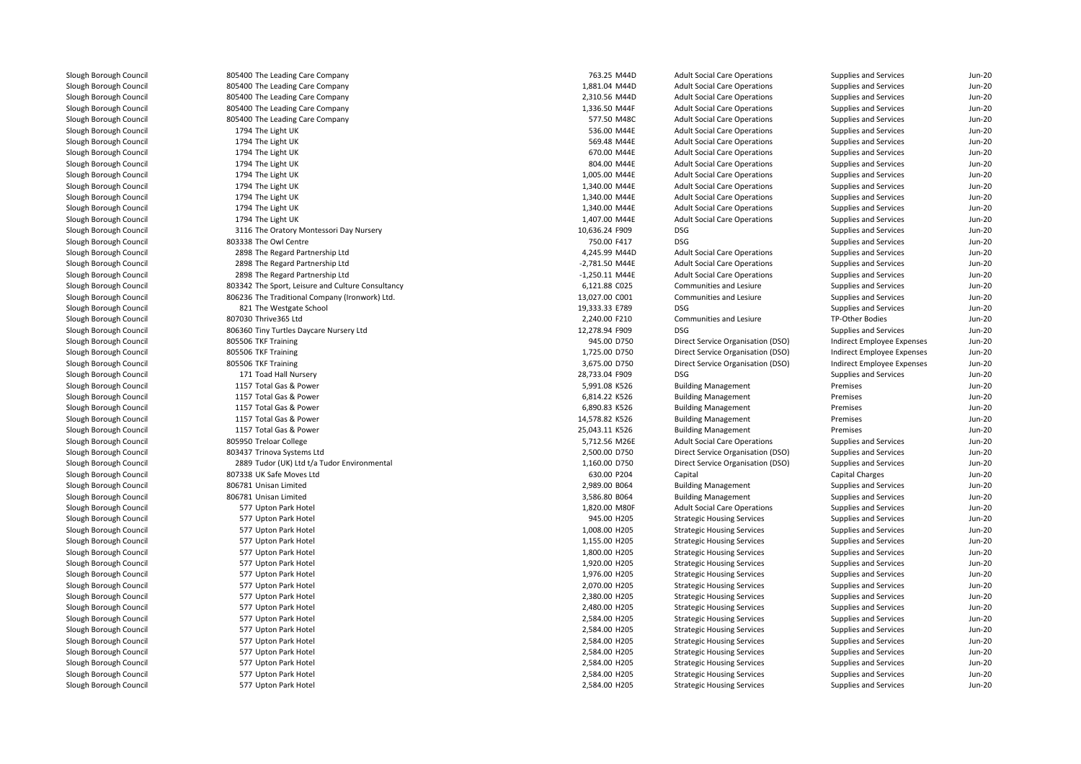| .                   | . |
|---------------------|---|
| 577 Upton Park Hote |   |

| 805400 The Leading Care Company                   | 763.25 M44D      | <b>Adult Social Care Operations</b> | Supplies and Services      | $Jun-20$ |
|---------------------------------------------------|------------------|-------------------------------------|----------------------------|----------|
| 805400 The Leading Care Company                   | 1,881.04 M44D    | <b>Adult Social Care Operations</b> | Supplies and Services      | $Jun-20$ |
| 805400 The Leading Care Company                   | 2,310.56 M44D    | <b>Adult Social Care Operations</b> | Supplies and Services      | $Jun-2C$ |
| 805400 The Leading Care Company                   | 1,336.50 M44F    | <b>Adult Social Care Operations</b> | Supplies and Services      | Jun-20   |
| 805400 The Leading Care Company                   | 577.50 M48C      | <b>Adult Social Care Operations</b> | Supplies and Services      | $Jun-20$ |
| 1794 The Light UK                                 | 536.00 M44E      | <b>Adult Social Care Operations</b> | Supplies and Services      | $Jun-2C$ |
| 1794 The Light UK                                 | 569.48 M44E      | <b>Adult Social Care Operations</b> | Supplies and Services      | Jun-20   |
| 1794 The Light UK                                 | 670.00 M44E      | <b>Adult Social Care Operations</b> | Supplies and Services      | $Jun-20$ |
| 1794 The Light UK                                 | 804.00 M44E      | <b>Adult Social Care Operations</b> | Supplies and Services      | $Jun-20$ |
| 1794 The Light UK                                 | 1,005.00 M44E    | <b>Adult Social Care Operations</b> | Supplies and Services      | Jun-20   |
| 1794 The Light UK                                 | 1,340.00 M44E    | <b>Adult Social Care Operations</b> | Supplies and Services      | $Jun-20$ |
| 1794 The Light UK                                 | 1,340.00 M44E    | <b>Adult Social Care Operations</b> | Supplies and Services      | $Jun-20$ |
| 1794 The Light UK                                 | 1,340.00 M44E    | <b>Adult Social Care Operations</b> | Supplies and Services      | Jun-20   |
| 1794 The Light UK                                 | 1,407.00 M44E    | <b>Adult Social Care Operations</b> | Supplies and Services      | Jun-20   |
| 3116 The Oratory Montessori Day Nursery           | 10,636.24 F909   | DSG                                 | Supplies and Services      | Jun-20   |
| 803338 The Owl Centre                             | 750.00 F417      | <b>DSG</b>                          | Supplies and Services      | $Jun-2C$ |
| 2898 The Regard Partnership Ltd                   | 4,245.99 M44D    | <b>Adult Social Care Operations</b> | Supplies and Services      | Jun-20   |
| 2898 The Regard Partnership Ltd                   | -2,781.50 M44E   | <b>Adult Social Care Operations</b> | Supplies and Services      | Jun-20   |
| 2898 The Regard Partnership Ltd                   | $-1,250.11$ M44E | <b>Adult Social Care Operations</b> | Supplies and Services      | $Jun-2C$ |
| 803342 The Sport, Leisure and Culture Consultancy | 6,121.88 C025    | Communities and Lesiure             | Supplies and Services      | Jun-20   |
| 806236 The Traditional Company (Ironwork) Ltd.    | 13,027.00 C001   | Communities and Lesiure             | Supplies and Services      | Jun-20   |
| 821 The Westgate School                           | 19,333.33 E789   | <b>DSG</b>                          | Supplies and Services      | $Jun-20$ |
| 807030 Thrive365 Ltd                              | 2,240.00 F210    | Communities and Lesiure             | TP-Other Bodies            | Jun-20   |
| 806360 Tiny Turtles Daycare Nursery Ltd           | 12,278.94 F909   | <b>DSG</b>                          | Supplies and Services      | Jun-20   |
| 805506 TKF Training                               | 945.00 D750      | Direct Service Organisation (DSO)   | Indirect Employee Expenses | $Jun-20$ |
| 805506 TKF Training                               | 1,725.00 D750    | Direct Service Organisation (DSO)   | Indirect Employee Expenses | Jun-20   |
| 805506 TKF Training                               | 3,675.00 D750    | Direct Service Organisation (DSO)   | Indirect Employee Expenses | Jun-20   |
| 171 Toad Hall Nursery                             | 28,733.04 F909   | DSG                                 | Supplies and Services      | $Jun-20$ |
| 1157 Total Gas & Power                            | 5,991.08 K526    | <b>Building Management</b>          | Premises                   | $Jun-2C$ |
| 1157 Total Gas & Power                            | 6,814.22 K526    | <b>Building Management</b>          | Premises                   | Jun-20   |
| 1157 Total Gas & Power                            | 6,890.83 K526    | <b>Building Management</b>          | Premises                   | Jun-20   |
| 1157 Total Gas & Power                            | 14,578.82 K526   | <b>Building Management</b>          | Premises                   | Jun-20   |
| 1157 Total Gas & Power                            | 25,043.11 K526   | <b>Building Management</b>          | Premises                   | Jun-20   |
| 805950 Treloar College                            | 5,712.56 M26E    | <b>Adult Social Care Operations</b> | Supplies and Services      | $Jun-20$ |
| 803437 Trinova Systems Ltd                        | 2,500.00 D750    | Direct Service Organisation (DSO)   | Supplies and Services      | Jun-20   |
| 2889 Tudor (UK) Ltd t/a Tudor Environmental       | 1,160.00 D750    | Direct Service Organisation (DSO)   | Supplies and Services      | Jun-20   |
| 807338 UK Safe Moves Ltd                          | 630.00 P204      | Capital                             | Capital Charges            | $Jun-20$ |
| 806781 Unisan Limited                             | 2,989.00 B064    | <b>Building Management</b>          | Supplies and Services      | Jun-20   |
| 806781 Unisan Limited                             | 3,586.80 B064    | <b>Building Management</b>          | Supplies and Services      | Jun-20   |
| 577 Upton Park Hotel                              | 1,820.00 M80F    | <b>Adult Social Care Operations</b> | Supplies and Services      | $Jun-20$ |
| 577 Upton Park Hotel                              | 945.00 H205      | <b>Strategic Housing Services</b>   | Supplies and Services      | Jun-20   |
| 577 Upton Park Hotel                              | 1,008.00 H205    | <b>Strategic Housing Services</b>   | Supplies and Services      | $Jun-2C$ |
| 577 Upton Park Hotel                              | 1,155.00 H205    | <b>Strategic Housing Services</b>   | Supplies and Services      | $Jun-20$ |
| 577 Upton Park Hotel                              | 1,800.00 H205    | <b>Strategic Housing Services</b>   | Supplies and Services      | Jun-20   |
| 577 Upton Park Hotel                              | 1,920.00 H205    | <b>Strategic Housing Services</b>   | Supplies and Services      | $Jun-2C$ |
| 577 Upton Park Hotel                              | 1,976.00 H205    | <b>Strategic Housing Services</b>   | Supplies and Services      | Jun-20   |
| 577 Upton Park Hotel                              | 2,070.00 H205    | <b>Strategic Housing Services</b>   | Supplies and Services      | Jun-20   |
| 577 Upton Park Hotel                              | 2,380.00 H205    | <b>Strategic Housing Services</b>   | Supplies and Services      | $Jun-2C$ |
| 577 Upton Park Hotel                              | 2,480.00 H205    | <b>Strategic Housing Services</b>   | Supplies and Services      | $Jun-2C$ |
| 577 Upton Park Hotel                              | 2,584.00 H205    | <b>Strategic Housing Services</b>   | Supplies and Services      | Jun-20   |
| 577 Upton Park Hotel                              | 2,584.00 H205    | <b>Strategic Housing Services</b>   | Supplies and Services      | $Jun-20$ |
| 577 Upton Park Hotel                              | 2,584.00 H205    | <b>Strategic Housing Services</b>   | Supplies and Services      | $Jun-2C$ |
| 577 Upton Park Hotel                              | 2,584.00 H205    | <b>Strategic Housing Services</b>   | Supplies and Services      | $Jun-20$ |
| 577 Upton Park Hotel                              | 2,584.00 H205    | <b>Strategic Housing Services</b>   | Supplies and Services      | $Jun-20$ |
| 577 Upton Park Hotel                              | 2,584.00 H205    | <b>Strategic Housing Services</b>   | Supplies and Services      | $Jun-2C$ |
| 577 Upton Park Hotel                              | 2,584.00 H205    | <b>Strategic Housing Services</b>   | Supplies and Services      | $Jun-20$ |
|                                                   |                  |                                     |                            |          |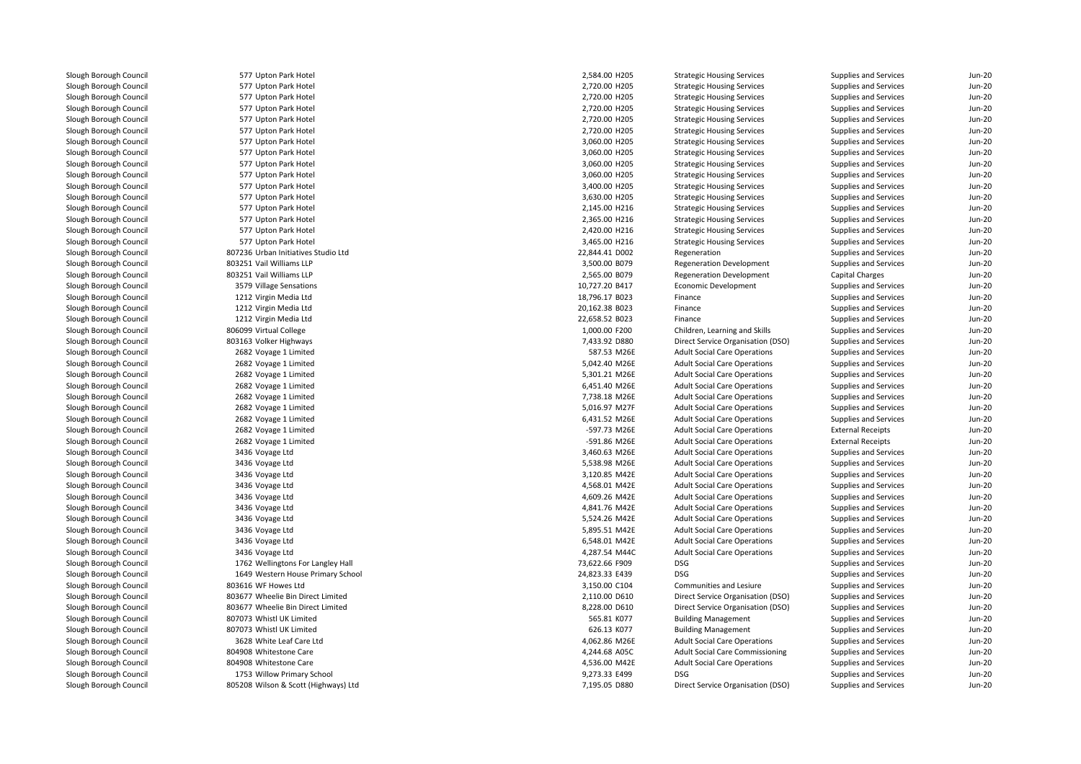577 Upton Park Hotel 577 Upton Park Hotel 577 Upton Park Hotel 577 Upton Park Hotel 577 Upton Park Hotel 577 Upton Park Hotel 577 Upton Park Hotel 577 Upton Park Hotel 577 Upton Park Hotel 577 Upton Park Hotel 577 Upton Park Hotel 577 Upton Park Hotel 577 Upton Park Hotel 577 Upton Park Hotel 577 Upton Park Hotel 577 Upton Park Hotel 807236 Urban Initiatives Studio Ltd 803251 Vail Williams LLP 803251 Vail Williams LLP3579 Village Sensations 1212 Virgin Media Ltd 1212 Virgin Media Ltd 1212 Virgin Media Ltd806099 Virtual College 803163 Volker Highways 2682 Voyage 1 Limited 2682 Voyage 1 Limited 2682 Voyage 1 Limited 2682 Voyage 1 Limited 2682 Voyage 1 Limited 2682 Voyage 1 Limited 2682 Voyage 1 Limited 2682 Voyage 1 Limited 2682 Voyage 1 Limited 3436 Voyage Ltd 3436 Voyage Ltd 3436 Voyage Ltd 3436 Voyage Ltd 3436 Voyage Ltd 3436 Voyage Ltd 3436 Voyage Ltd 3436 Voyage Ltd 3436 Voyage Ltd 3436 Voyage Ltd 4,287.54 M44C 1762 Wellingtons For Langley Hall 73,622.66 F909 DSG 1649 Western House Primary School 24,823.33 E439 DSG 803616 WF Howes Ltd 803677 Wheelie Bin Direct Limited 803677 Wheelie Bin Direct Limited 807073 Whistl UK Limited 807073 Whistl UK Limited 3628 White Leaf Care Ltd**804908** Whitestone Care **1996 Contract 2006** Contract 2006 Contract 2006 Contract 2006 Contract 2006 Contract 2006 Contract 2006 Contract 2006 Contract 2006 Contract 2006 Contract 2006 Contract 2006 Contract 2006 Contract 804908 Whitestone Care 1753 Willow Primary School 9,273.33 E499 DSG805208 Wilson & Scott (Highways) Ltd

| 7 Upton Park Hotel              | 2,584.00 H205                  | <b>Strategic Housing Services</b>                                          | Supplies and Services                          | <b>Jun-20</b>                  |
|---------------------------------|--------------------------------|----------------------------------------------------------------------------|------------------------------------------------|--------------------------------|
| 7 Upton Park Hotel              | 2,720.00 H205                  | <b>Strategic Housing Services</b>                                          | Supplies and Services                          | <b>Jun-20</b>                  |
| 7 Upton Park Hotel              | 2,720.00 H205                  | <b>Strategic Housing Services</b>                                          | Supplies and Services                          | <b>Jun-20</b>                  |
| 7 Upton Park Hotel              | 2,720.00 H205                  | <b>Strategic Housing Services</b>                                          | Supplies and Services                          | <b>Jun-20</b>                  |
| 7 Upton Park Hotel              | 2,720.00 H205                  | <b>Strategic Housing Services</b>                                          | Supplies and Services                          | <b>Jun-20</b>                  |
| 7 Upton Park Hotel              | 2,720.00 H205                  | <b>Strategic Housing Services</b>                                          | Supplies and Services                          | <b>Jun-20</b>                  |
| 7 Upton Park Hotel              | 3,060.00 H205                  | <b>Strategic Housing Services</b>                                          | Supplies and Services                          | <b>Jun-20</b>                  |
| 7 Upton Park Hotel              | 3,060.00 H205                  | <b>Strategic Housing Services</b>                                          | Supplies and Services                          | <b>Jun-20</b>                  |
| 7 Upton Park Hotel              | 3,060.00 H205                  | <b>Strategic Housing Services</b>                                          | Supplies and Services                          | <b>Jun-20</b>                  |
| 7 Upton Park Hotel              | 3,060.00 H205                  | <b>Strategic Housing Services</b>                                          | Supplies and Services                          | <b>Jun-20</b>                  |
| 7 Upton Park Hotel              | 3,400.00 H205                  | <b>Strategic Housing Services</b>                                          | Supplies and Services                          | <b>Jun-20</b>                  |
| 7 Upton Park Hotel              | 3,630.00 H205                  | <b>Strategic Housing Services</b>                                          | Supplies and Services                          | <b>Jun-20</b>                  |
| 7 Upton Park Hotel              | 2,145.00 H216                  | <b>Strategic Housing Services</b>                                          | Supplies and Services                          | Jun-20                         |
| 7 Upton Park Hotel              | 2,365.00 H216                  | <b>Strategic Housing Services</b>                                          | Supplies and Services                          | <b>Jun-20</b>                  |
| 7 Upton Park Hotel              | 2,420.00 H216                  | <b>Strategic Housing Services</b>                                          | Supplies and Services                          | <b>Jun-20</b>                  |
| 7 Upton Park Hotel              | 3,465.00 H216                  | <b>Strategic Housing Services</b>                                          | <b>Supplies and Services</b>                   | <b>Jun-20</b>                  |
| 6 Urban Initiatives Studio Ltd  | 22,844.41 D002                 | Regeneration                                                               | Supplies and Services                          | <b>Jun-20</b>                  |
| 1 Vail Williams LLP             | 3,500.00 B079                  | <b>Regeneration Development</b>                                            | Supplies and Services                          | <b>Jun-20</b>                  |
| 1 Vail Williams LLP             | 2,565.00 B079                  | <b>Regeneration Development</b>                                            | <b>Capital Charges</b>                         | <b>Jun-20</b>                  |
| 9 Village Sensations            | 10,727.20 B417                 | Economic Development                                                       | Supplies and Services                          | <b>Jun-20</b>                  |
| 2 Virgin Media Ltd              | 18,796.17 B023                 | Finance                                                                    | Supplies and Services                          | <b>Jun-20</b>                  |
| 2 Virgin Media Ltd              | 20,162.38 B023                 | Finance                                                                    | Supplies and Services                          | <b>Jun-20</b>                  |
| 2 Virgin Media Ltd              | 22,658.52 B023                 | Finance                                                                    | Supplies and Services                          | <b>Jun-20</b>                  |
| 9 Virtual College               | 1,000.00 F200                  | Children, Learning and Skills                                              | Supplies and Services                          | <b>Jun-20</b>                  |
| 3 Volker Highways               | 7,433.92 D880                  | Direct Service Organisation (DSO)                                          | Supplies and Services                          | <b>Jun-20</b>                  |
| 2 Voyage 1 Limited              | 587.53 M26E                    | <b>Adult Social Care Operations</b>                                        | Supplies and Services                          | <b>Jun-20</b>                  |
| 2 Voyage 1 Limited              | 5,042.40 M26E                  | <b>Adult Social Care Operations</b>                                        | Supplies and Services                          | <b>Jun-20</b>                  |
| 2 Voyage 1 Limited              | 5,301.21 M26E                  | <b>Adult Social Care Operations</b>                                        | Supplies and Services                          | <b>Jun-20</b>                  |
| 2 Voyage 1 Limited              | 6,451.40 M26E                  | <b>Adult Social Care Operations</b>                                        | Supplies and Services                          | <b>Jun-20</b>                  |
| 2 Voyage 1 Limited              | 7,738.18 M26E                  | <b>Adult Social Care Operations</b>                                        | <b>Supplies and Services</b>                   | <b>Jun-20</b>                  |
| 2 Voyage 1 Limited              | 5,016.97 M27F                  | <b>Adult Social Care Operations</b>                                        | Supplies and Services                          | <b>Jun-20</b>                  |
| 2 Voyage 1 Limited              | 6,431.52 M26E                  | <b>Adult Social Care Operations</b>                                        | Supplies and Services                          | <b>Jun-20</b>                  |
| 2 Voyage 1 Limited              | -597.73 M26E                   | <b>Adult Social Care Operations</b>                                        | <b>External Receipts</b>                       | <b>Jun-20</b>                  |
| 2 Voyage 1 Limited              | -591.86 M26E                   | <b>Adult Social Care Operations</b>                                        | <b>External Receipts</b>                       | <b>Jun-20</b>                  |
| 6 Voyage Ltd                    | 3,460.63 M26E                  | <b>Adult Social Care Operations</b>                                        | Supplies and Services                          | <b>Jun-20</b>                  |
| 6 Voyage Ltd                    | 5,538.98 M26E                  | <b>Adult Social Care Operations</b>                                        | Supplies and Services                          | <b>Jun-20</b>                  |
| 6 Voyage Ltd                    | 3,120.85 M42E                  | <b>Adult Social Care Operations</b>                                        | Supplies and Services                          | <b>Jun-20</b>                  |
| 6 Voyage Ltd                    | 4,568.01 M42E                  | <b>Adult Social Care Operations</b>                                        | Supplies and Services                          | <b>Jun-20</b>                  |
|                                 |                                |                                                                            |                                                |                                |
| 6 Voyage Ltd<br>6 Voyage Ltd    | 4,609.26 M42E<br>4,841.76 M42E | <b>Adult Social Care Operations</b><br><b>Adult Social Care Operations</b> | Supplies and Services<br>Supplies and Services | <b>Jun-20</b><br><b>Jun-20</b> |
| 6 Voyage Ltd                    | 5,524.26 M42E                  | <b>Adult Social Care Operations</b>                                        | Supplies and Services                          | <b>Jun-20</b>                  |
| 6 Voyage Ltd                    | 5,895.51 M42E                  | <b>Adult Social Care Operations</b>                                        | Supplies and Services                          | <b>Jun-20</b>                  |
|                                 | 6,548.01 M42E                  | <b>Adult Social Care Operations</b>                                        |                                                | <b>Jun-20</b>                  |
| 6 Voyage Ltd                    |                                |                                                                            | Supplies and Services                          |                                |
| 6 Voyage Ltd                    | 4,287.54 M44C                  | <b>Adult Social Care Operations</b>                                        | Supplies and Services                          | <b>Jun-20</b>                  |
| 2 Wellingtons For Langley Hall  | 73,622.66 F909                 | <b>DSG</b>                                                                 | Supplies and Services                          | <b>Jun-20</b>                  |
| 9 Western House Primary School  | 24,823.33 E439                 | <b>DSG</b>                                                                 | Supplies and Services                          | <b>Jun-20</b>                  |
| 6 WF Howes Ltd                  | 3,150.00 C104                  | Communities and Lesiure                                                    | Supplies and Services                          | <b>Jun-20</b>                  |
| 7 Wheelie Bin Direct Limited    | 2,110.00 D610                  | Direct Service Organisation (DSO)                                          | Supplies and Services                          | Jun-20                         |
| 7 Wheelie Bin Direct Limited    | 8,228.00 D610                  | Direct Service Organisation (DSO)                                          | Supplies and Services                          | <b>Jun-20</b>                  |
| 3 Whistl UK Limited             | 565.81 K077                    | <b>Building Management</b>                                                 | Supplies and Services                          | <b>Jun-20</b>                  |
| 3 Whistl UK Limited             | 626.13 K077                    | <b>Building Management</b>                                                 | Supplies and Services                          | <b>Jun-20</b>                  |
| 8 White Leaf Care Ltd           | 4,062.86 M26E                  | <b>Adult Social Care Operations</b>                                        | Supplies and Services                          | <b>Jun-20</b>                  |
| 8 Whitestone Care               | 4,244.68 A05C                  | <b>Adult Social Care Commissioning</b>                                     | Supplies and Services                          | <b>Jun-20</b>                  |
| 8 Whitestone Care               | 4,536.00 M42E                  | <b>Adult Social Care Operations</b>                                        | Supplies and Services                          | <b>Jun-20</b>                  |
| 3 Willow Primary School         | 9,273.33 E499                  | <b>DSG</b>                                                                 | Supplies and Services                          | <b>Jun-20</b>                  |
| 8 Wilson & Scott (Highways) Ltd | 7,195.05 D880                  | Direct Service Organisation (DSO)                                          | Supplies and Services                          | <b>Jun-20</b>                  |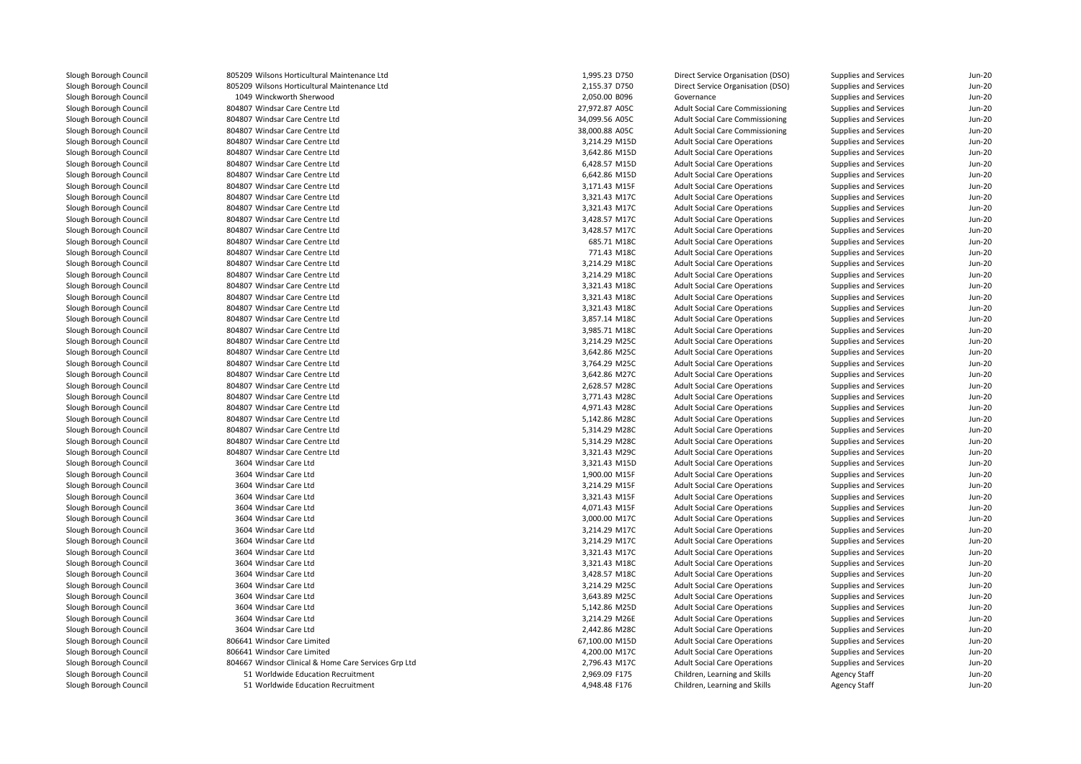805209 Wilsons Horticultural Maintenance Ltd 805209 Wilsons Horticultural Maintenance Ltd 1049 Winckworth Sherwood 804807 Windsar Care Centre Ltd 804807 Windsar Care Centre Ltd 804807 Windsar Care Centre Ltd 804807 Windsar Care Centre Ltd 804807 Windsar Care Centre Ltd 804807 Windsar Care Centre Ltd 804807 Windsar Care Centre Ltd 804807 Windsar Care Centre Ltd 804807 Windsar Care Centre Ltd 804807 Windsar Care Centre Ltd 804807 Windsar Care Centre Ltd 804807 Windsar Care Centre Ltd 804807 Windsar Care Centre Ltd 804807 Windsar Care Centre Ltd 804807 Windsar Care Centre Ltd 804807 Windsar Care Centre Ltd 804807 Windsar Care Centre Ltd 804807 Windsar Care Centre Ltd 804807 Windsar Care Centre Ltd 804807 Windsar Care Centre Ltd 804807 Windsar Care Centre Ltd 804807 Windsar Care Centre Ltd 804807 Windsar Care Centre Ltd 804807 Windsar Care Centre Ltd 804807 Windsar Care Centre Ltd 804807 Windsar Care Centre Ltd 804807 Windsar Care Centre Ltd 804807 Windsar Care Centre Ltd 804807 Windsar Care Centre Ltd 804807 Windsar Care Centre Ltd 804807 Windsar Care Centre Ltd 804807 Windsar Care Centre Ltd 3604 Windsar Care Ltdd  $3,321.43$  M15D 3604 Windsar Care Ltd 3604 Windsar Care Ltd 3604 Windsar Care Ltd 3604 Windsar Care Ltd 3604 Windsar Care Ltdd  $3,000.00 \text{ M17C}$  3604 Windsar Care Ltd $3,214.29$  M17C 3604 Windsar Care Ltd $3,214.29$  M17C 3604 Windsar Care Ltd $3,321.43 \text{ } \text{M17C}$  3604 Windsar Care Ltdd 3,321.43 M18C 3604 Windsar Care Ltdd 3,428.57 M18C 3604 Windsar Care Ltd 3,214.29 M25C 3604 Windsar Care Ltdd 3,643.89 M25C 3604 Windsar Care Ltd 5,142.86 M25D 3604 Windsar Care Ltd 3604 Windsar Care Ltd 2,442.86 M28C 806641 Windsor Care Limited 806641 Windsor Care Limited 804667 Windsor Clinical & Home Care Services Grp Ltd $\sim$  51  $\sim$  51

| 209 Wilsons Horticultural Maintenance Ltd         | 1,995.23 D750  | Direct Service Organisation (DSO)      | Supplies and Services | Jun-20        |
|---------------------------------------------------|----------------|----------------------------------------|-----------------------|---------------|
| 209 Wilsons Horticultural Maintenance Ltd         | 2,155.37 D750  | Direct Service Organisation (DSO)      | Supplies and Services | <b>Jun-20</b> |
| 049 Winckworth Sherwood                           | 2,050.00 B096  | Governance                             | Supplies and Services | <b>Jun-20</b> |
| 807 Windsar Care Centre Ltd                       | 27,972.87 A05C | <b>Adult Social Care Commissioning</b> | Supplies and Services | <b>Jun-20</b> |
| 807 Windsar Care Centre Ltd                       | 34,099.56 A05C | <b>Adult Social Care Commissioning</b> | Supplies and Services | <b>Jun-20</b> |
| 807 Windsar Care Centre Ltd                       | 38,000.88 A05C | <b>Adult Social Care Commissioning</b> | Supplies and Services | Jun-20        |
| 807 Windsar Care Centre Ltd                       | 3,214.29 M15D  | <b>Adult Social Care Operations</b>    | Supplies and Services | <b>Jun-20</b> |
| 807 Windsar Care Centre Ltd                       | 3,642.86 M15D  | <b>Adult Social Care Operations</b>    | Supplies and Services | Jun-20        |
| 807 Windsar Care Centre Ltd                       | 6,428.57 M15D  | <b>Adult Social Care Operations</b>    | Supplies and Services | <b>Jun-20</b> |
| 807 Windsar Care Centre Ltd                       | 6,642.86 M15D  | <b>Adult Social Care Operations</b>    | Supplies and Services | Jun-20        |
| 807 Windsar Care Centre Ltd                       | 3,171.43 M15F  | <b>Adult Social Care Operations</b>    | Supplies and Services | <b>Jun-20</b> |
| 807 Windsar Care Centre Ltd                       | 3,321.43 M17C  | <b>Adult Social Care Operations</b>    | Supplies and Services | <b>Jun-20</b> |
| 807 Windsar Care Centre Ltd                       | 3,321.43 M17C  | <b>Adult Social Care Operations</b>    | Supplies and Services | Jun-20        |
| 807 Windsar Care Centre Ltd                       | 3,428.57 M17C  | <b>Adult Social Care Operations</b>    | Supplies and Services | <b>Jun-20</b> |
| 807 Windsar Care Centre Ltd                       | 3,428.57 M17C  | <b>Adult Social Care Operations</b>    | Supplies and Services | Jun-20        |
| 807 Windsar Care Centre Ltd                       | 685.71 M18C    | <b>Adult Social Care Operations</b>    | Supplies and Services | <b>Jun-20</b> |
| 807 Windsar Care Centre Ltd                       | 771.43 M18C    | <b>Adult Social Care Operations</b>    | Supplies and Services | <b>Jun-20</b> |
| 807 Windsar Care Centre Ltd                       | 3,214.29 M18C  | <b>Adult Social Care Operations</b>    | Supplies and Services | Jun-20        |
| 807 Windsar Care Centre Ltd                       | 3,214.29 M18C  | <b>Adult Social Care Operations</b>    | Supplies and Services | <b>Jun-20</b> |
| 807 Windsar Care Centre Ltd                       | 3,321.43 M18C  | <b>Adult Social Care Operations</b>    | Supplies and Services | Jun-20        |
| 807 Windsar Care Centre Ltd                       | 3,321.43 M18C  | <b>Adult Social Care Operations</b>    | Supplies and Services | <b>Jun-20</b> |
| 807 Windsar Care Centre Ltd                       | 3,321.43 M18C  | <b>Adult Social Care Operations</b>    | Supplies and Services | <b>Jun-20</b> |
| 807 Windsar Care Centre Ltd                       | 3,857.14 M18C  | <b>Adult Social Care Operations</b>    | Supplies and Services | Jun-20        |
| 807 Windsar Care Centre Ltd                       | 3,985.71 M18C  | <b>Adult Social Care Operations</b>    | Supplies and Services | <b>Jun-20</b> |
| 807 Windsar Care Centre Ltd                       | 3,214.29 M25C  | <b>Adult Social Care Operations</b>    | Supplies and Services | <b>Jun-20</b> |
| 807 Windsar Care Centre Ltd                       | 3,642.86 M25C  | <b>Adult Social Care Operations</b>    | Supplies and Services | <b>Jun-20</b> |
| 807 Windsar Care Centre Ltd                       | 3,764.29 M25C  | <b>Adult Social Care Operations</b>    | Supplies and Services | <b>Jun-20</b> |
| 807 Windsar Care Centre Ltd                       | 3,642.86 M27C  | <b>Adult Social Care Operations</b>    | Supplies and Services | Jun-20        |
| 807 Windsar Care Centre Ltd                       | 2,628.57 M28C  | <b>Adult Social Care Operations</b>    | Supplies and Services | <b>Jun-20</b> |
| 807 Windsar Care Centre Ltd                       | 3,771.43 M28C  | <b>Adult Social Care Operations</b>    | Supplies and Services | Jun-20        |
| 807 Windsar Care Centre Ltd                       | 4,971.43 M28C  | <b>Adult Social Care Operations</b>    | Supplies and Services | <b>Jun-20</b> |
| 807 Windsar Care Centre Ltd                       | 5,142.86 M28C  | <b>Adult Social Care Operations</b>    | Supplies and Services | Jun-20        |
| 807 Windsar Care Centre Ltd                       | 5,314.29 M28C  | <b>Adult Social Care Operations</b>    | Supplies and Services | <b>Jun-20</b> |
| 807 Windsar Care Centre Ltd                       | 5,314.29 M28C  | <b>Adult Social Care Operations</b>    | Supplies and Services | <b>Jun-20</b> |
| 807 Windsar Care Centre Ltd                       | 3,321.43 M29C  | <b>Adult Social Care Operations</b>    | Supplies and Services | Jun-20        |
| 504 Windsar Care Ltd                              | 3,321.43 M15D  | <b>Adult Social Care Operations</b>    | Supplies and Services | <b>Jun-20</b> |
| 504 Windsar Care Ltd                              | 1,900.00 M15F  | <b>Adult Social Care Operations</b>    | Supplies and Services | Jun-20        |
| 504 Windsar Care Ltd                              | 3,214.29 M15F  | <b>Adult Social Care Operations</b>    | Supplies and Services | <b>Jun-20</b> |
| 504 Windsar Care Ltd                              | 3,321.43 M15F  | <b>Adult Social Care Operations</b>    | Supplies and Services | <b>Jun-20</b> |
| 504 Windsar Care Ltd                              | 4,071.43 M15F  | <b>Adult Social Care Operations</b>    | Supplies and Services | Jun-20        |
| 504 Windsar Care Ltd                              | 3,000.00 M17C  | <b>Adult Social Care Operations</b>    | Supplies and Services | <b>Jun-20</b> |
| 504 Windsar Care Ltd                              | 3,214.29 M17C  | <b>Adult Social Care Operations</b>    | Supplies and Services | <b>Jun-20</b> |
| 504 Windsar Care Ltd                              | 3,214.29 M17C  | <b>Adult Social Care Operations</b>    | Supplies and Services | <b>Jun-20</b> |
| 504 Windsar Care Ltd                              | 3,321.43 M17C  | <b>Adult Social Care Operations</b>    | Supplies and Services | <b>Jun-20</b> |
| 504 Windsar Care Ltd                              | 3,321.43 M18C  | <b>Adult Social Care Operations</b>    | Supplies and Services | Jun-20        |
| 504 Windsar Care Ltd                              | 3,428.57 M18C  | <b>Adult Social Care Operations</b>    | Supplies and Services | <b>Jun-20</b> |
| 504 Windsar Care Ltd                              | 3,214.29 M25C  | <b>Adult Social Care Operations</b>    | Supplies and Services | <b>Jun-20</b> |
| 504 Windsar Care Ltd                              | 3,643.89 M25C  | <b>Adult Social Care Operations</b>    | Supplies and Services | <b>Jun-20</b> |
| 504 Windsar Care Ltd                              | 5,142.86 M25D  | <b>Adult Social Care Operations</b>    | Supplies and Services | Jun-20        |
| 504 Windsar Care Ltd                              | 3,214.29 M26E  | <b>Adult Social Care Operations</b>    | Supplies and Services | Jun-20        |
| 504 Windsar Care Ltd                              | 2,442.86 M28C  | <b>Adult Social Care Operations</b>    | Supplies and Services | <b>Jun-20</b> |
| 541 Windsor Care Limited                          | 67,100.00 M15D | <b>Adult Social Care Operations</b>    | Supplies and Services | Jun-20        |
| 541 Windsor Care Limited                          | 4,200.00 M17C  | <b>Adult Social Care Operations</b>    | Supplies and Services | <b>Jun-20</b> |
| 567 Windsor Clinical & Home Care Services Grp Ltd | 2,796.43 M17C  | <b>Adult Social Care Operations</b>    | Supplies and Services | Jun-20        |
| 51 Worldwide Education Recruitment                | 2,969.09 F175  | Children, Learning and Skills          | Agency Staff          | <b>Jun-20</b> |
| 51 Worldwide Education Recruitment                | 4,948.48 F176  | Children, Learning and Skills          | <b>Agency Staff</b>   | <b>Jun-20</b> |
|                                                   |                |                                        |                       |               |